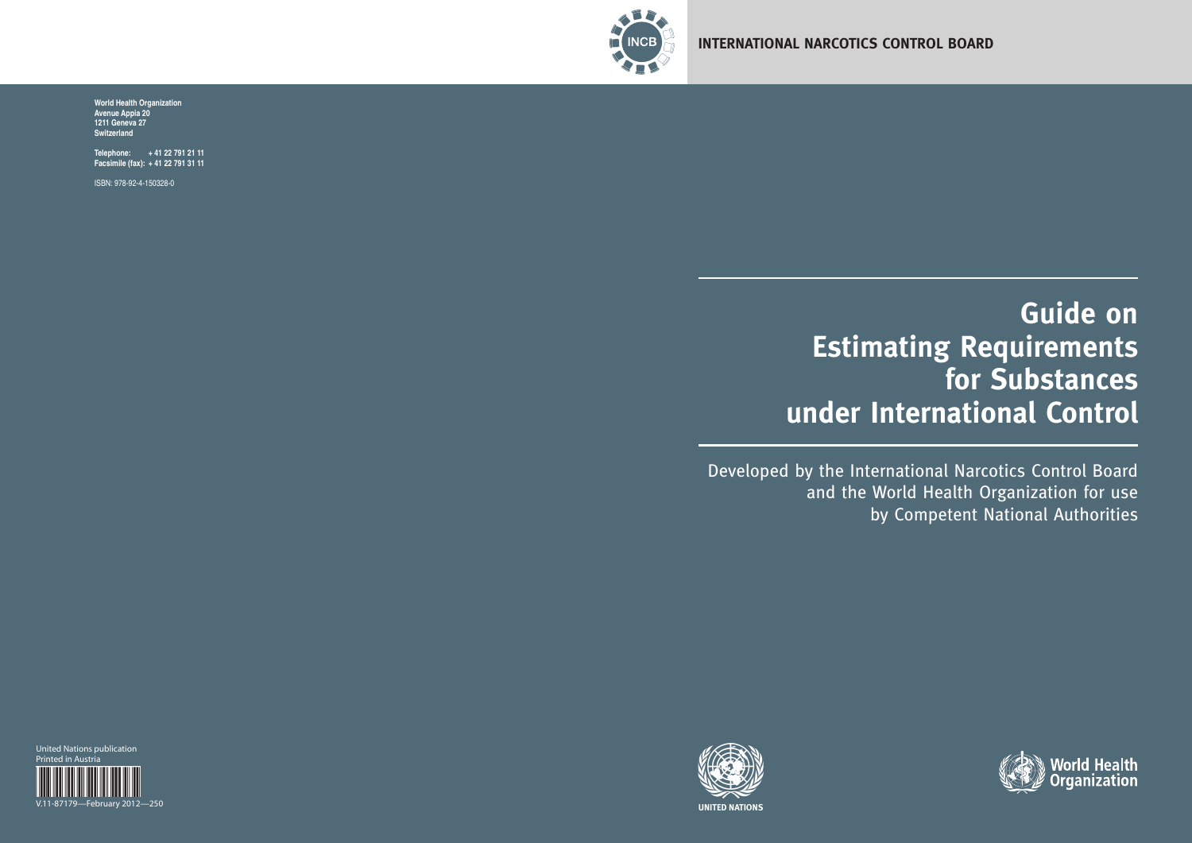

# **Guide on Estimating Requirements for Substances under International Control**

Developed by the International Narcotics Control Board and the World Health Organization for use by Competent National Authorities



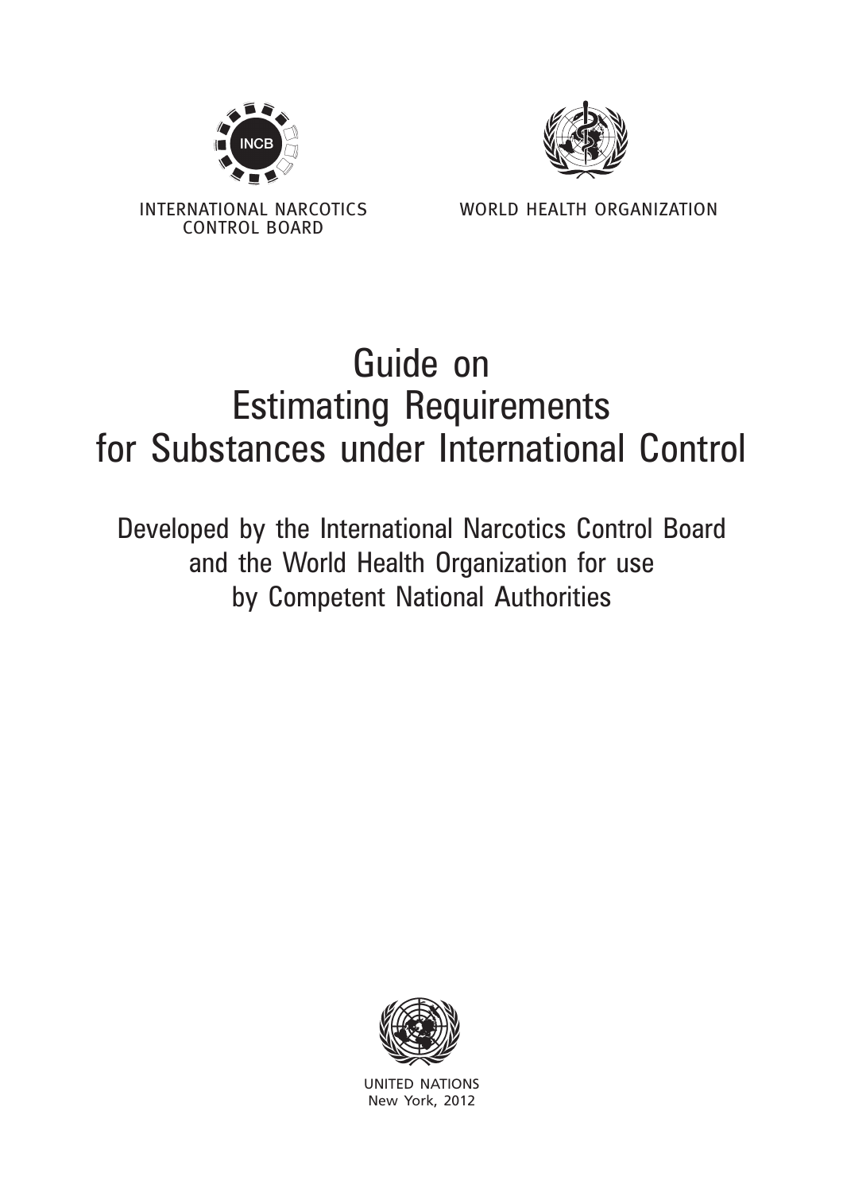



INTERNATIONAL NARCOTICS CONTROL BOARD

WORLD HEALTH ORGANIZATION

# Guide on Estimating Requirements for Substances under International Control

Developed by the International Narcotics Control Board and the World Health Organization for use by Competent National Authorities



United Nations New York, 2012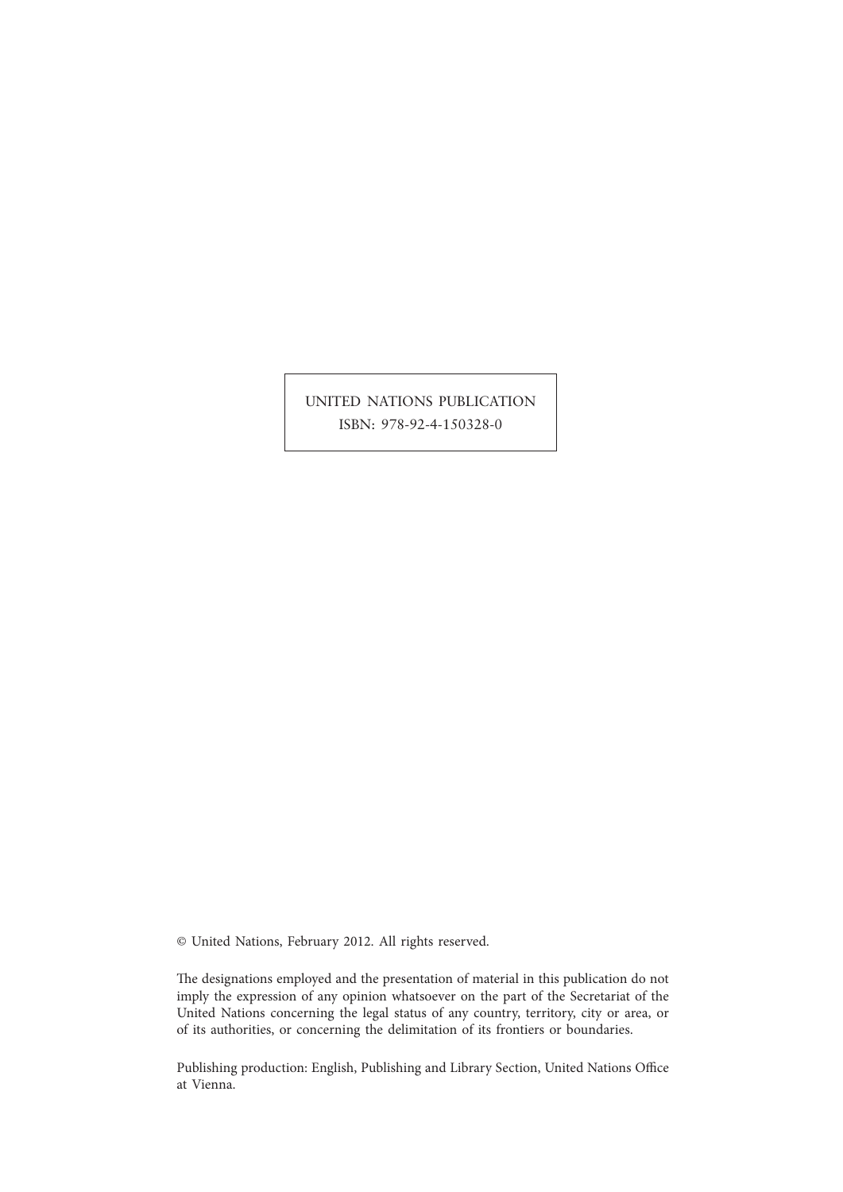UNITED NATIONS PUBLICATION ISBN: 978-92-4-150328-0

© United Nations, February 2012. All rights reserved.

The designations employed and the presentation of material in this publication do not imply the expression of any opinion whatsoever on the part of the Secretariat of the United Nations concerning the legal status of any country, territory, city or area, or of its authorities, or concerning the delimitation of its frontiers or boundaries.

Publishing production: English, Publishing and Library Section, United Nations Office at Vienna.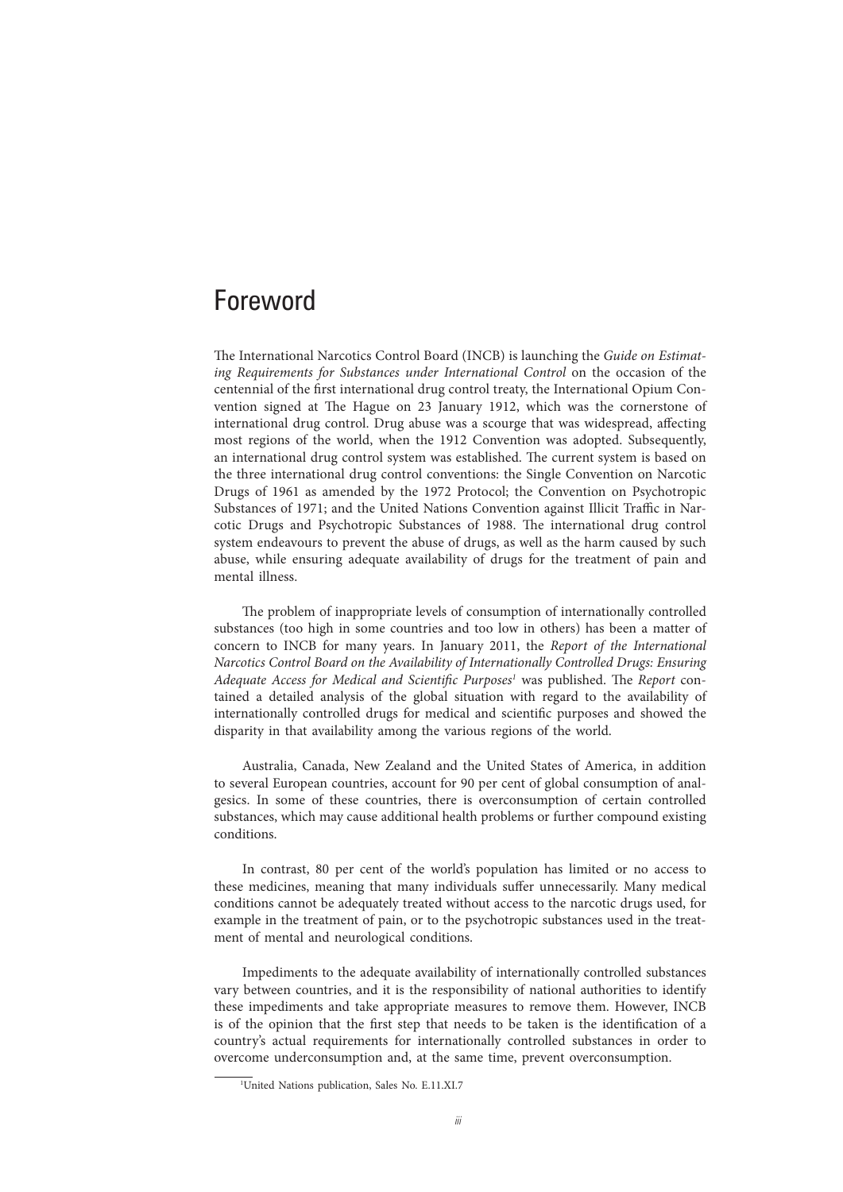# Foreword

The International Narcotics Control Board (INCB) is launching the *Guide on Estimating Requirements for Substances under International Control* on the occasion of the centennial of the first international drug control treaty, the International Opium Convention signed at The Hague on 23 January 1912, which was the cornerstone of international drug control. Drug abuse was a scourge that was widespread, affecting most regions of the world, when the 1912 Convention was adopted. Subsequently, an international drug control system was established. The current system is based on the three international drug control conventions: the Single Convention on Narcotic Drugs of 1961 as amended by the 1972 Protocol; the Convention on Psychotropic Substances of 1971; and the United Nations Convention against Illicit Traffic in Narcotic Drugs and Psychotropic Substances of 1988. The international drug control system endeavours to prevent the abuse of drugs, as well as the harm caused by such abuse, while ensuring adequate availability of drugs for the treatment of pain and mental illness.

The problem of inappropriate levels of consumption of internationally controlled substances (too high in some countries and too low in others) has been a matter of concern to INCB for many years. In January 2011, the *Report of the International Narcotics Control Board on the Availability of Internationally Controlled Drugs: Ensuring Adequate Access for Medical and Scientific Purposes1* was published. The *Report* contained a detailed analysis of the global situation with regard to the availability of internationally controlled drugs for medical and scientific purposes and showed the disparity in that availability among the various regions of the world.

Australia, Canada, New Zealand and the United States of America, in addition to several European countries, account for 90 per cent of global consumption of analgesics. In some of these countries, there is overconsumption of certain controlled substances, which may cause additional health problems or further compound existing conditions.

In contrast, 80 per cent of the world's population has limited or no access to these medicines, meaning that many individuals suffer unnecessarily. Many medical conditions cannot be adequately treated without access to the narcotic drugs used, for example in the treatment of pain, or to the psychotropic substances used in the treatment of mental and neurological conditions.

Impediments to the adequate availability of internationally controlled substances vary between countries, and it is the responsibility of national authorities to identify these impediments and take appropriate measures to remove them. However, INCB is of the opinion that the first step that needs to be taken is the identification of a country's actual requirements for internationally controlled substances in order to overcome underconsumption and, at the same time, prevent overconsumption.

<sup>1</sup> United Nations publication, Sales No. E.11.XI.7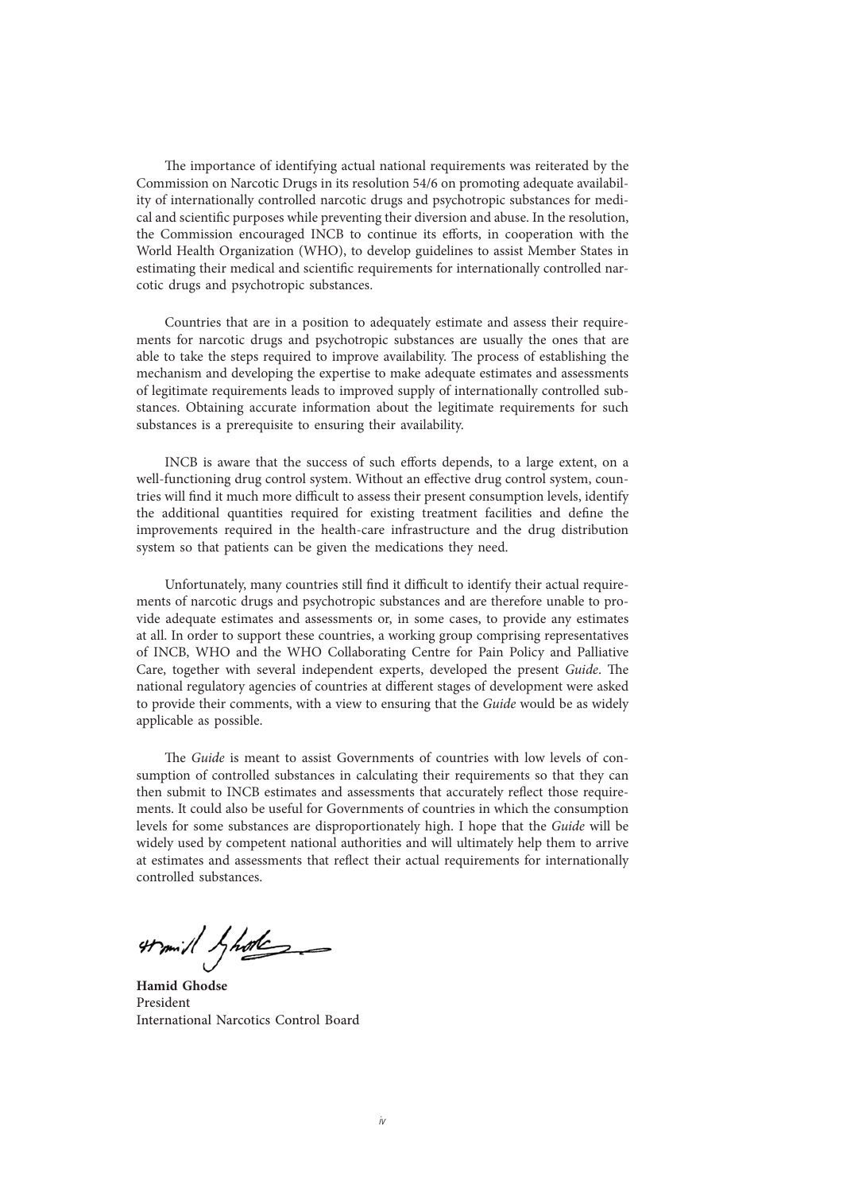The importance of identifying actual national requirements was reiterated by the Commission on Narcotic Drugs in its resolution 54/6 on promoting adequate availability of internationally controlled narcotic drugs and psychotropic substances for medical and scientific purposes while preventing their diversion and abuse. In the resolution, the Commission encouraged INCB to continue its efforts, in cooperation with the World Health Organization (WHO), to develop guidelines to assist Member States in estimating their medical and scientific requirements for internationally controlled narcotic drugs and psychotropic substances.

Countries that are in a position to adequately estimate and assess their requirements for narcotic drugs and psychotropic substances are usually the ones that are able to take the steps required to improve availability. The process of establishing the mechanism and developing the expertise to make adequate estimates and assessments of legitimate requirements leads to improved supply of internationally controlled substances. Obtaining accurate information about the legitimate requirements for such substances is a prerequisite to ensuring their availability.

INCB is aware that the success of such efforts depends, to a large extent, on a well-functioning drug control system. Without an effective drug control system, countries will find it much more difficult to assess their present consumption levels, identify the additional quantities required for existing treatment facilities and define the improvements required in the health-care infrastructure and the drug distribution system so that patients can be given the medications they need.

Unfortunately, many countries still find it difficult to identify their actual requirements of narcotic drugs and psychotropic substances and are therefore unable to provide adequate estimates and assessments or, in some cases, to provide any estimates at all. In order to support these countries, a working group comprising representatives of INCB, WHO and the WHO Collaborating Centre for Pain Policy and Palliative Care, together with several independent experts, developed the present *Guide*. The national regulatory agencies of countries at different stages of development were asked to provide their comments, with a view to ensuring that the *Guide* would be as widely applicable as possible.

The *Guide* is meant to assist Governments of countries with low levels of consumption of controlled substances in calculating their requirements so that they can then submit to INCB estimates and assessments that accurately reflect those requirements. It could also be useful for Governments of countries in which the consumption levels for some substances are disproportionately high. I hope that the *Guide* will be widely used by competent national authorities and will ultimately help them to arrive at estimates and assessments that reflect their actual requirements for internationally controlled substances.

tramil hade

**Hamid Ghodse** President International Narcotics Control Board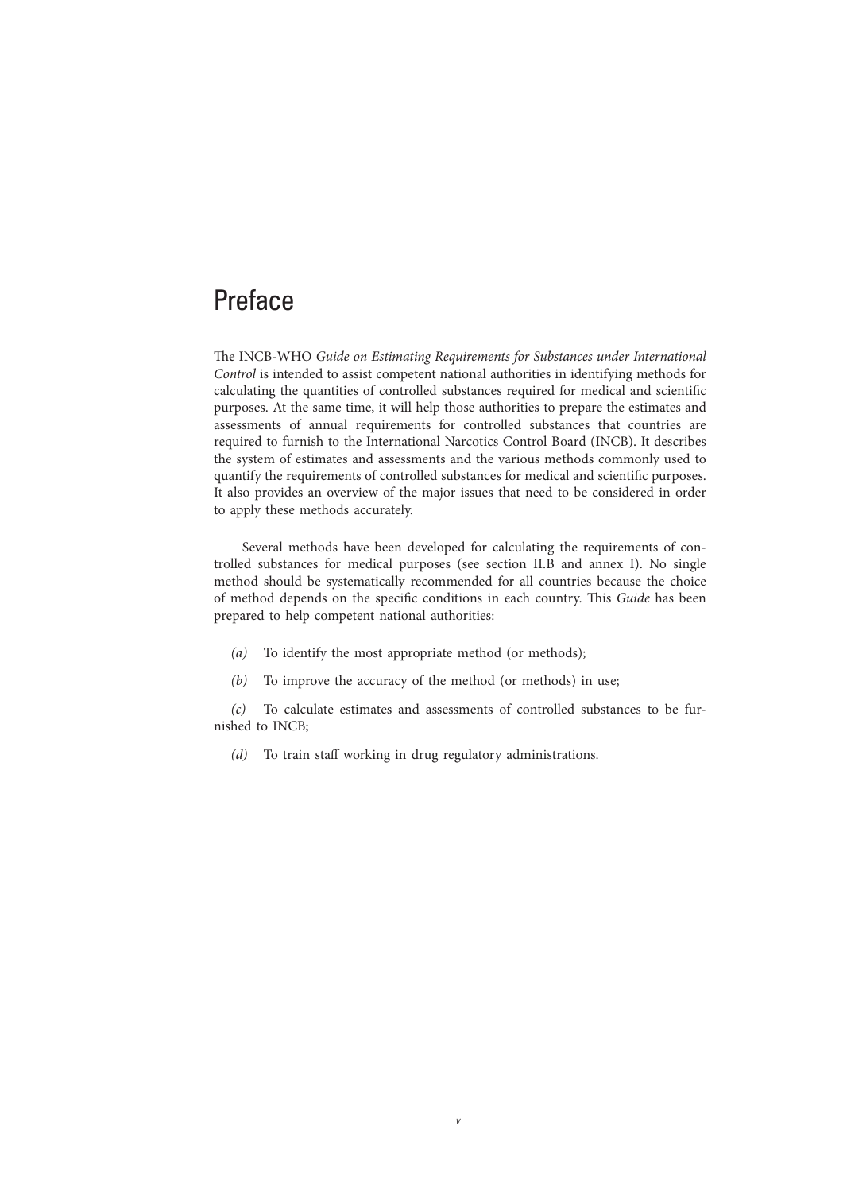# Preface

The INCB-WHO *Guide on Estimating Requirements for Substances under International Control* is intended to assist competent national authorities in identifying methods for calculating the quantities of controlled substances required for medical and scientific purposes. At the same time, it will help those authorities to prepare the estimates and assessments of annual requirements for controlled substances that countries are required to furnish to the International Narcotics Control Board (INCB). It describes the system of estimates and assessments and the various methods commonly used to quantify the requirements of controlled substances for medical and scientific purposes. It also provides an overview of the major issues that need to be considered in order to apply these methods accurately.

Several methods have been developed for calculating the requirements of controlled substances for medical purposes (see section II.B and annex I). No single method should be systematically recommended for all countries because the choice of method depends on the specific conditions in each country. This *Guide* has been prepared to help competent national authorities:

- *(a)* To identify the most appropriate method (or methods);
- *(b)* To improve the accuracy of the method (or methods) in use;

*(c)* To calculate estimates and assessments of controlled substances to be furnished to INCB;

*v*

*(d)* To train staff working in drug regulatory administrations.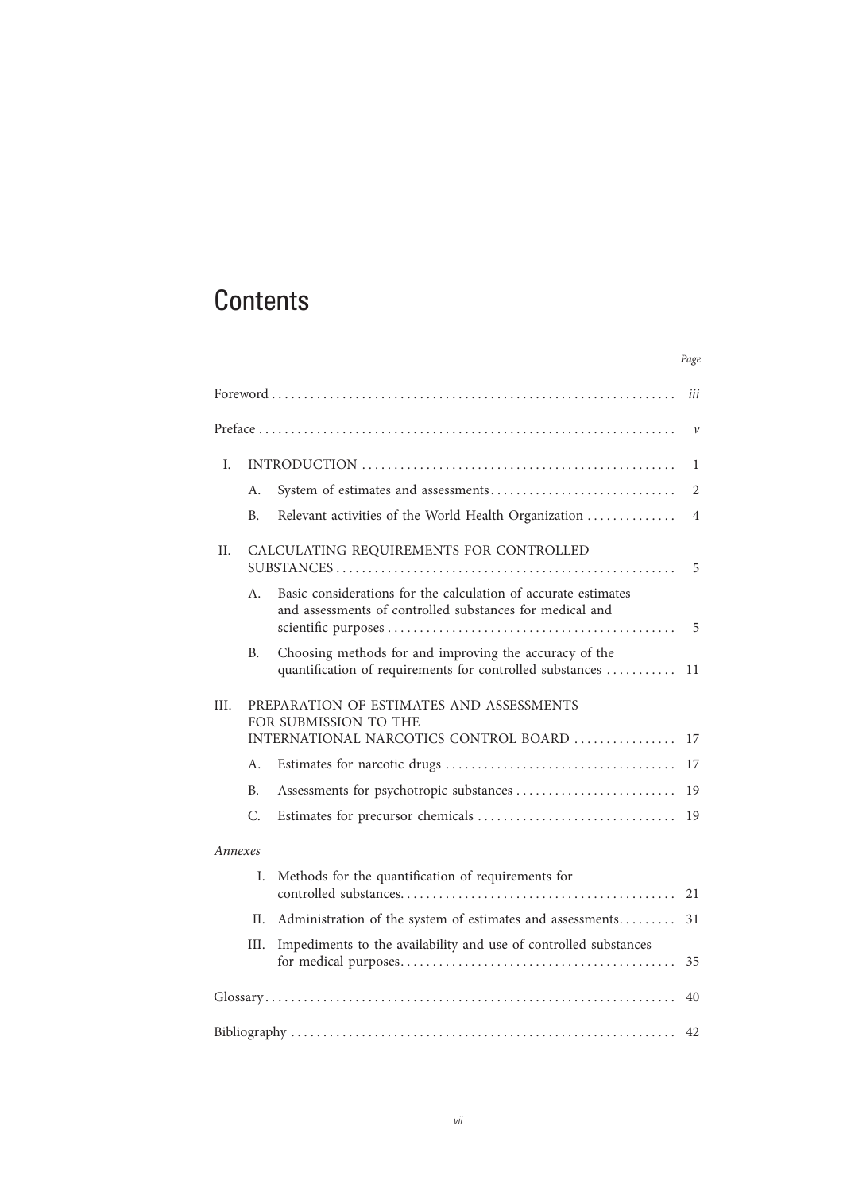# **Contents**

|                                                                                                                    |           |                                                                                                                            | iii            |  |  |
|--------------------------------------------------------------------------------------------------------------------|-----------|----------------------------------------------------------------------------------------------------------------------------|----------------|--|--|
|                                                                                                                    |           |                                                                                                                            | $\mathcal V$   |  |  |
| I.                                                                                                                 |           |                                                                                                                            | $\mathbf{1}$   |  |  |
|                                                                                                                    | А.        |                                                                                                                            | $\overline{2}$ |  |  |
|                                                                                                                    | B.        | Relevant activities of the World Health Organization                                                                       | $\overline{4}$ |  |  |
| П.                                                                                                                 |           | CALCULATING REQUIREMENTS FOR CONTROLLED                                                                                    | 5              |  |  |
|                                                                                                                    | A.        | Basic considerations for the calculation of accurate estimates<br>and assessments of controlled substances for medical and | 5              |  |  |
|                                                                                                                    | Β.        | Choosing methods for and improving the accuracy of the<br>quantification of requirements for controlled substances         | 11             |  |  |
| III.<br>PREPARATION OF ESTIMATES AND ASSESSMENTS<br>FOR SUBMISSION TO THE<br>INTERNATIONAL NARCOTICS CONTROL BOARD |           |                                                                                                                            |                |  |  |
|                                                                                                                    | А.        |                                                                                                                            | 17             |  |  |
|                                                                                                                    | <b>B.</b> |                                                                                                                            | 19             |  |  |
|                                                                                                                    | C.        |                                                                                                                            | 19             |  |  |
| Annexes                                                                                                            |           |                                                                                                                            |                |  |  |
|                                                                                                                    | I.        | Methods for the quantification of requirements for                                                                         | 21             |  |  |
|                                                                                                                    | Н.        | Administration of the system of estimates and assessments                                                                  | 31             |  |  |
|                                                                                                                    | III.      | Impediments to the availability and use of controlled substances                                                           | 35             |  |  |
|                                                                                                                    |           |                                                                                                                            | 40             |  |  |
|                                                                                                                    |           |                                                                                                                            | 42             |  |  |

*Page*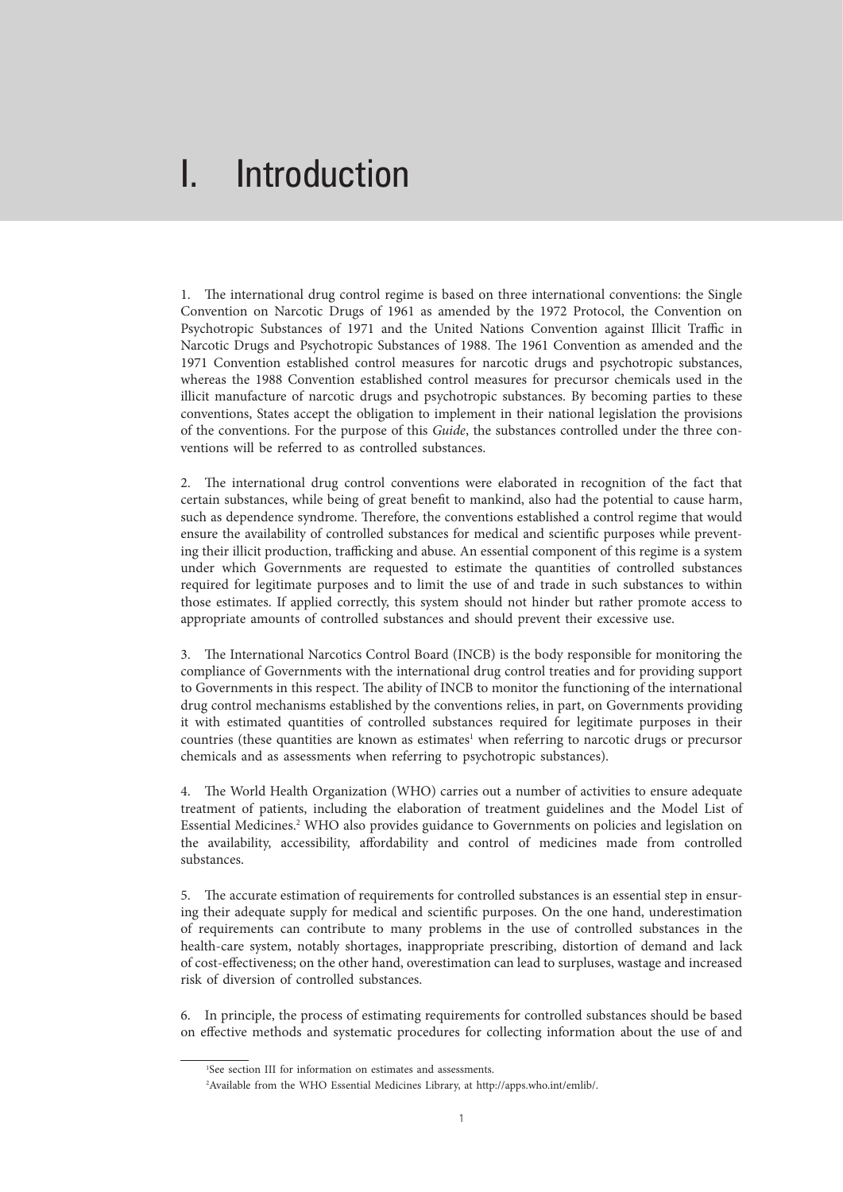# I. Introduction

1. The international drug control regime is based on three international conventions: the Single Convention on Narcotic Drugs of 1961 as amended by the 1972 Protocol, the Convention on Psychotropic Substances of 1971 and the United Nations Convention against Illicit Traffic in Narcotic Drugs and Psychotropic Substances of 1988. The 1961 Convention as amended and the 1971 Convention established control measures for narcotic drugs and psychotropic substances, whereas the 1988 Convention established control measures for precursor chemicals used in the illicit manufacture of narcotic drugs and psychotropic substances. By becoming parties to these conventions, States accept the obligation to implement in their national legislation the provisions of the conventions. For the purpose of this *Guide*, the substances controlled under the three conventions will be referred to as controlled substances.

2. The international drug control conventions were elaborated in recognition of the fact that certain substances, while being of great benefit to mankind, also had the potential to cause harm, such as dependence syndrome. Therefore, the conventions established a control regime that would ensure the availability of controlled substances for medical and scientific purposes while preventing their illicit production, trafficking and abuse. An essential component of this regime is a system under which Governments are requested to estimate the quantities of controlled substances required for legitimate purposes and to limit the use of and trade in such substances to within those estimates. If applied correctly, this system should not hinder but rather promote access to appropriate amounts of controlled substances and should prevent their excessive use.

3. The International Narcotics Control Board (INCB) is the body responsible for monitoring the compliance of Governments with the international drug control treaties and for providing support to Governments in this respect. The ability of INCB to monitor the functioning of the international drug control mechanisms established by the conventions relies, in part, on Governments providing it with estimated quantities of controlled substances required for legitimate purposes in their countries (these quantities are known as estimates<sup>1</sup> when referring to narcotic drugs or precursor chemicals and as assessments when referring to psychotropic substances).

4. The World Health Organization (WHO) carries out a number of activities to ensure adequate treatment of patients, including the elaboration of treatment guidelines and the Model List of Essential Medicines.<sup>2</sup> WHO also provides guidance to Governments on policies and legislation on the availability, accessibility, affordability and control of medicines made from controlled substances.

5. The accurate estimation of requirements for controlled substances is an essential step in ensuring their adequate supply for medical and scientific purposes. On the one hand, underestimation of requirements can contribute to many problems in the use of controlled substances in the health-care system, notably shortages, inappropriate prescribing, distortion of demand and lack of cost-effectiveness; on the other hand, overestimation can lead to surpluses, wastage and increased risk of diversion of controlled substances.

6. In principle, the process of estimating requirements for controlled substances should be based on effective methods and systematic procedures for collecting information about the use of and

<sup>1</sup> See section III for information on estimates and assessments.

<sup>2</sup> Available from the WHO Essential Medicines Library, at http://apps.who.int/emlib/.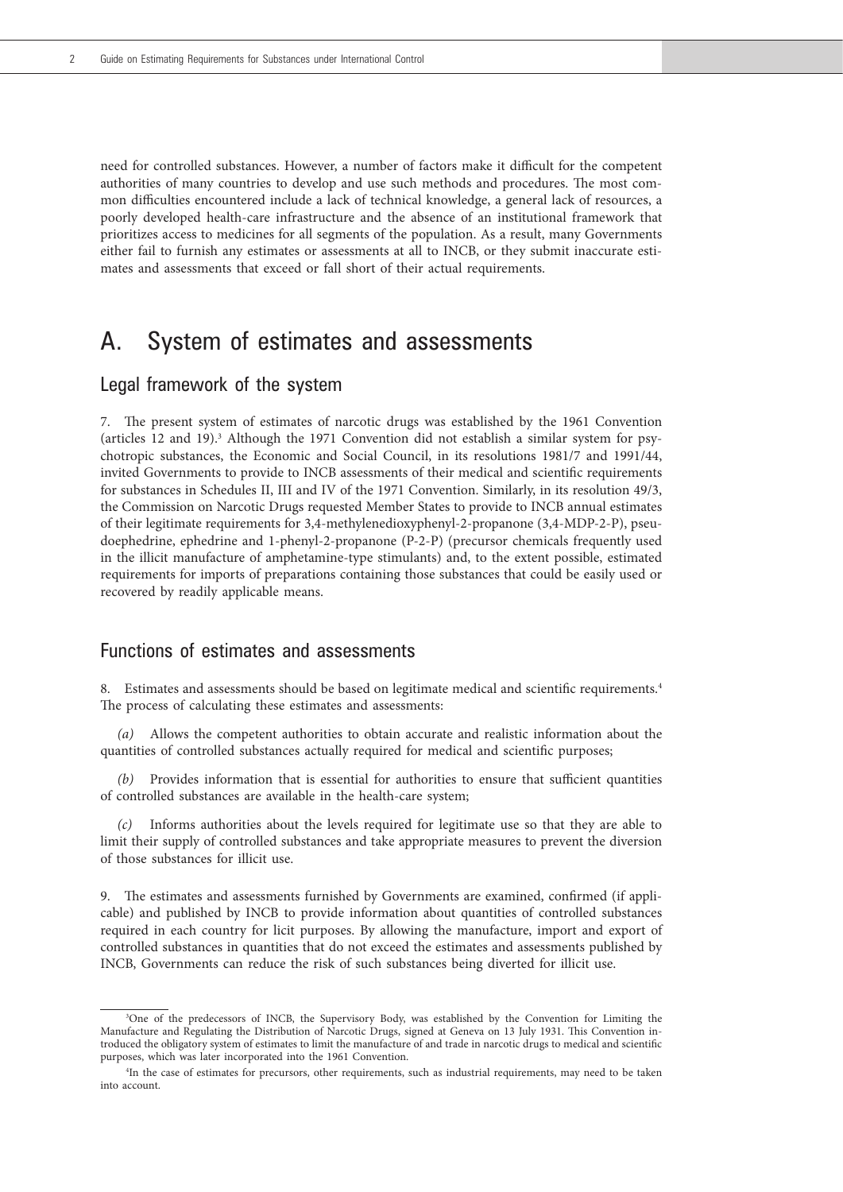need for controlled substances. However, a number of factors make it difficult for the competent authorities of many countries to develop and use such methods and procedures. The most common difficulties encountered include a lack of technical knowledge, a general lack of resources, a poorly developed health-care infrastructure and the absence of an institutional framework that prioritizes access to medicines for all segments of the population. As a result, many Governments either fail to furnish any estimates or assessments at all to INCB, or they submit inaccurate estimates and assessments that exceed or fall short of their actual requirements.

# A. System of estimates and assessments

## Legal framework of the system

7. The present system of estimates of narcotic drugs was established by the 1961 Convention (articles 12 and 19).<sup>3</sup> Although the 1971 Convention did not establish a similar system for psychotropic substances, the Economic and Social Council, in its resolutions 1981/7 and 1991/44, invited Governments to provide to INCB assessments of their medical and scientific requirements for substances in Schedules II, III and IV of the 1971 Convention. Similarly, in its resolution 49/3, the Commission on Narcotic Drugs requested Member States to provide to INCB annual estimates of their legitimate requirements for 3,4-methylenedioxyphenyl-2-propanone (3,4-MDP-2-P), pseudoephedrine, ephedrine and 1-phenyl-2-propanone (P-2-P) (precursor chemicals frequently used in the illicit manufacture of amphetamine-type stimulants) and, to the extent possible, estimated requirements for imports of preparations containing those substances that could be easily used or recovered by readily applicable means.

## Functions of estimates and assessments

8. Estimates and assessments should be based on legitimate medical and scientific requirements.4 The process of calculating these estimates and assessments:

*(a)* Allows the competent authorities to obtain accurate and realistic information about the quantities of controlled substances actually required for medical and scientific purposes;

*(b)* Provides information that is essential for authorities to ensure that sufficient quantities of controlled substances are available in the health-care system;

*(c)* Informs authorities about the levels required for legitimate use so that they are able to limit their supply of controlled substances and take appropriate measures to prevent the diversion of those substances for illicit use.

9. The estimates and assessments furnished by Governments are examined, confirmed (if applicable) and published by INCB to provide information about quantities of controlled substances required in each country for licit purposes. By allowing the manufacture, import and export of controlled substances in quantities that do not exceed the estimates and assessments published by INCB, Governments can reduce the risk of such substances being diverted for illicit use.

<sup>3</sup> One of the predecessors of INCB, the Supervisory Body, was established by the Convention for Limiting the Manufacture and Regulating the Distribution of Narcotic Drugs, signed at Geneva on 13 July 1931. This Convention introduced the obligatory system of estimates to limit the manufacture of and trade in narcotic drugs to medical and scientific purposes, which was later incorporated into the 1961 Convention.

<sup>4</sup> In the case of estimates for precursors, other requirements, such as industrial requirements, may need to be taken into account.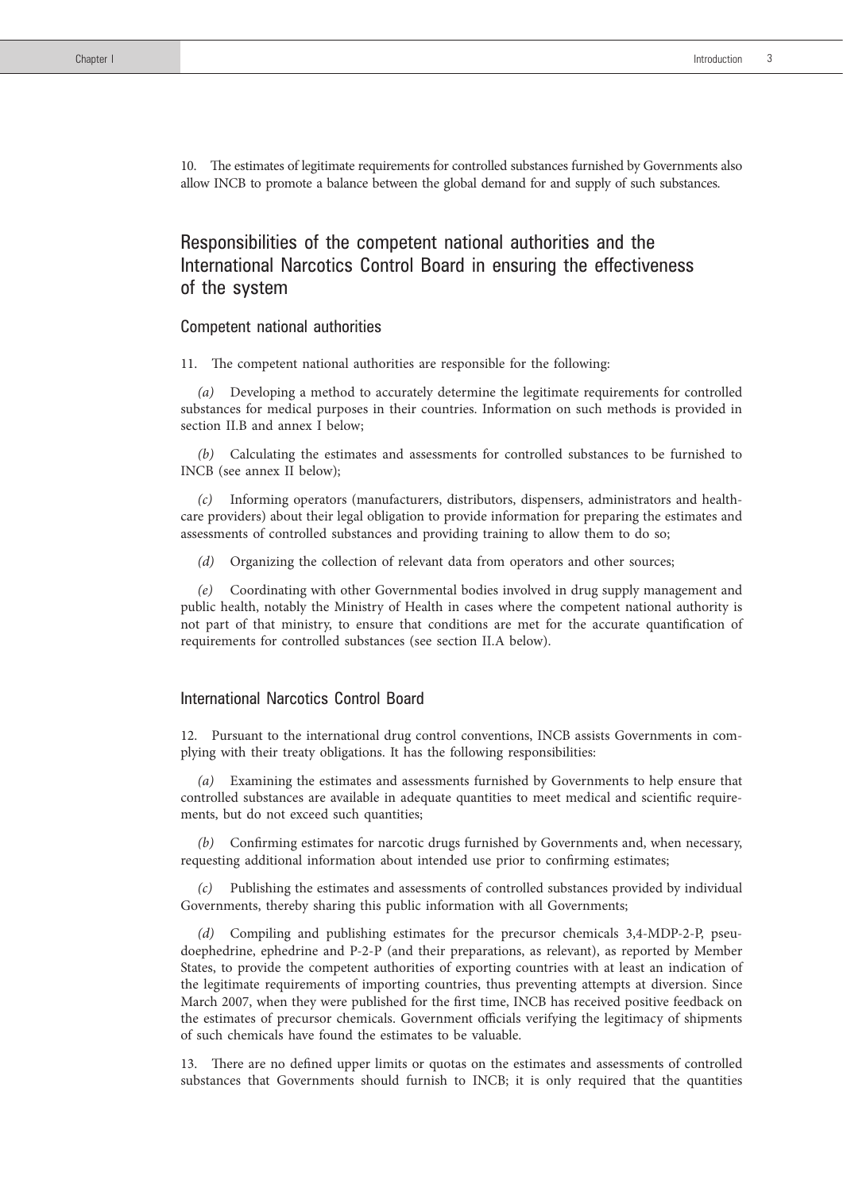10. The estimates of legitimate requirements for controlled substances furnished by Governments also allow INCB to promote a balance between the global demand for and supply of such substances.

# Responsibilities of the competent national authorities and the International Narcotics Control Board in ensuring the effectiveness of the system

#### Competent national authorities

11. The competent national authorities are responsible for the following:

*(a)* Developing a method to accurately determine the legitimate requirements for controlled substances for medical purposes in their countries. Information on such methods is provided in section II.B and annex I below;

*(b)* Calculating the estimates and assessments for controlled substances to be furnished to INCB (see annex II below);

*(c)* Informing operators (manufacturers, distributors, dispensers, administrators and healthcare providers) about their legal obligation to provide information for preparing the estimates and assessments of controlled substances and providing training to allow them to do so;

*(d)* Organizing the collection of relevant data from operators and other sources;

*(e)* Coordinating with other Governmental bodies involved in drug supply management and public health, notably the Ministry of Health in cases where the competent national authority is not part of that ministry, to ensure that conditions are met for the accurate quantification of requirements for controlled substances (see section II.A below).

#### International Narcotics Control Board

12. Pursuant to the international drug control conventions, INCB assists Governments in complying with their treaty obligations. It has the following responsibilities:

*(a)* Examining the estimates and assessments furnished by Governments to help ensure that controlled substances are available in adequate quantities to meet medical and scientific requirements, but do not exceed such quantities;

*(b)* Confirming estimates for narcotic drugs furnished by Governments and, when necessary, requesting additional information about intended use prior to confirming estimates;

*(c)* Publishing the estimates and assessments of controlled substances provided by individual Governments, thereby sharing this public information with all Governments;

Compiling and publishing estimates for the precursor chemicals 3,4-MDP-2-P, pseudoephedrine, ephedrine and P-2-P (and their preparations, as relevant), as reported by Member States, to provide the competent authorities of exporting countries with at least an indication of the legitimate requirements of importing countries, thus preventing attempts at diversion. Since March 2007, when they were published for the first time, INCB has received positive feedback on the estimates of precursor chemicals. Government officials verifying the legitimacy of shipments of such chemicals have found the estimates to be valuable.

13. There are no defined upper limits or quotas on the estimates and assessments of controlled substances that Governments should furnish to INCB; it is only required that the quantities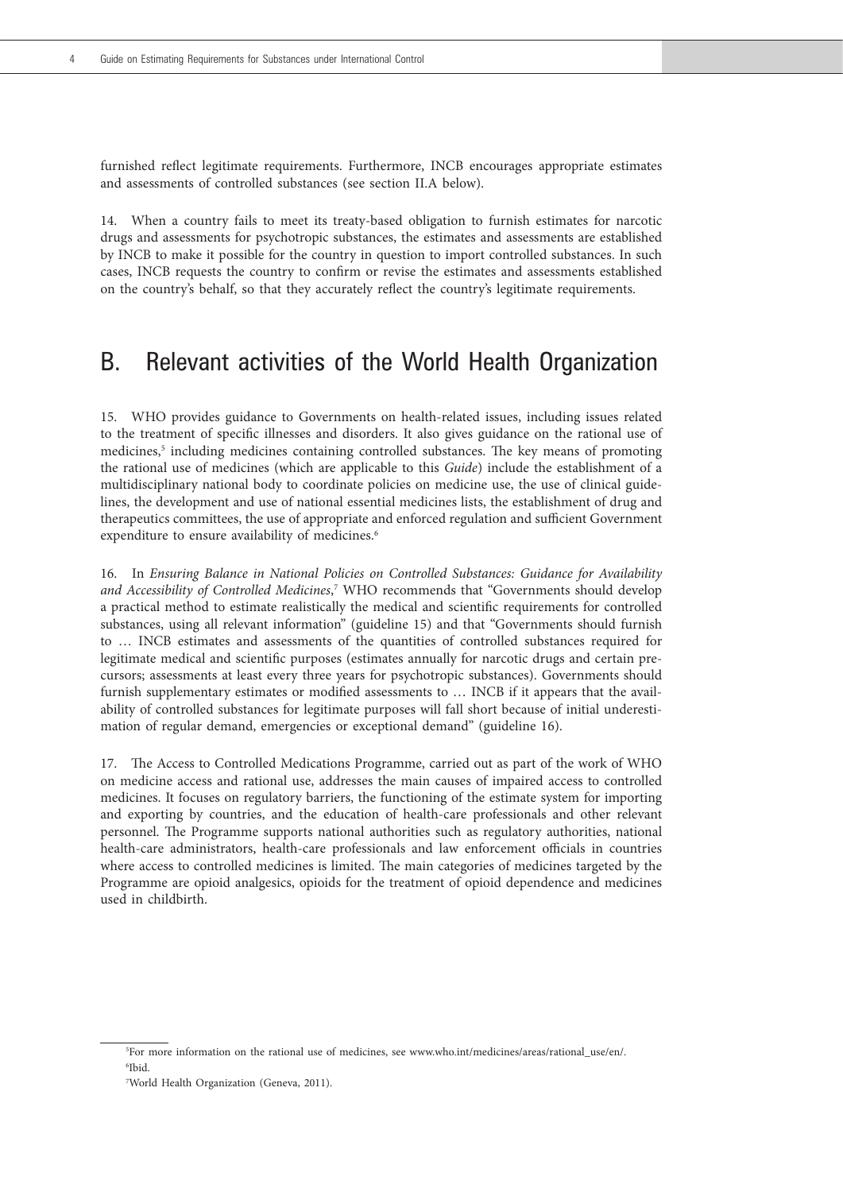furnished reflect legitimate requirements. Furthermore, INCB encourages appropriate estimates and assessments of controlled substances (see section II.A below).

14. When a country fails to meet its treaty-based obligation to furnish estimates for narcotic drugs and assessments for psychotropic substances, the estimates and assessments are established by INCB to make it possible for the country in question to import controlled substances. In such cases, INCB requests the country to confirm or revise the estimates and assessments established on the country's behalf, so that they accurately reflect the country's legitimate requirements.

# B. Relevant activities of the World Health Organization

15. WHO provides guidance to Governments on health-related issues, including issues related to the treatment of specific illnesses and disorders. It also gives guidance on the rational use of medicines,<sup>5</sup> including medicines containing controlled substances. The key means of promoting the rational use of medicines (which are applicable to this *Guide*) include the establishment of a multidisciplinary national body to coordinate policies on medicine use, the use of clinical guidelines, the development and use of national essential medicines lists, the establishment of drug and therapeutics committees, the use of appropriate and enforced regulation and sufficient Government expenditure to ensure availability of medicines.<sup>6</sup>

16. In *Ensuring Balance in National Policies on Controlled Substances: Guidance for Availability and Accessibility of Controlled Medicines*, 7 WHO recommends that "Governments should develop a practical method to estimate realistically the medical and scientific requirements for controlled substances, using all relevant information" (guideline 15) and that "Governments should furnish to … INCB estimates and assessments of the quantities of controlled substances required for legitimate medical and scientific purposes (estimates annually for narcotic drugs and certain precursors; assessments at least every three years for psychotropic substances). Governments should furnish supplementary estimates or modified assessments to … INCB if it appears that the availability of controlled substances for legitimate purposes will fall short because of initial underestimation of regular demand, emergencies or exceptional demand" (guideline 16).

17. The Access to Controlled Medications Programme, carried out as part of the work of WHO on medicine access and rational use, addresses the main causes of impaired access to controlled medicines. It focuses on regulatory barriers, the functioning of the estimate system for importing and exporting by countries, and the education of health-care professionals and other relevant personnel. The Programme supports national authorities such as regulatory authorities, national health-care administrators, health-care professionals and law enforcement officials in countries where access to controlled medicines is limited. The main categories of medicines targeted by the Programme are opioid analgesics, opioids for the treatment of opioid dependence and medicines used in childbirth.

<sup>5</sup> For more information on the rational use of medicines, see www.who.int/medicines/areas/rational\_use/en/. 6 Ibid.

<sup>7</sup> World Health Organization (Geneva, 2011).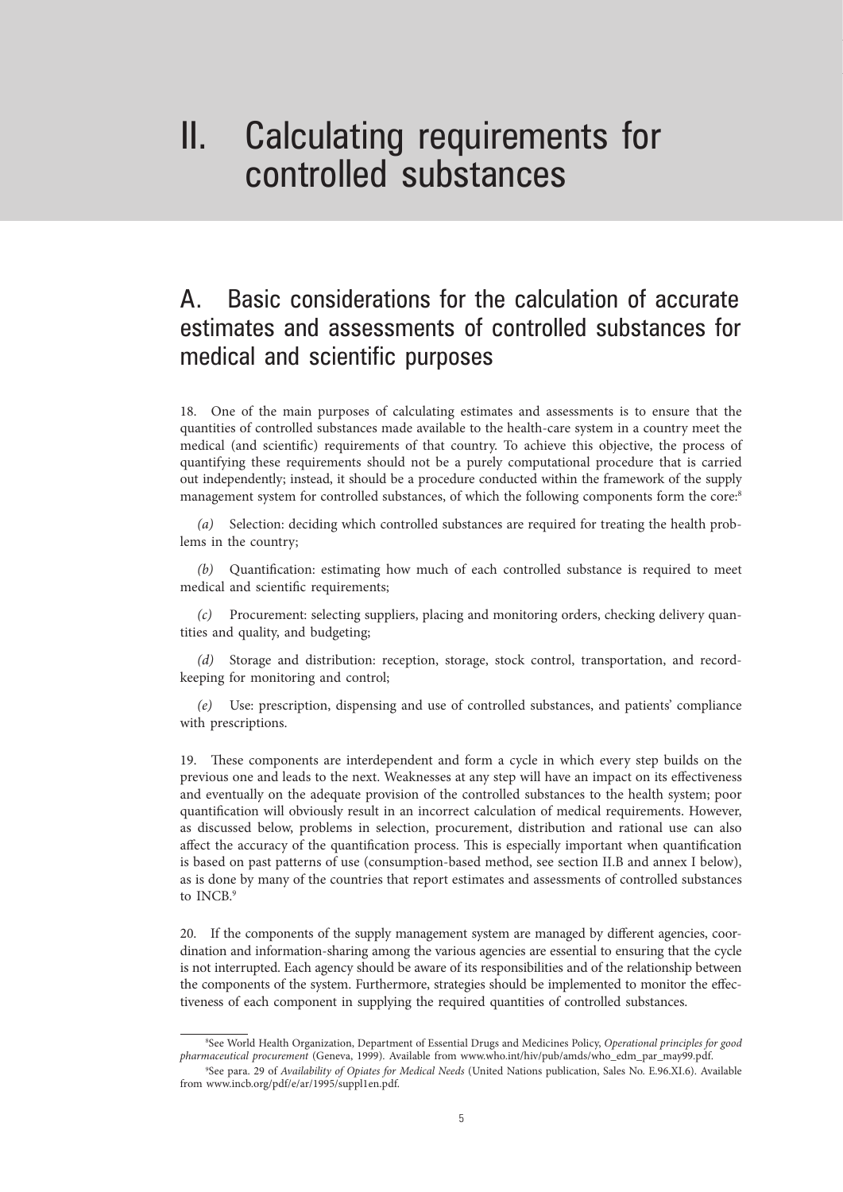# II. Calculating requirements for controlled substances

# A. Basic considerations for the calculation of accurate estimates and assessments of controlled substances for medical and scientific purposes

18. One of the main purposes of calculating estimates and assessments is to ensure that the quantities of controlled substances made available to the health-care system in a country meet the medical (and scientific) requirements of that country. To achieve this objective, the process of quantifying these requirements should not be a purely computational procedure that is carried out independently; instead, it should be a procedure conducted within the framework of the supply management system for controlled substances, of which the following components form the core:<sup>8</sup>

*(a)* Selection: deciding which controlled substances are required for treating the health problems in the country;

*(b)* Quantification: estimating how much of each controlled substance is required to meet medical and scientific requirements;

*(c)* Procurement: selecting suppliers, placing and monitoring orders, checking delivery quantities and quality, and budgeting;

*(d)* Storage and distribution: reception, storage, stock control, transportation, and recordkeeping for monitoring and control;

*(e)* Use: prescription, dispensing and use of controlled substances, and patients' compliance with prescriptions.

19. These components are interdependent and form a cycle in which every step builds on the previous one and leads to the next. Weaknesses at any step will have an impact on its effectiveness and eventually on the adequate provision of the controlled substances to the health system; poor quantification will obviously result in an incorrect calculation of medical requirements. However, as discussed below, problems in selection, procurement, distribution and rational use can also affect the accuracy of the quantification process. This is especially important when quantification is based on past patterns of use (consumption-based method, see section II.B and annex I below), as is done by many of the countries that report estimates and assessments of controlled substances to INCB.<sup>9</sup>

20. If the components of the supply management system are managed by different agencies, coordination and information-sharing among the various agencies are essential to ensuring that the cycle is not interrupted. Each agency should be aware of its responsibilities and of the relationship between the components of the system. Furthermore, strategies should be implemented to monitor the effectiveness of each component in supplying the required quantities of controlled substances.

<sup>8</sup> See World Health Organization, Department of Essential Drugs and Medicines Policy, *Operational principles for good pharmaceutical procurement* (Geneva, 1999). Available from www.who.int/hiv/pub/amds/who\_edm\_par\_may99.pdf.

<sup>9</sup> See para. 29 of *Availability of Opiates for Medical Needs* (United Nations publication, Sales No. E.96.XI.6). Available from www.incb.org/pdf/e/ar/1995/suppl1en.pdf.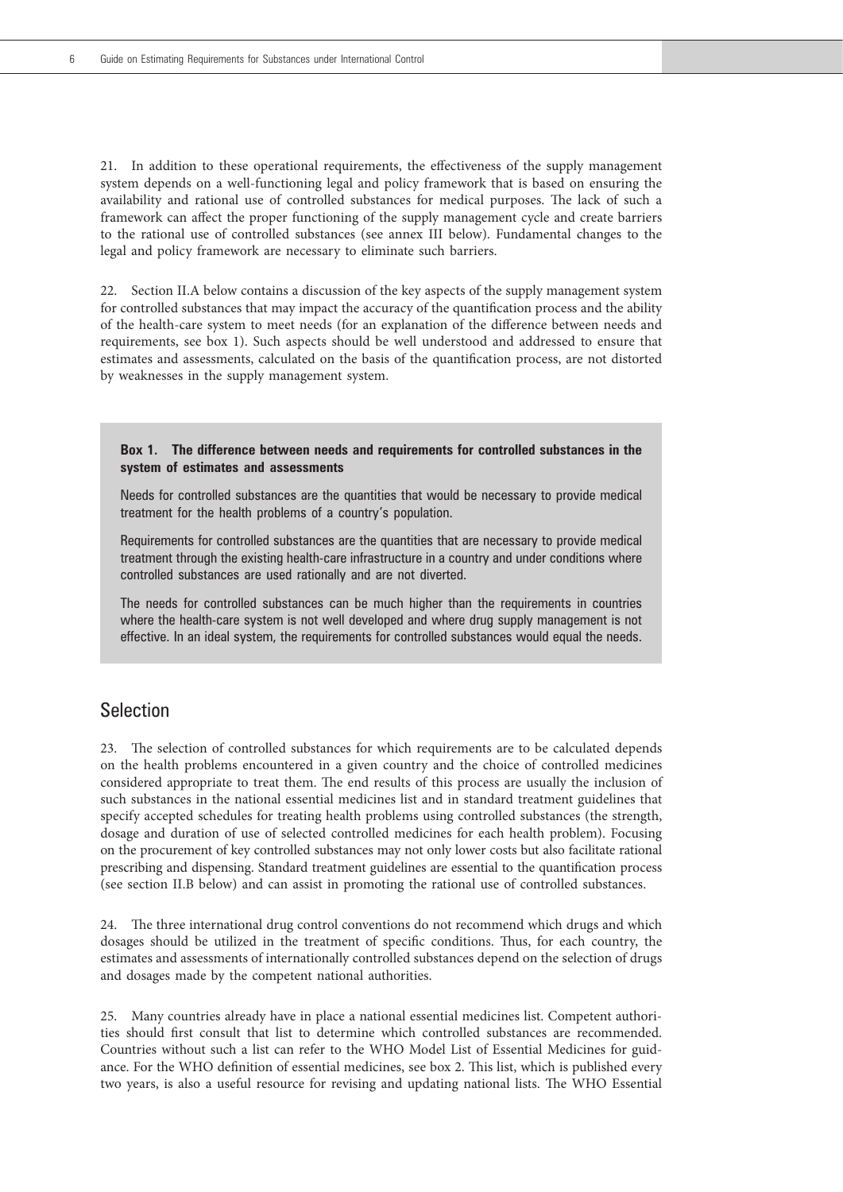21. In addition to these operational requirements, the effectiveness of the supply management system depends on a well-functioning legal and policy framework that is based on ensuring the availability and rational use of controlled substances for medical purposes. The lack of such a framework can affect the proper functioning of the supply management cycle and create barriers to the rational use of controlled substances (see annex III below). Fundamental changes to the legal and policy framework are necessary to eliminate such barriers.

22. Section II.A below contains a discussion of the key aspects of the supply management system for controlled substances that may impact the accuracy of the quantification process and the ability of the health-care system to meet needs (for an explanation of the difference between needs and requirements, see box 1). Such aspects should be well understood and addressed to ensure that estimates and assessments, calculated on the basis of the quantification process, are not distorted by weaknesses in the supply management system.

**Box 1. The difference between needs and requirements for controlled substances in the system of estimates and assessments** 

Needs for controlled substances are the quantities that would be necessary to provide medical treatment for the health problems of a country's population.

Requirements for controlled substances are the quantities that are necessary to provide medical treatment through the existing health-care infrastructure in a country and under conditions where controlled substances are used rationally and are not diverted.

The needs for controlled substances can be much higher than the requirements in countries where the health-care system is not well developed and where drug supply management is not effective. In an ideal system, the requirements for controlled substances would equal the needs.

## Selection

23. The selection of controlled substances for which requirements are to be calculated depends on the health problems encountered in a given country and the choice of controlled medicines considered appropriate to treat them. The end results of this process are usually the inclusion of such substances in the national essential medicines list and in standard treatment guidelines that specify accepted schedules for treating health problems using controlled substances (the strength, dosage and duration of use of selected controlled medicines for each health problem). Focusing on the procurement of key controlled substances may not only lower costs but also facilitate rational prescribing and dispensing. Standard treatment guidelines are essential to the quantification process (see section II.B below) and can assist in promoting the rational use of controlled substances.

24. The three international drug control conventions do not recommend which drugs and which dosages should be utilized in the treatment of specific conditions. Thus, for each country, the estimates and assessments of internationally controlled substances depend on the selection of drugs and dosages made by the competent national authorities.

25. Many countries already have in place a national essential medicines list. Competent authorities should first consult that list to determine which controlled substances are recommended. Countries without such a list can refer to the WHO Model List of Essential Medicines for guidance. For the WHO definition of essential medicines, see box 2. This list, which is published every two years, is also a useful resource for revising and updating national lists. The WHO Essential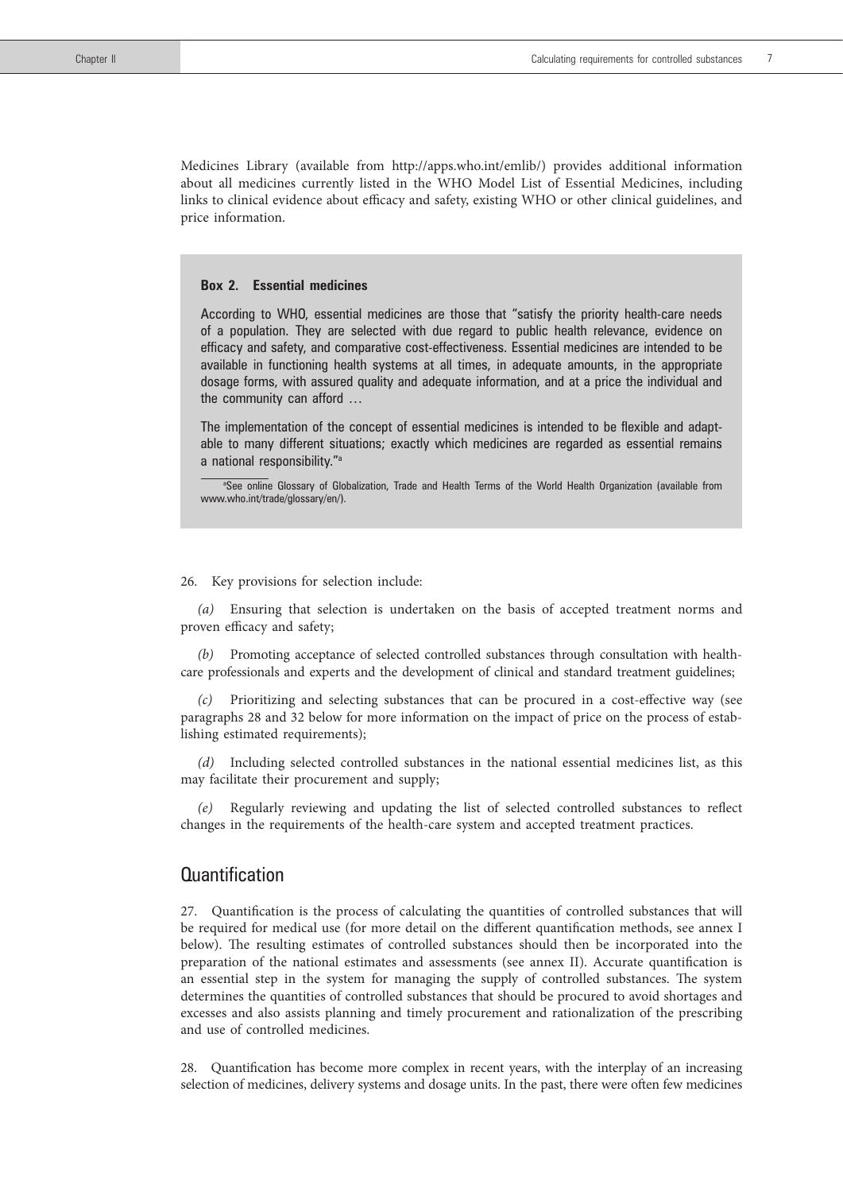Medicines Library (available from http://apps.who.int/emlib/) provides additional information about all medicines currently listed in the WHO Model List of Essential Medicines, including links to clinical evidence about efficacy and safety, existing WHO or other clinical guidelines, and price information.

#### **Box 2. Essential medicines**

According to WHO, essential medicines are those that "satisfy the priority health-care needs of a population. They are selected with due regard to public health relevance, evidence on efficacy and safety, and comparative cost-effectiveness. Essential medicines are intended to be available in functioning health systems at all times, in adequate amounts, in the appropriate dosage forms, with assured quality and adequate information, and at a price the individual and the community can afford …

The implementation of the concept of essential medicines is intended to be flexible and adaptable to many different situations; exactly which medicines are regarded as essential remains a national responsibility."a

®See online Glossary of Globalization, Trade and Health Terms of the World Health Organization (available from www.who.int/trade/glossary/en/).

#### 26. Key provisions for selection include:

*(a)* Ensuring that selection is undertaken on the basis of accepted treatment norms and proven efficacy and safety;

Promoting acceptance of selected controlled substances through consultation with healthcare professionals and experts and the development of clinical and standard treatment guidelines;

*(c)* Prioritizing and selecting substances that can be procured in a cost-effective way (see paragraphs 28 and 32 below for more information on the impact of price on the process of establishing estimated requirements);

*(d)* Including selected controlled substances in the national essential medicines list, as this may facilitate their procurement and supply;

*(e)* Regularly reviewing and updating the list of selected controlled substances to reflect changes in the requirements of the health-care system and accepted treatment practices.

## **Quantification**

27. Quantification is the process of calculating the quantities of controlled substances that will be required for medical use (for more detail on the different quantification methods, see annex I below). The resulting estimates of controlled substances should then be incorporated into the preparation of the national estimates and assessments (see annex II). Accurate quantification is an essential step in the system for managing the supply of controlled substances. The system determines the quantities of controlled substances that should be procured to avoid shortages and excesses and also assists planning and timely procurement and rationalization of the prescribing and use of controlled medicines.

28. Quantification has become more complex in recent years, with the interplay of an increasing selection of medicines, delivery systems and dosage units. In the past, there were often few medicines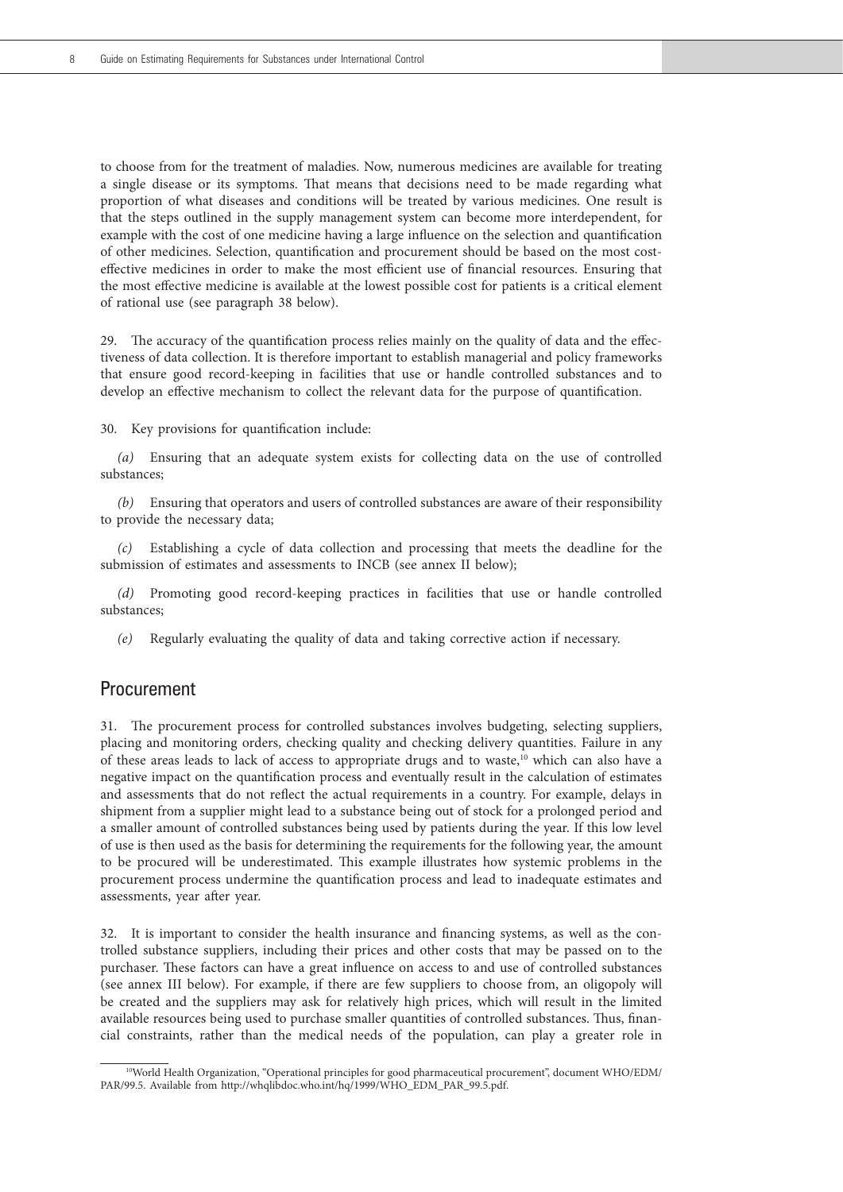to choose from for the treatment of maladies. Now, numerous medicines are available for treating a single disease or its symptoms. That means that decisions need to be made regarding what proportion of what diseases and conditions will be treated by various medicines. One result is that the steps outlined in the supply management system can become more interdependent, for example with the cost of one medicine having a large influence on the selection and quantification of other medicines. Selection, quantification and procurement should be based on the most costeffective medicines in order to make the most efficient use of financial resources. Ensuring that the most effective medicine is available at the lowest possible cost for patients is a critical element of rational use (see paragraph 38 below).

29. The accuracy of the quantification process relies mainly on the quality of data and the effectiveness of data collection. It is therefore important to establish managerial and policy frameworks that ensure good record-keeping in facilities that use or handle controlled substances and to develop an effective mechanism to collect the relevant data for the purpose of quantification.

30. Key provisions for quantification include:

*(a)* Ensuring that an adequate system exists for collecting data on the use of controlled substances;

*(b)* Ensuring that operators and users of controlled substances are aware of their responsibility to provide the necessary data;

*(c)* Establishing a cycle of data collection and processing that meets the deadline for the submission of estimates and assessments to INCB (see annex II below);

*(d)* Promoting good record-keeping practices in facilities that use or handle controlled substances;

*(e)* Regularly evaluating the quality of data and taking corrective action if necessary.

### Procurement

31. The procurement process for controlled substances involves budgeting, selecting suppliers, placing and monitoring orders, checking quality and checking delivery quantities. Failure in any of these areas leads to lack of access to appropriate drugs and to waste,10 which can also have a negative impact on the quantification process and eventually result in the calculation of estimates and assessments that do not reflect the actual requirements in a country. For example, delays in shipment from a supplier might lead to a substance being out of stock for a prolonged period and a smaller amount of controlled substances being used by patients during the year. If this low level of use is then used as the basis for determining the requirements for the following year, the amount to be procured will be underestimated. This example illustrates how systemic problems in the procurement process undermine the quantification process and lead to inadequate estimates and assessments, year after year.

32. It is important to consider the health insurance and financing systems, as well as the controlled substance suppliers, including their prices and other costs that may be passed on to the purchaser. These factors can have a great influence on access to and use of controlled substances (see annex III below). For example, if there are few suppliers to choose from, an oligopoly will be created and the suppliers may ask for relatively high prices, which will result in the limited available resources being used to purchase smaller quantities of controlled substances. Thus, financial constraints, rather than the medical needs of the population, can play a greater role in

<sup>10</sup>World Health Organization, "Operational principles for good pharmaceutical procurement", document WHO/EDM/ PAR/99.5. Available from http://whqlibdoc.who.int/hq/1999/WHO\_EDM\_PAR\_99.5.pdf.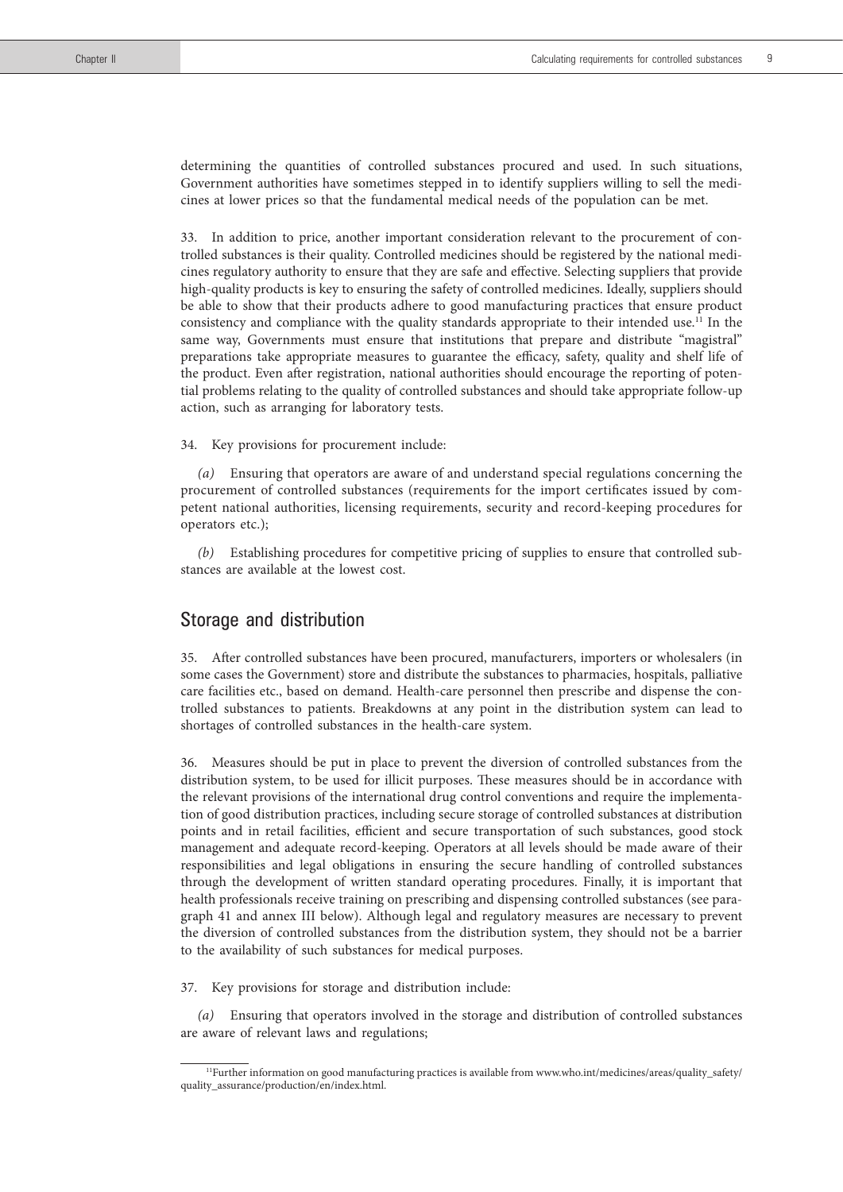determining the quantities of controlled substances procured and used. In such situations, Government authorities have sometimes stepped in to identify suppliers willing to sell the medicines at lower prices so that the fundamental medical needs of the population can be met.

33. In addition to price, another important consideration relevant to the procurement of controlled substances is their quality. Controlled medicines should be registered by the national medicines regulatory authority to ensure that they are safe and effective. Selecting suppliers that provide high-quality products is key to ensuring the safety of controlled medicines. Ideally, suppliers should be able to show that their products adhere to good manufacturing practices that ensure product consistency and compliance with the quality standards appropriate to their intended use.11 In the same way, Governments must ensure that institutions that prepare and distribute "magistral" preparations take appropriate measures to guarantee the efficacy, safety, quality and shelf life of the product. Even after registration, national authorities should encourage the reporting of potential problems relating to the quality of controlled substances and should take appropriate follow-up action, such as arranging for laboratory tests.

#### 34. Key provisions for procurement include:

*(a)* Ensuring that operators are aware of and understand special regulations concerning the procurement of controlled substances (requirements for the import certificates issued by competent national authorities, licensing requirements, security and record-keeping procedures for operators etc.);

*(b)* Establishing procedures for competitive pricing of supplies to ensure that controlled substances are available at the lowest cost.

### Storage and distribution

35. After controlled substances have been procured, manufacturers, importers or wholesalers (in some cases the Government) store and distribute the substances to pharmacies, hospitals, palliative care facilities etc., based on demand. Health-care personnel then prescribe and dispense the controlled substances to patients. Breakdowns at any point in the distribution system can lead to shortages of controlled substances in the health-care system.

36. Measures should be put in place to prevent the diversion of controlled substances from the distribution system, to be used for illicit purposes. These measures should be in accordance with the relevant provisions of the international drug control conventions and require the implementation of good distribution practices, including secure storage of controlled substances at distribution points and in retail facilities, efficient and secure transportation of such substances, good stock management and adequate record-keeping. Operators at all levels should be made aware of their responsibilities and legal obligations in ensuring the secure handling of controlled substances through the development of written standard operating procedures. Finally, it is important that health professionals receive training on prescribing and dispensing controlled substances (see paragraph 41 and annex III below). Although legal and regulatory measures are necessary to prevent the diversion of controlled substances from the distribution system, they should not be a barrier to the availability of such substances for medical purposes.

37. Key provisions for storage and distribution include:

*(a)* Ensuring that operators involved in the storage and distribution of controlled substances are aware of relevant laws and regulations;

<sup>11</sup>Further information on good manufacturing practices is available from www.who.int/medicines/areas/quality\_safety/ quality\_assurance/production/en/index.html.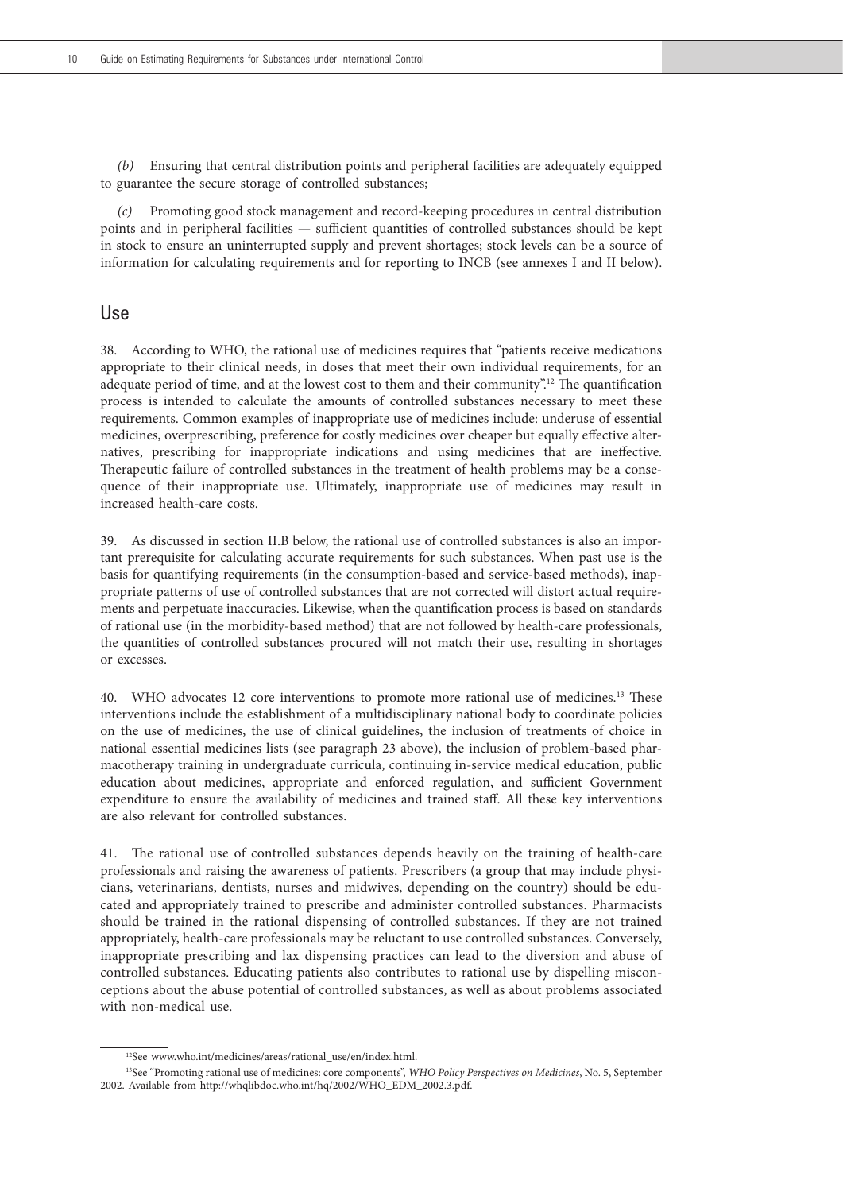*(b)* Ensuring that central distribution points and peripheral facilities are adequately equipped to guarantee the secure storage of controlled substances;

*(c)* Promoting good stock management and record-keeping procedures in central distribution points and in peripheral facilities — sufficient quantities of controlled substances should be kept in stock to ensure an uninterrupted supply and prevent shortages; stock levels can be a source of information for calculating requirements and for reporting to INCB (see annexes I and II below).

## Use

38. According to WHO, the rational use of medicines requires that "patients receive medications appropriate to their clinical needs, in doses that meet their own individual requirements, for an adequate period of time, and at the lowest cost to them and their community".12 The quantification process is intended to calculate the amounts of controlled substances necessary to meet these requirements. Common examples of inappropriate use of medicines include: underuse of essential medicines, overprescribing, preference for costly medicines over cheaper but equally effective alternatives, prescribing for inappropriate indications and using medicines that are ineffective. Therapeutic failure of controlled substances in the treatment of health problems may be a consequence of their inappropriate use. Ultimately, inappropriate use of medicines may result in increased health-care costs.

39. As discussed in section II.B below, the rational use of controlled substances is also an important prerequisite for calculating accurate requirements for such substances. When past use is the basis for quantifying requirements (in the consumption-based and service-based methods), inappropriate patterns of use of controlled substances that are not corrected will distort actual requirements and perpetuate inaccuracies. Likewise, when the quantification process is based on standards of rational use (in the morbidity-based method) that are not followed by health-care professionals, the quantities of controlled substances procured will not match their use, resulting in shortages or excesses.

40. WHO advocates 12 core interventions to promote more rational use of medicines.13 These interventions include the establishment of a multidisciplinary national body to coordinate policies on the use of medicines, the use of clinical guidelines, the inclusion of treatments of choice in national essential medicines lists (see paragraph 23 above), the inclusion of problem-based pharmacotherapy training in undergraduate curricula, continuing in-service medical education, public education about medicines, appropriate and enforced regulation, and sufficient Government expenditure to ensure the availability of medicines and trained staff. All these key interventions are also relevant for controlled substances.

41. The rational use of controlled substances depends heavily on the training of health-care professionals and raising the awareness of patients. Prescribers (a group that may include physicians, veterinarians, dentists, nurses and midwives, depending on the country) should be educated and appropriately trained to prescribe and administer controlled substances. Pharmacists should be trained in the rational dispensing of controlled substances. If they are not trained appropriately, health-care professionals may be reluctant to use controlled substances. Conversely, inappropriate prescribing and lax dispensing practices can lead to the diversion and abuse of controlled substances. Educating patients also contributes to rational use by dispelling misconceptions about the abuse potential of controlled substances, as well as about problems associated with non-medical use.

<sup>12</sup>See www.who.int/medicines/areas/rational\_use/en/index.html.

<sup>13</sup>See "Promoting rational use of medicines: core components", *WHO Policy Perspectives on Medicines*, No. 5, September 2002. Available from http://whqlibdoc.who.int/hq/2002/WHO\_EDM\_2002.3.pdf.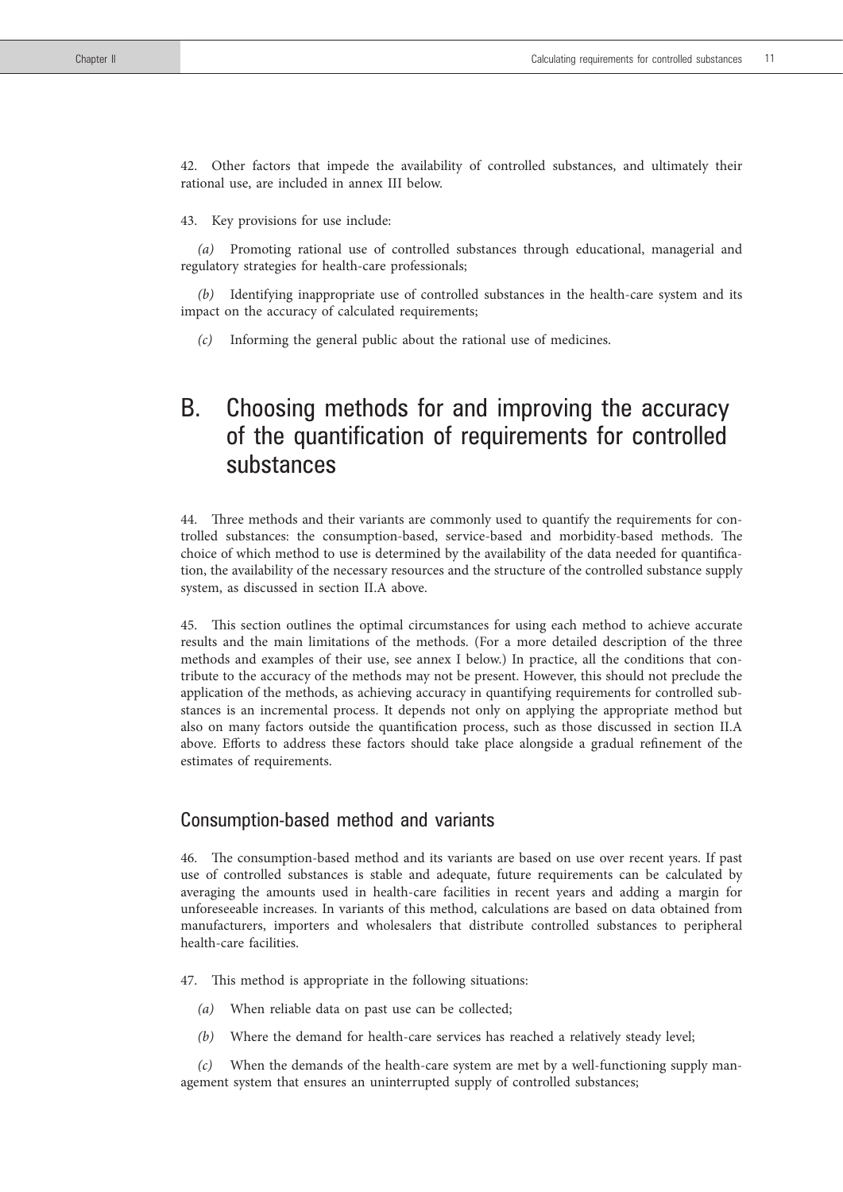42. Other factors that impede the availability of controlled substances, and ultimately their rational use, are included in annex III below.

43. Key provisions for use include:

Promoting rational use of controlled substances through educational, managerial and regulatory strategies for health-care professionals;

*(b)* Identifying inappropriate use of controlled substances in the health-care system and its impact on the accuracy of calculated requirements;

*(c)* Informing the general public about the rational use of medicines.

# B. Choosing methods for and improving the accuracy of the quantification of requirements for controlled substances

44. Three methods and their variants are commonly used to quantify the requirements for controlled substances: the consumption-based, service-based and morbidity-based methods. The choice of which method to use is determined by the availability of the data needed for quantification, the availability of the necessary resources and the structure of the controlled substance supply system, as discussed in section II.A above.

45. This section outlines the optimal circumstances for using each method to achieve accurate results and the main limitations of the methods. (For a more detailed description of the three methods and examples of their use, see annex I below.) In practice, all the conditions that contribute to the accuracy of the methods may not be present. However, this should not preclude the application of the methods, as achieving accuracy in quantifying requirements for controlled substances is an incremental process. It depends not only on applying the appropriate method but also on many factors outside the quantification process, such as those discussed in section II.A above. Efforts to address these factors should take place alongside a gradual refinement of the estimates of requirements.

## Consumption-based method and variants

46. The consumption-based method and its variants are based on use over recent years. If past use of controlled substances is stable and adequate, future requirements can be calculated by averaging the amounts used in health-care facilities in recent years and adding a margin for unforeseeable increases. In variants of this method, calculations are based on data obtained from manufacturers, importers and wholesalers that distribute controlled substances to peripheral health-care facilities.

- 47. This method is appropriate in the following situations:
	- *(a)* When reliable data on past use can be collected;
	- *(b)* Where the demand for health-care services has reached a relatively steady level;

*(c)* When the demands of the health-care system are met by a well-functioning supply management system that ensures an uninterrupted supply of controlled substances;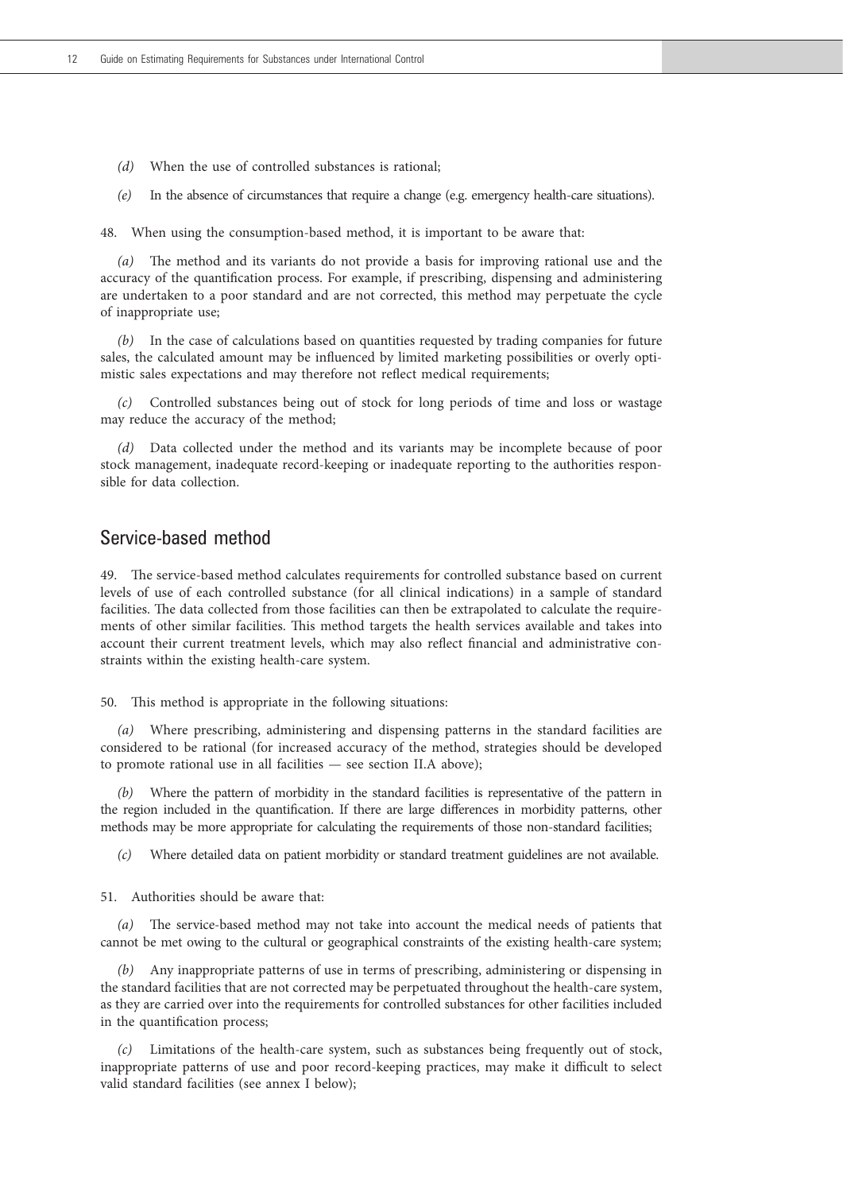- *(d)* When the use of controlled substances is rational;
- *(e)* In the absence of circumstances that require a change (e.g. emergency health-care situations).

48. When using the consumption-based method, it is important to be aware that:

*(a)* The method and its variants do not provide a basis for improving rational use and the accuracy of the quantification process. For example, if prescribing, dispensing and administering are undertaken to a poor standard and are not corrected, this method may perpetuate the cycle of inappropriate use;

*(b)* In the case of calculations based on quantities requested by trading companies for future sales, the calculated amount may be influenced by limited marketing possibilities or overly optimistic sales expectations and may therefore not reflect medical requirements;

*(c)* Controlled substances being out of stock for long periods of time and loss or wastage may reduce the accuracy of the method;

*(d)* Data collected under the method and its variants may be incomplete because of poor stock management, inadequate record-keeping or inadequate reporting to the authorities responsible for data collection.

## Service-based method

49. The service-based method calculates requirements for controlled substance based on current levels of use of each controlled substance (for all clinical indications) in a sample of standard facilities. The data collected from those facilities can then be extrapolated to calculate the requirements of other similar facilities. This method targets the health services available and takes into account their current treatment levels, which may also reflect financial and administrative constraints within the existing health-care system.

50. This method is appropriate in the following situations:

*(a)* Where prescribing, administering and dispensing patterns in the standard facilities are considered to be rational (for increased accuracy of the method, strategies should be developed to promote rational use in all facilities — see section II.A above);

*(b)* Where the pattern of morbidity in the standard facilities is representative of the pattern in the region included in the quantification. If there are large differences in morbidity patterns, other methods may be more appropriate for calculating the requirements of those non-standard facilities;

*(c)* Where detailed data on patient morbidity or standard treatment guidelines are not available.

51. Authorities should be aware that:

*(a)* The service-based method may not take into account the medical needs of patients that cannot be met owing to the cultural or geographical constraints of the existing health-care system;

*(b)* Any inappropriate patterns of use in terms of prescribing, administering or dispensing in the standard facilities that are not corrected may be perpetuated throughout the health-care system, as they are carried over into the requirements for controlled substances for other facilities included in the quantification process;

*(c)* Limitations of the health-care system, such as substances being frequently out of stock, inappropriate patterns of use and poor record-keeping practices, may make it difficult to select valid standard facilities (see annex I below);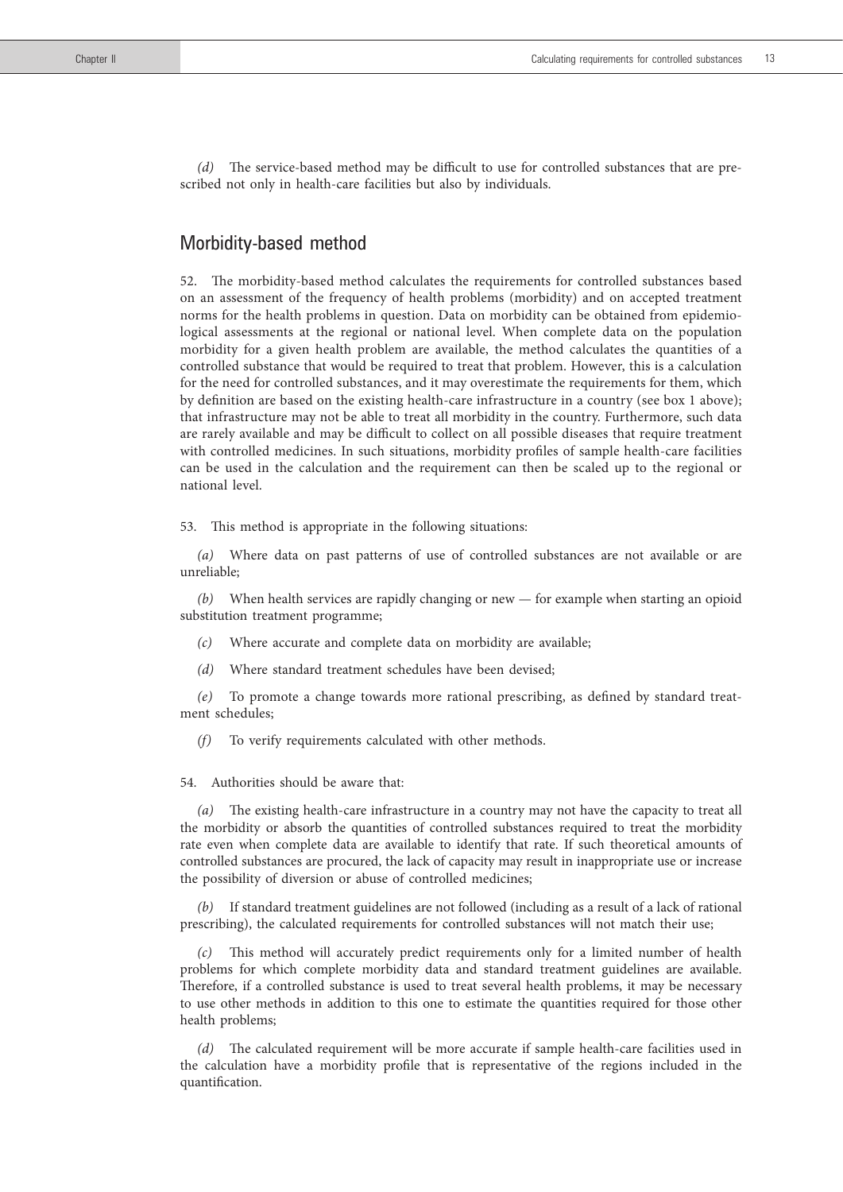*(d)* The service-based method may be difficult to use for controlled substances that are prescribed not only in health-care facilities but also by individuals.

## Morbidity-based method

52. The morbidity-based method calculates the requirements for controlled substances based on an assessment of the frequency of health problems (morbidity) and on accepted treatment norms for the health problems in question. Data on morbidity can be obtained from epidemiological assessments at the regional or national level. When complete data on the population morbidity for a given health problem are available, the method calculates the quantities of a controlled substance that would be required to treat that problem. However, this is a calculation for the need for controlled substances, and it may overestimate the requirements for them, which by definition are based on the existing health-care infrastructure in a country (see box 1 above); that infrastructure may not be able to treat all morbidity in the country. Furthermore, such data are rarely available and may be difficult to collect on all possible diseases that require treatment with controlled medicines. In such situations, morbidity profiles of sample health-care facilities can be used in the calculation and the requirement can then be scaled up to the regional or national level.

53. This method is appropriate in the following situations:

*(a)* Where data on past patterns of use of controlled substances are not available or are unreliable;

*(b)* When health services are rapidly changing or new — for example when starting an opioid substitution treatment programme;

- *(c)* Where accurate and complete data on morbidity are available;
- *(d)* Where standard treatment schedules have been devised;

*(e)* To promote a change towards more rational prescribing, as defined by standard treatment schedules;

*(f)* To verify requirements calculated with other methods.

54. Authorities should be aware that:

*(a)* The existing health-care infrastructure in a country may not have the capacity to treat all the morbidity or absorb the quantities of controlled substances required to treat the morbidity rate even when complete data are available to identify that rate. If such theoretical amounts of controlled substances are procured, the lack of capacity may result in inappropriate use or increase the possibility of diversion or abuse of controlled medicines;

*(b)* If standard treatment guidelines are not followed (including as a result of a lack of rational prescribing), the calculated requirements for controlled substances will not match their use;

*(c)* This method will accurately predict requirements only for a limited number of health problems for which complete morbidity data and standard treatment guidelines are available. Therefore, if a controlled substance is used to treat several health problems, it may be necessary to use other methods in addition to this one to estimate the quantities required for those other health problems;

*(d)* The calculated requirement will be more accurate if sample health-care facilities used in the calculation have a morbidity profile that is representative of the regions included in the quantification.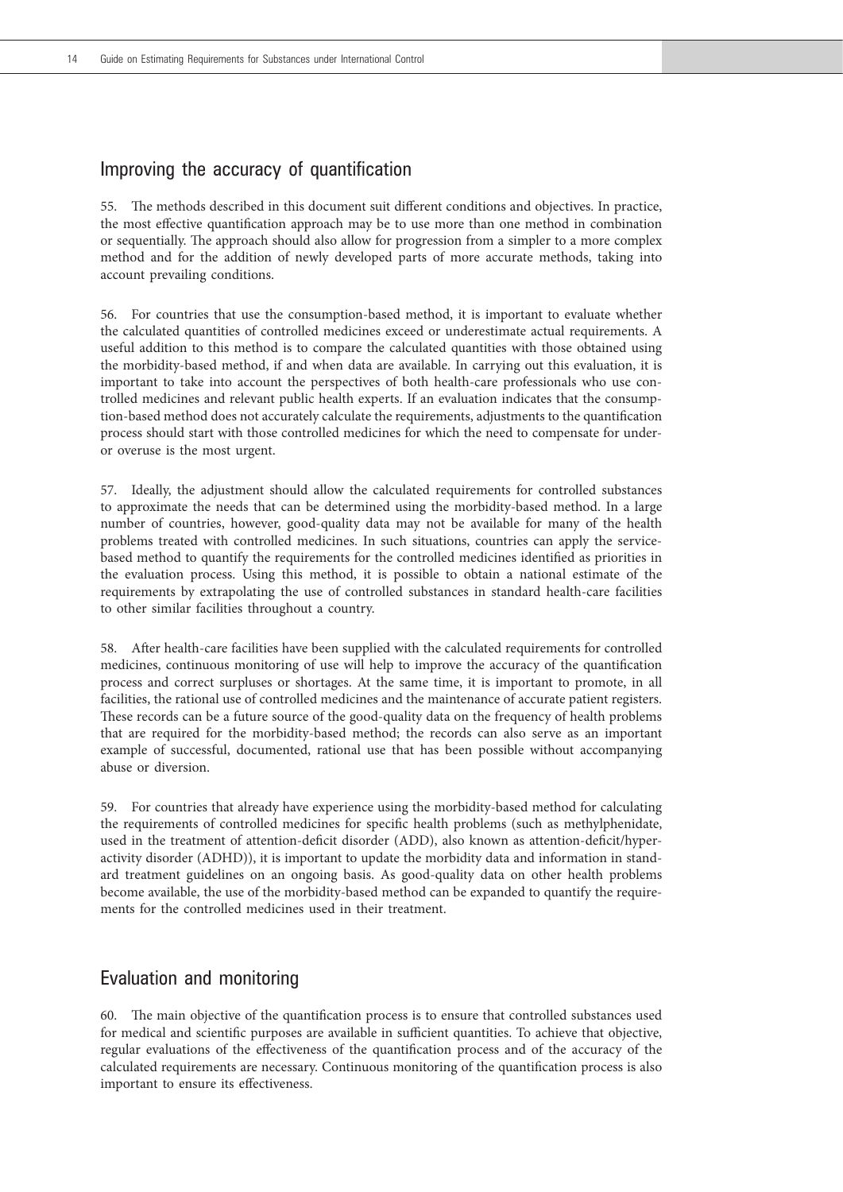## Improving the accuracy of quantification

55. The methods described in this document suit different conditions and objectives. In practice, the most effective quantification approach may be to use more than one method in combination or sequentially. The approach should also allow for progression from a simpler to a more complex method and for the addition of newly developed parts of more accurate methods, taking into account prevailing conditions.

56. For countries that use the consumption-based method, it is important to evaluate whether the calculated quantities of controlled medicines exceed or underestimate actual requirements. A useful addition to this method is to compare the calculated quantities with those obtained using the morbidity-based method, if and when data are available. In carrying out this evaluation, it is important to take into account the perspectives of both health-care professionals who use controlled medicines and relevant public health experts. If an evaluation indicates that the consumption-based method does not accurately calculate the requirements, adjustments to the quantification process should start with those controlled medicines for which the need to compensate for underor overuse is the most urgent.

57. Ideally, the adjustment should allow the calculated requirements for controlled substances to approximate the needs that can be determined using the morbidity-based method. In a large number of countries, however, good-quality data may not be available for many of the health problems treated with controlled medicines. In such situations, countries can apply the servicebased method to quantify the requirements for the controlled medicines identified as priorities in the evaluation process. Using this method, it is possible to obtain a national estimate of the requirements by extrapolating the use of controlled substances in standard health-care facilities to other similar facilities throughout a country.

58. After health-care facilities have been supplied with the calculated requirements for controlled medicines, continuous monitoring of use will help to improve the accuracy of the quantification process and correct surpluses or shortages. At the same time, it is important to promote, in all facilities, the rational use of controlled medicines and the maintenance of accurate patient registers. These records can be a future source of the good-quality data on the frequency of health problems that are required for the morbidity-based method; the records can also serve as an important example of successful, documented, rational use that has been possible without accompanying abuse or diversion.

59. For countries that already have experience using the morbidity-based method for calculating the requirements of controlled medicines for specific health problems (such as methylphenidate, used in the treatment of attention-deficit disorder (ADD), also known as attention-deficit/hyperactivity disorder (ADHD)), it is important to update the morbidity data and information in standard treatment guidelines on an ongoing basis. As good-quality data on other health problems become available, the use of the morbidity-based method can be expanded to quantify the requirements for the controlled medicines used in their treatment.

## Evaluation and monitoring

60. The main objective of the quantification process is to ensure that controlled substances used for medical and scientific purposes are available in sufficient quantities. To achieve that objective, regular evaluations of the effectiveness of the quantification process and of the accuracy of the calculated requirements are necessary. Continuous monitoring of the quantification process is also important to ensure its effectiveness.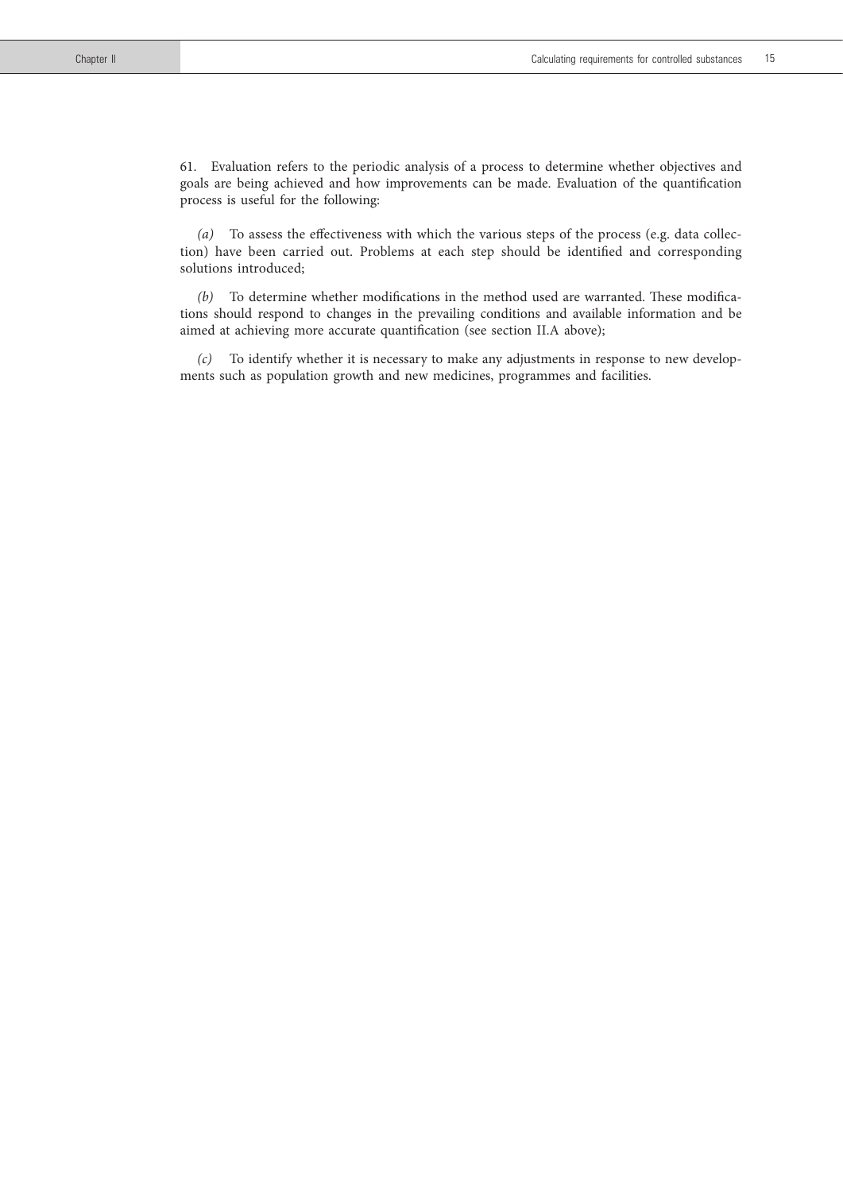61. Evaluation refers to the periodic analysis of a process to determine whether objectives and goals are being achieved and how improvements can be made. Evaluation of the quantification process is useful for the following:

*(a)* To assess the effectiveness with which the various steps of the process (e.g. data collection) have been carried out. Problems at each step should be identified and corresponding solutions introduced;

*(b)* To determine whether modifications in the method used are warranted. These modifications should respond to changes in the prevailing conditions and available information and be aimed at achieving more accurate quantification (see section II.A above);

*(c)* To identify whether it is necessary to make any adjustments in response to new developments such as population growth and new medicines, programmes and facilities.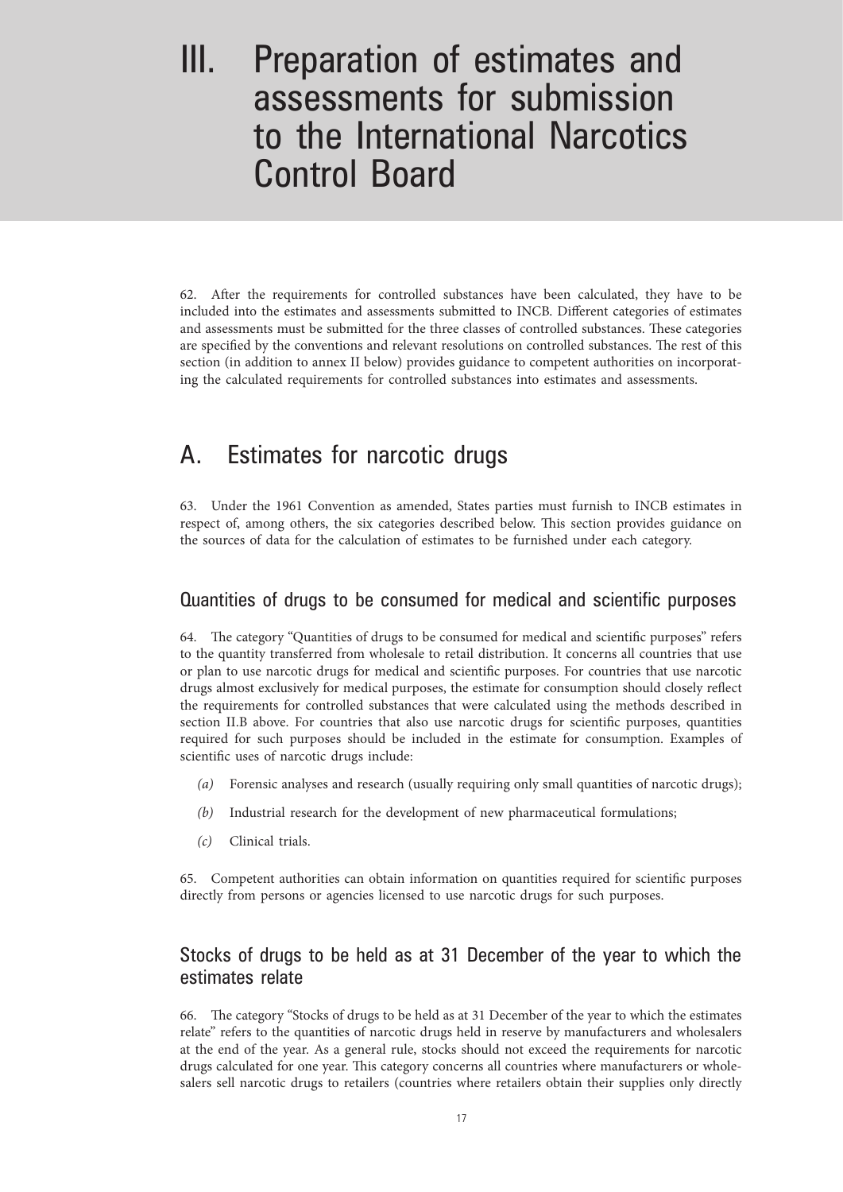# III. Preparation of estimates and assessments for submission to the International Narcotics Control Board

62. After the requirements for controlled substances have been calculated, they have to be included into the estimates and assessments submitted to INCB. Different categories of estimates and assessments must be submitted for the three classes of controlled substances. These categories are specified by the conventions and relevant resolutions on controlled substances. The rest of this section (in addition to annex II below) provides guidance to competent authorities on incorporating the calculated requirements for controlled substances into estimates and assessments.

# A. Estimates for narcotic drugs

63. Under the 1961 Convention as amended, States parties must furnish to INCB estimates in respect of, among others, the six categories described below. This section provides guidance on the sources of data for the calculation of estimates to be furnished under each category.

## Quantities of drugs to be consumed for medical and scientific purposes

64. The category "Quantities of drugs to be consumed for medical and scientific purposes" refers to the quantity transferred from wholesale to retail distribution. It concerns all countries that use or plan to use narcotic drugs for medical and scientific purposes. For countries that use narcotic drugs almost exclusively for medical purposes, the estimate for consumption should closely reflect the requirements for controlled substances that were calculated using the methods described in section II.B above. For countries that also use narcotic drugs for scientific purposes, quantities required for such purposes should be included in the estimate for consumption. Examples of scientific uses of narcotic drugs include:

- *(a)* Forensic analyses and research (usually requiring only small quantities of narcotic drugs);
- *(b)* Industrial research for the development of new pharmaceutical formulations;
- *(c)* Clinical trials.

65. Competent authorities can obtain information on quantities required for scientific purposes directly from persons or agencies licensed to use narcotic drugs for such purposes.

# Stocks of drugs to be held as at 31 December of the year to which the estimates relate

66. The category "Stocks of drugs to be held as at 31 December of the year to which the estimates relate" refers to the quantities of narcotic drugs held in reserve by manufacturers and wholesalers at the end of the year. As a general rule, stocks should not exceed the requirements for narcotic drugs calculated for one year. This category concerns all countries where manufacturers or wholesalers sell narcotic drugs to retailers (countries where retailers obtain their supplies only directly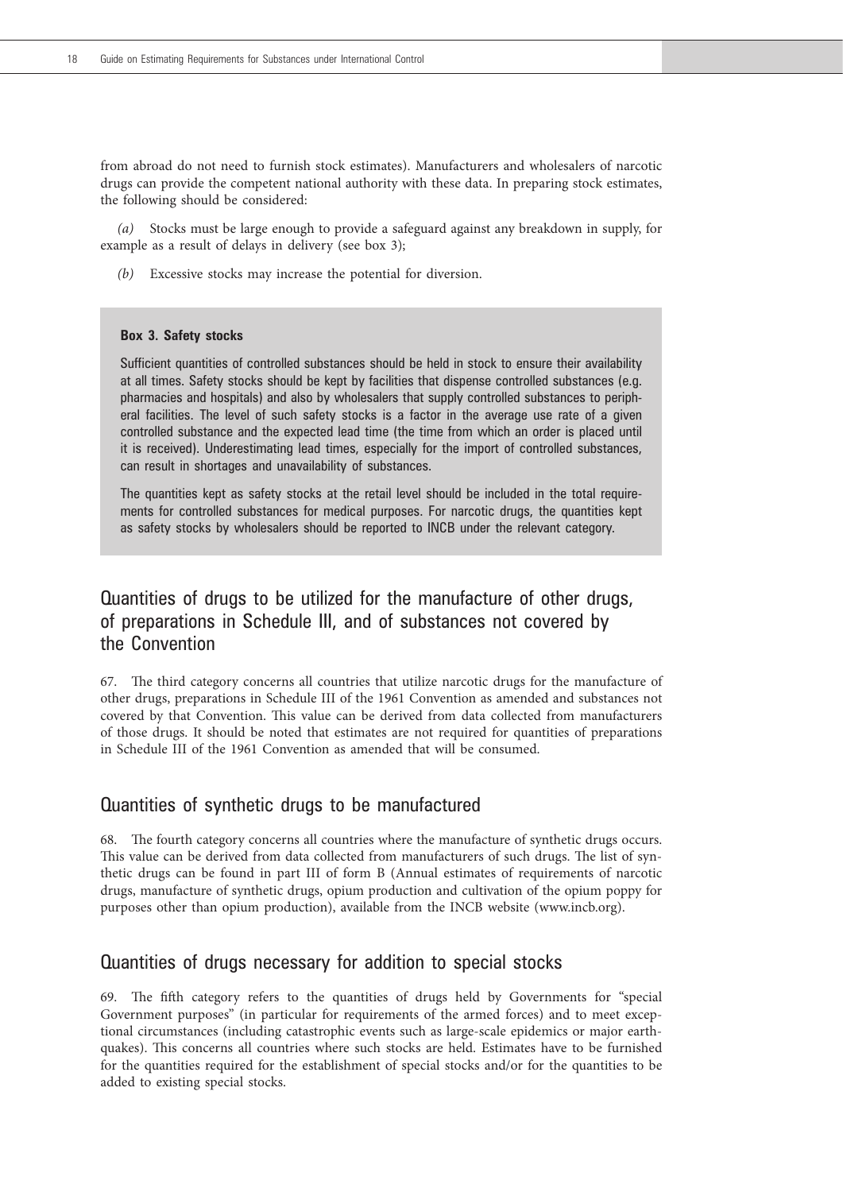from abroad do not need to furnish stock estimates). Manufacturers and wholesalers of narcotic drugs can provide the competent national authority with these data. In preparing stock estimates, the following should be considered:

*(a)* Stocks must be large enough to provide a safeguard against any breakdown in supply, for example as a result of delays in delivery (see box 3);

*(b)* Excessive stocks may increase the potential for diversion.

#### **Box 3. Safety stocks**

Sufficient quantities of controlled substances should be held in stock to ensure their availability at all times. Safety stocks should be kept by facilities that dispense controlled substances (e.g. pharmacies and hospitals) and also by wholesalers that supply controlled substances to peripheral facilities. The level of such safety stocks is a factor in the average use rate of a given controlled substance and the expected lead time (the time from which an order is placed until it is received). Underestimating lead times, especially for the import of controlled substances, can result in shortages and unavailability of substances.

The quantities kept as safety stocks at the retail level should be included in the total requirements for controlled substances for medical purposes. For narcotic drugs, the quantities kept as safety stocks by wholesalers should be reported to INCB under the relevant category.

# Quantities of drugs to be utilized for the manufacture of other drugs, of preparations in Schedule III, and of substances not covered by the Convention

67. The third category concerns all countries that utilize narcotic drugs for the manufacture of other drugs, preparations in Schedule III of the 1961 Convention as amended and substances not covered by that Convention. This value can be derived from data collected from manufacturers of those drugs. It should be noted that estimates are not required for quantities of preparations in Schedule III of the 1961 Convention as amended that will be consumed.

### Quantities of synthetic drugs to be manufactured

68. The fourth category concerns all countries where the manufacture of synthetic drugs occurs. This value can be derived from data collected from manufacturers of such drugs. The list of synthetic drugs can be found in part III of form B (Annual estimates of requirements of narcotic drugs, manufacture of synthetic drugs, opium production and cultivation of the opium poppy for purposes other than opium production), available from the INCB website (www.incb.org).

## Quantities of drugs necessary for addition to special stocks

69. The fifth category refers to the quantities of drugs held by Governments for "special Government purposes" (in particular for requirements of the armed forces) and to meet exceptional circumstances (including catastrophic events such as large-scale epidemics or major earthquakes). This concerns all countries where such stocks are held. Estimates have to be furnished for the quantities required for the establishment of special stocks and/or for the quantities to be added to existing special stocks.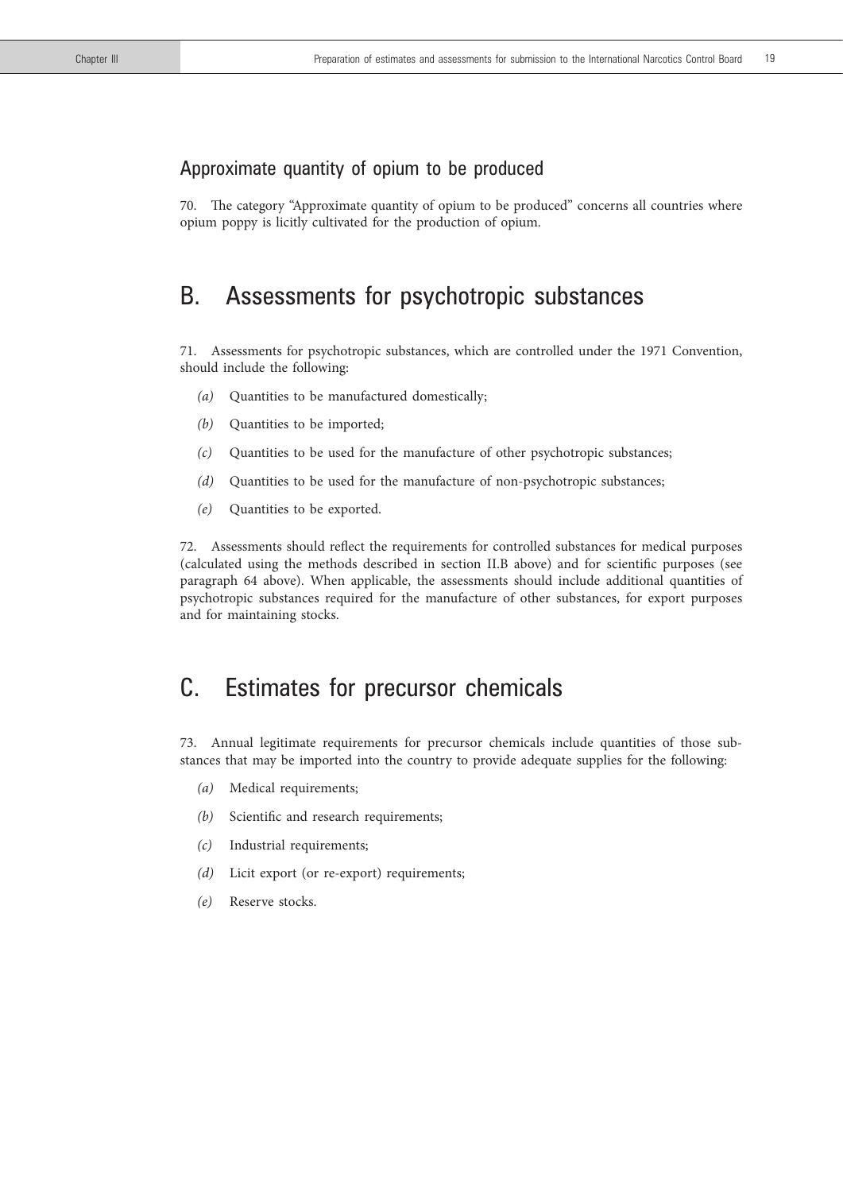## Approximate quantity of opium to be produced

70. The category "Approximate quantity of opium to be produced" concerns all countries where opium poppy is licitly cultivated for the production of opium.

# B. Assessments for psychotropic substances

71. Assessments for psychotropic substances, which are controlled under the 1971 Convention, should include the following:

- *(a)* Quantities to be manufactured domestically;
- *(b)* Quantities to be imported;
- *(c)* Quantities to be used for the manufacture of other psychotropic substances;
- *(d)* Quantities to be used for the manufacture of non-psychotropic substances;
- *(e)* Quantities to be exported.

72. Assessments should reflect the requirements for controlled substances for medical purposes (calculated using the methods described in section II.B above) and for scientific purposes (see paragraph 64 above). When applicable, the assessments should include additional quantities of psychotropic substances required for the manufacture of other substances, for export purposes and for maintaining stocks.

# C. Estimates for precursor chemicals

73. Annual legitimate requirements for precursor chemicals include quantities of those substances that may be imported into the country to provide adequate supplies for the following:

- *(a)* Medical requirements;
- *(b)* Scientific and research requirements;
- *(c)* Industrial requirements;
- *(d)* Licit export (or re-export) requirements;
- *(e)* Reserve stocks.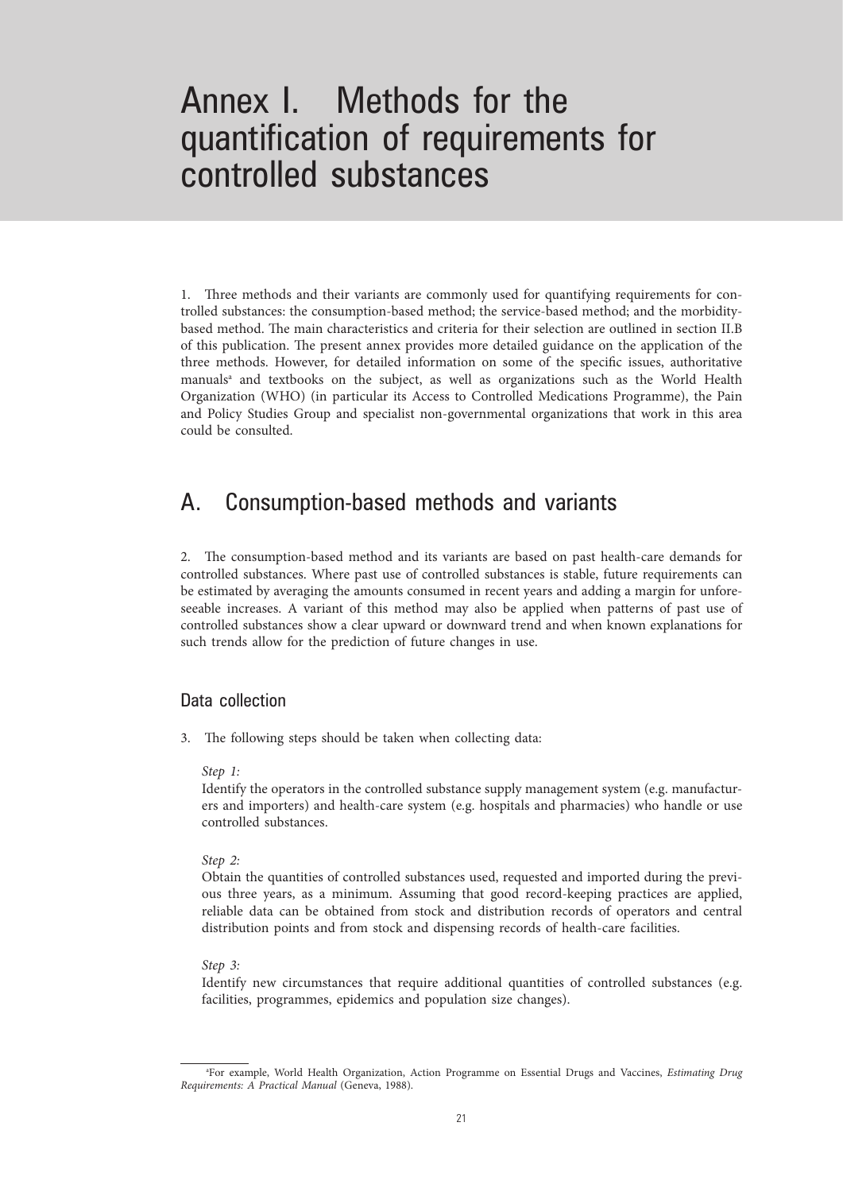# Annex I. Methods for the quantification of requirements for controlled substances

1. Three methods and their variants are commonly used for quantifying requirements for controlled substances: the consumption-based method; the service-based method; and the morbiditybased method. The main characteristics and criteria for their selection are outlined in section II.B of this publication. The present annex provides more detailed guidance on the application of the three methods. However, for detailed information on some of the specific issues, authoritative manuals<sup>a</sup> and textbooks on the subject, as well as organizations such as the World Health Organization (WHO) (in particular its Access to Controlled Medications Programme), the Pain and Policy Studies Group and specialist non-governmental organizations that work in this area could be consulted.

# A. Consumption-based methods and variants

2. The consumption-based method and its variants are based on past health-care demands for controlled substances. Where past use of controlled substances is stable, future requirements can be estimated by averaging the amounts consumed in recent years and adding a margin for unforeseeable increases. A variant of this method may also be applied when patterns of past use of controlled substances show a clear upward or downward trend and when known explanations for such trends allow for the prediction of future changes in use.

## Data collection

3. The following steps should be taken when collecting data:

#### *Step 1:*

 Identify the operators in the controlled substance supply management system (e.g. manufacturers and importers) and health-care system (e.g. hospitals and pharmacies) who handle or use controlled substances.

#### *Step 2:*

 Obtain the quantities of controlled substances used, requested and imported during the previous three years, as a minimum. Assuming that good record-keeping practices are applied, reliable data can be obtained from stock and distribution records of operators and central distribution points and from stock and dispensing records of health-care facilities.

#### *Step 3:*

 Identify new circumstances that require additional quantities of controlled substances (e.g. facilities, programmes, epidemics and population size changes).

a For example, World Health Organization, Action Programme on Essential Drugs and Vaccines, *Estimating Drug Requirements: A Practical Manual* (Geneva, 1988).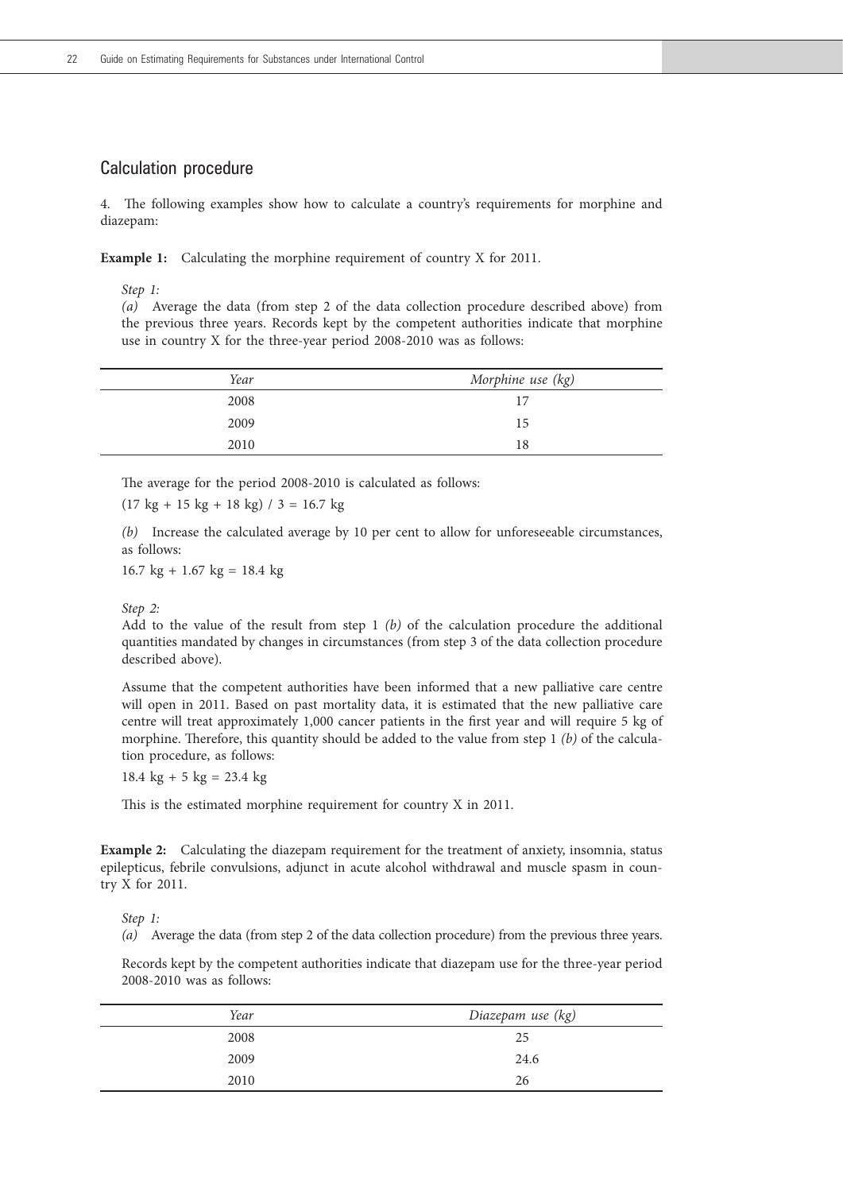### Calculation procedure

4. The following examples show how to calculate a country's requirements for morphine and diazepam:

**Example 1:** Calculating the morphine requirement of country X for 2011.

*Step 1:*

*(a)* Average the data (from step 2 of the data collection procedure described above) from the previous three years. Records kept by the competent authorities indicate that morphine use in country X for the three-year period 2008-2010 was as follows:

| Year | Morphine use (kg) |
|------|-------------------|
| 2008 | 17                |
| 2009 | 15                |
| 2010 | 18                |

The average for the period 2008-2010 is calculated as follows:

 $(17 \text{ kg} + 15 \text{ kg} + 18 \text{ kg}) / 3 = 16.7 \text{ kg}$ 

 *(b)* Increase the calculated average by 10 per cent to allow for unforeseeable circumstances, as follows:

 $16.7 \text{ kg} + 1.67 \text{ kg} = 18.4 \text{ kg}$ 

#### *Step 2:*

 Add to the value of the result from step 1 *(b)* of the calculation procedure the additional quantities mandated by changes in circumstances (from step 3 of the data collection procedure described above).

 Assume that the competent authorities have been informed that a new palliative care centre will open in 2011. Based on past mortality data, it is estimated that the new palliative care centre will treat approximately 1,000 cancer patients in the first year and will require 5 kg of morphine. Therefore, this quantity should be added to the value from step 1 *(b)* of the calculation procedure, as follows:

 $18.4 \text{ kg} + 5 \text{ kg} = 23.4 \text{ kg}$ 

This is the estimated morphine requirement for country X in 2011.

**Example 2:** Calculating the diazepam requirement for the treatment of anxiety, insomnia, status epilepticus, febrile convulsions, adjunct in acute alcohol withdrawal and muscle spasm in country X for 2011.

*Step 1:* 

*(a)* Average the data (from step 2 of the data collection procedure) from the previous three years.

 Records kept by the competent authorities indicate that diazepam use for the three-year period 2008-2010 was as follows:

| Year | Diazepam use (kg) |
|------|-------------------|
| 2008 | 25                |
| 2009 | 24.6              |
| 2010 | 26                |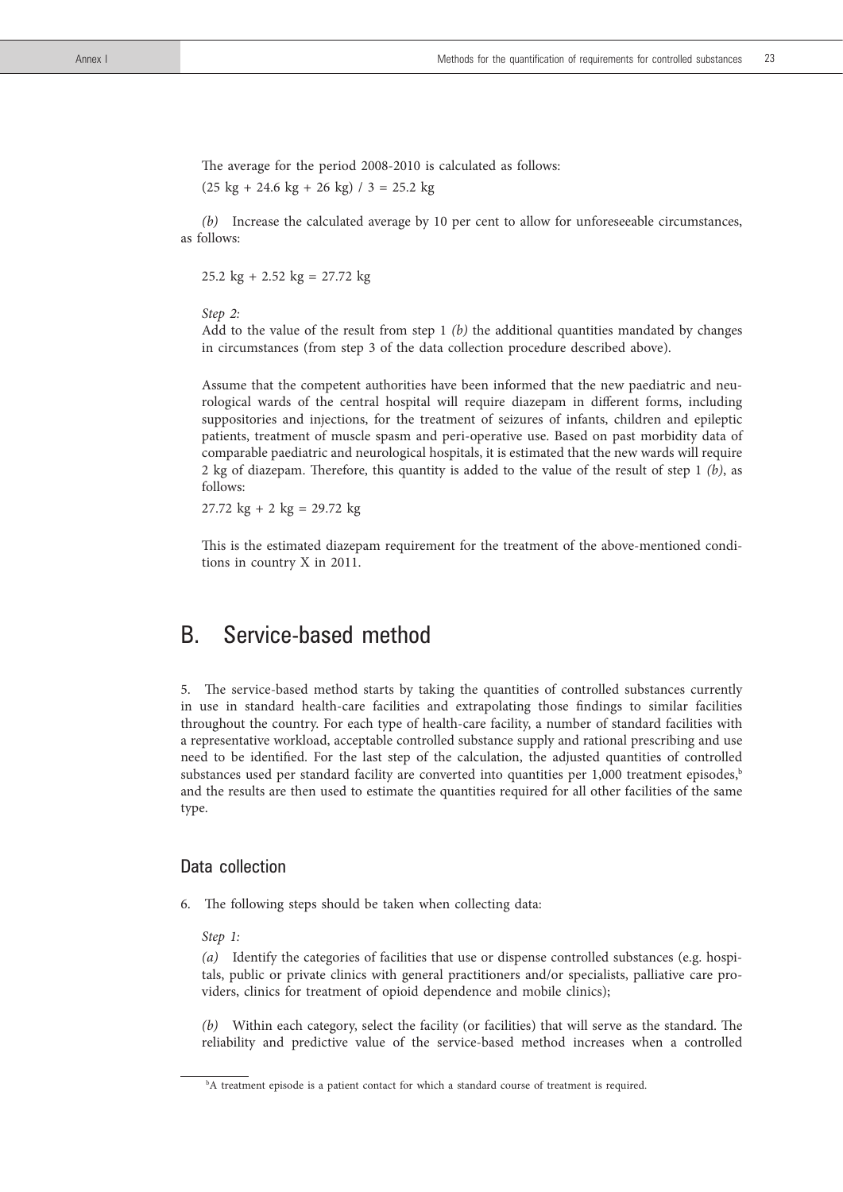The average for the period 2008-2010 is calculated as follows:

 $(25 \text{ kg} + 24.6 \text{ kg} + 26 \text{ kg})$  / 3 = 25.2 kg

*(b)* Increase the calculated average by 10 per cent to allow for unforeseeable circumstances, as follows:

25.2 kg + 2.52 kg = 27.72 kg

*Step 2:* 

 Add to the value of the result from step 1 *(b)* the additional quantities mandated by changes in circumstances (from step 3 of the data collection procedure described above).

 Assume that the competent authorities have been informed that the new paediatric and neurological wards of the central hospital will require diazepam in different forms, including suppositories and injections, for the treatment of seizures of infants, children and epileptic patients, treatment of muscle spasm and peri-operative use. Based on past morbidity data of comparable paediatric and neurological hospitals, it is estimated that the new wards will require 2 kg of diazepam. Therefore, this quantity is added to the value of the result of step 1 *(b)*, as follows:

 $27.72 \text{ kg} + 2 \text{ kg} = 29.72 \text{ kg}$ 

 This is the estimated diazepam requirement for the treatment of the above-mentioned conditions in country X in 2011.

# B. Service-based method

5. The service-based method starts by taking the quantities of controlled substances currently in use in standard health-care facilities and extrapolating those findings to similar facilities throughout the country. For each type of health-care facility, a number of standard facilities with a representative workload, acceptable controlled substance supply and rational prescribing and use need to be identified. For the last step of the calculation, the adjusted quantities of controlled substances used per standard facility are converted into quantities per  $1,000$  treatment episodes, $\frac{b}{b}$ and the results are then used to estimate the quantities required for all other facilities of the same type.

## Data collection

- 6. The following steps should be taken when collecting data:
	- *Step 1:*

*(a)* Identify the categories of facilities that use or dispense controlled substances (e.g. hospitals, public or private clinics with general practitioners and/or specialists, palliative care providers, clinics for treatment of opioid dependence and mobile clinics);

*(b)* Within each category, select the facility (or facilities) that will serve as the standard. The reliability and predictive value of the service-based method increases when a controlled

b A treatment episode is a patient contact for which a standard course of treatment is required.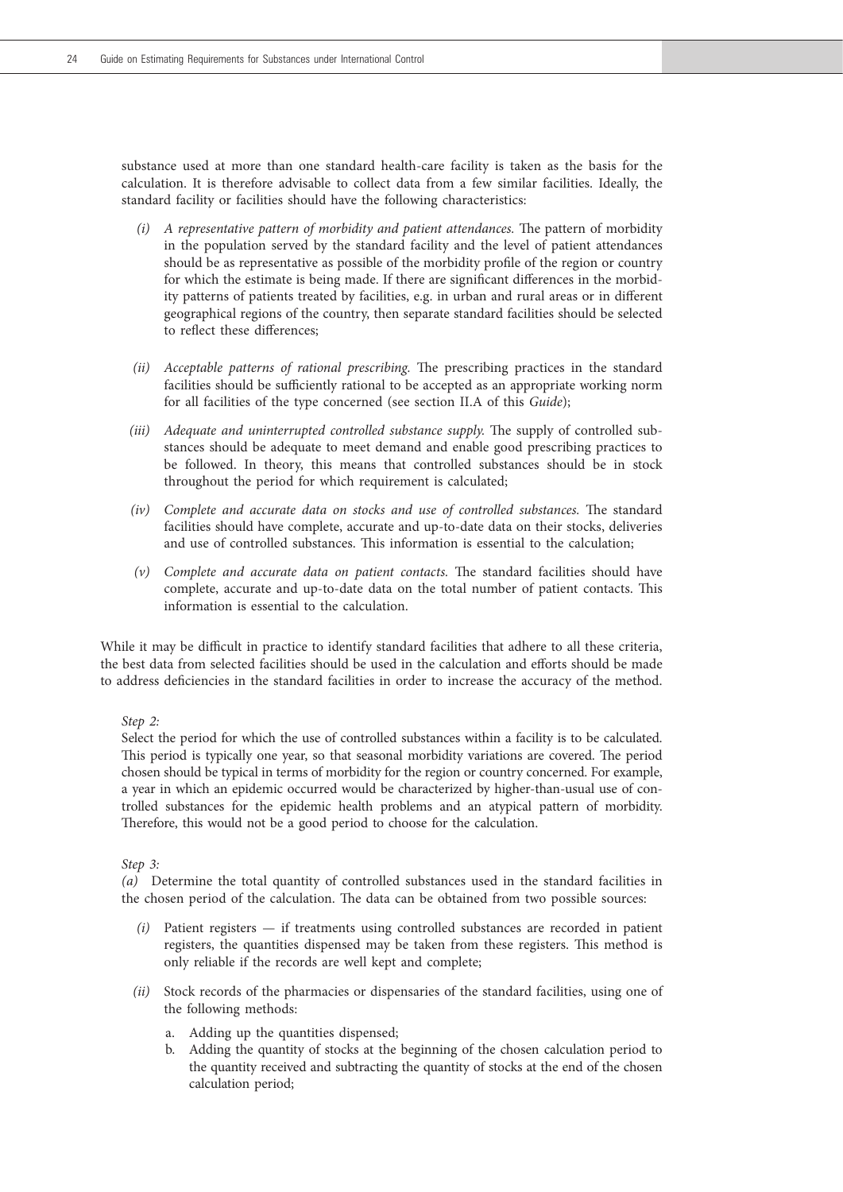substance used at more than one standard health-care facility is taken as the basis for the calculation. It is therefore advisable to collect data from a few similar facilities. Ideally, the standard facility or facilities should have the following characteristics:

- *(i) A representative pattern of morbidity and patient attendances.* The pattern of morbidity in the population served by the standard facility and the level of patient attendances should be as representative as possible of the morbidity profile of the region or country for which the estimate is being made. If there are significant differences in the morbidity patterns of patients treated by facilities, e.g. in urban and rural areas or in different geographical regions of the country, then separate standard facilities should be selected to reflect these differences;
- *(ii) Acceptable patterns of rational prescribing.* The prescribing practices in the standard facilities should be sufficiently rational to be accepted as an appropriate working norm for all facilities of the type concerned (see section II.A of this *Guide*);
- *(iii) Adequate and uninterrupted controlled substance supply.* The supply of controlled substances should be adequate to meet demand and enable good prescribing practices to be followed. In theory, this means that controlled substances should be in stock throughout the period for which requirement is calculated;
- *(iv) Complete and accurate data on stocks and use of controlled substances.* The standard facilities should have complete, accurate and up-to-date data on their stocks, deliveries and use of controlled substances. This information is essential to the calculation;
- *(v) Complete and accurate data on patient contacts.* The standard facilities should have complete, accurate and up-to-date data on the total number of patient contacts. This information is essential to the calculation.

While it may be difficult in practice to identify standard facilities that adhere to all these criteria, the best data from selected facilities should be used in the calculation and efforts should be made to address deficiencies in the standard facilities in order to increase the accuracy of the method.

*Step 2:*

 Select the period for which the use of controlled substances within a facility is to be calculated. This period is typically one year, so that seasonal morbidity variations are covered. The period chosen should be typical in terms of morbidity for the region or country concerned. For example, a year in which an epidemic occurred would be characterized by higher-than-usual use of controlled substances for the epidemic health problems and an atypical pattern of morbidity. Therefore, this would not be a good period to choose for the calculation.

*Step 3:*

 *(a)* Determine the total quantity of controlled substances used in the standard facilities in the chosen period of the calculation. The data can be obtained from two possible sources:

- *(i)* Patient registers if treatments using controlled substances are recorded in patient registers, the quantities dispensed may be taken from these registers. This method is only reliable if the records are well kept and complete;
- *(ii)* Stock records of the pharmacies or dispensaries of the standard facilities, using one of the following methods:
	- a. Adding up the quantities dispensed;
	- b. Adding the quantity of stocks at the beginning of the chosen calculation period to the quantity received and subtracting the quantity of stocks at the end of the chosen calculation period;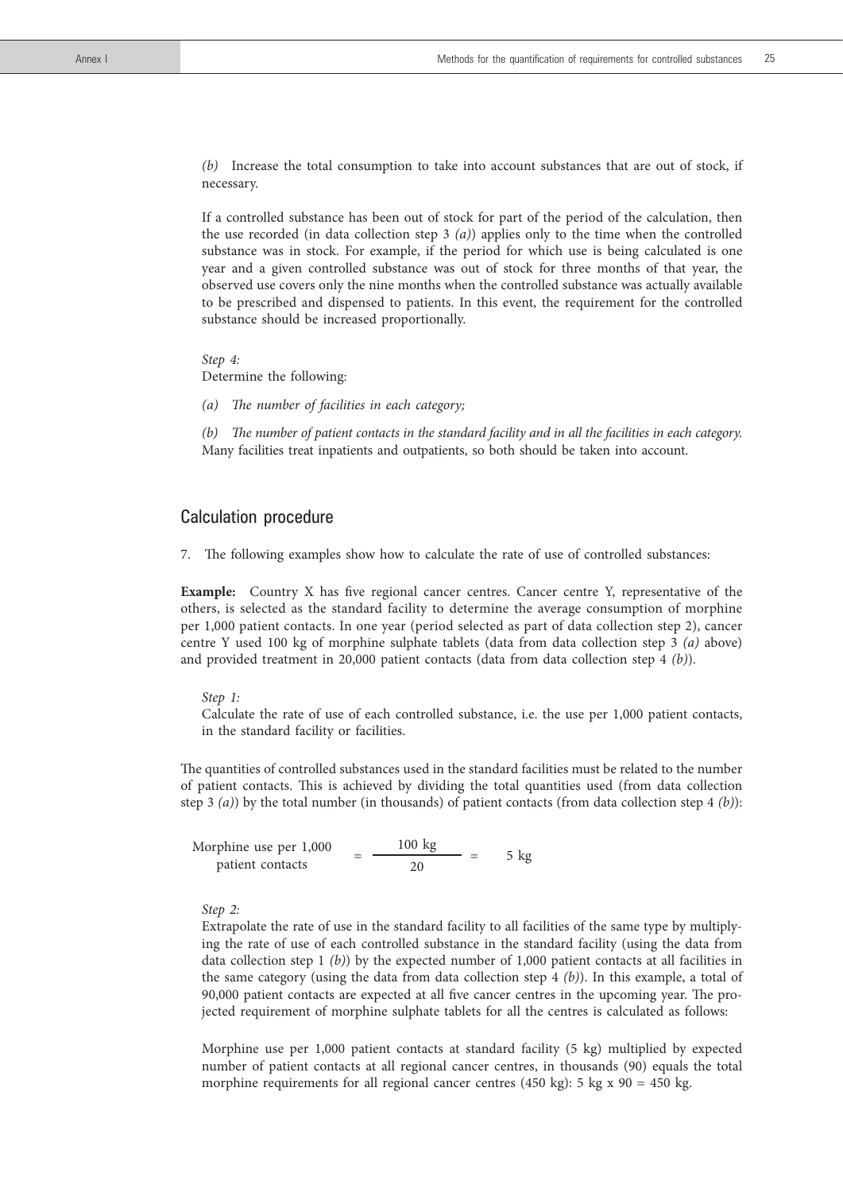*(b)* Increase the total consumption to take into account substances that are out of stock, if necessary.

 If a controlled substance has been out of stock for part of the period of the calculation, then the use recorded (in data collection step 3 *(a)*) applies only to the time when the controlled substance was in stock. For example, if the period for which use is being calculated is one year and a given controlled substance was out of stock for three months of that year, the observed use covers only the nine months when the controlled substance was actually available to be prescribed and dispensed to patients. In this event, the requirement for the controlled substance should be increased proportionally.

*Step 4:* Determine the following:

*(a) The number of facilities in each category;*

*(b) The number of patient contacts in the standard facility and in all the facilities in each category.* Many facilities treat inpatients and outpatients, so both should be taken into account.

#### Calculation procedure

7. The following examples show how to calculate the rate of use of controlled substances:

**Example:** Country X has five regional cancer centres. Cancer centre Y, representative of the others, is selected as the standard facility to determine the average consumption of morphine per 1,000 patient contacts. In one year (period selected as part of data collection step 2), cancer centre Y used 100 kg of morphine sulphate tablets (data from data collection step 3 *(a)* above) and provided treatment in 20,000 patient contacts (data from data collection step 4 *(b)*).

*Step 1:*

 Calculate the rate of use of each controlled substance, i.e. the use per 1,000 patient contacts, in the standard facility or facilities.

The quantities of controlled substances used in the standard facilities must be related to the number of patient contacts. This is achieved by dividing the total quantities used (from data collection step 3 *(a)*) by the total number (in thousands) of patient contacts (from data collection step 4 *(b)*):

Morphine use per 1,000  $=$   $\frac{100 \text{ kg}}{20}$   $=$  5 kg

#### *Step 2:*

 Extrapolate the rate of use in the standard facility to all facilities of the same type by multiplying the rate of use of each controlled substance in the standard facility (using the data from data collection step 1 *(b)*) by the expected number of 1,000 patient contacts at all facilities in the same category (using the data from data collection step 4 *(b)*). In this example, a total of 90,000 patient contacts are expected at all five cancer centres in the upcoming year. The projected requirement of morphine sulphate tablets for all the centres is calculated as follows:

 Morphine use per 1,000 patient contacts at standard facility (5 kg) multiplied by expected number of patient contacts at all regional cancer centres, in thousands (90) equals the total morphine requirements for all regional cancer centres (450 kg): 5 kg  $x$  90 = 450 kg.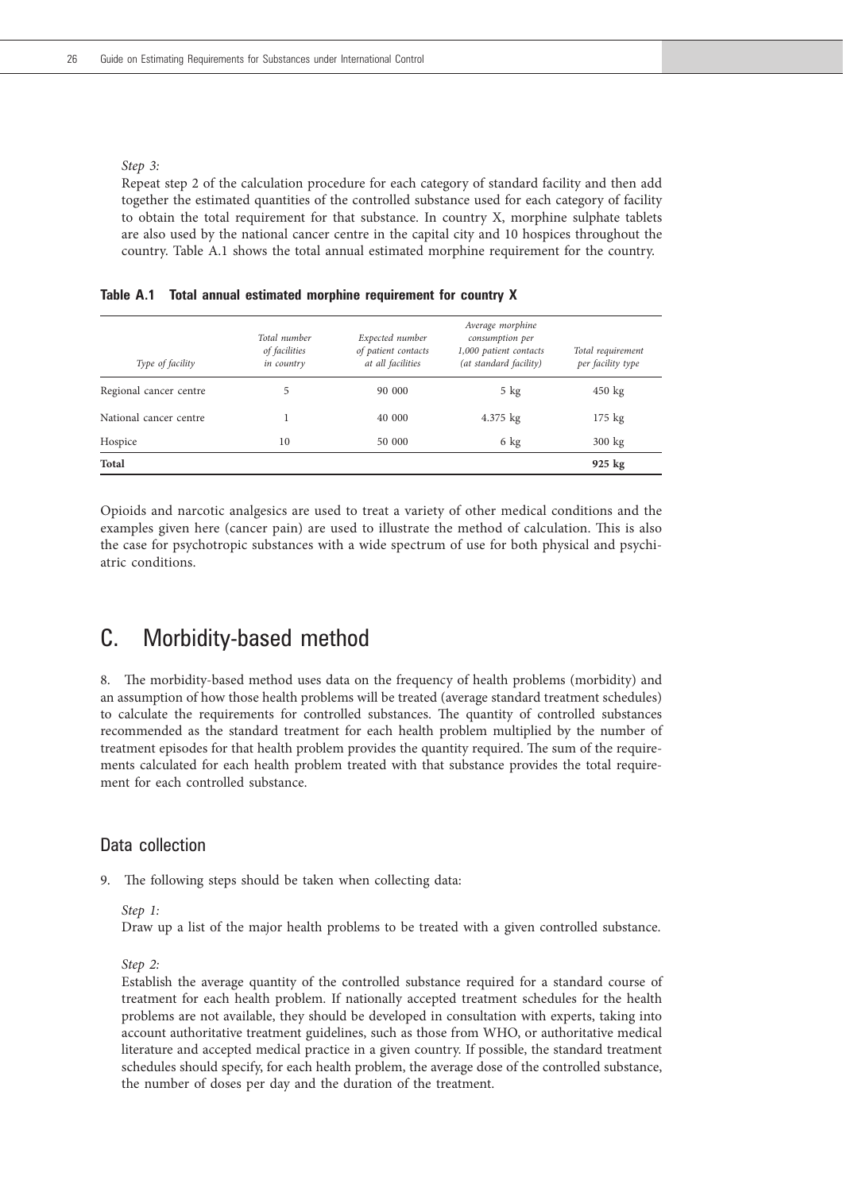#### *Step 3:*

 Repeat step 2 of the calculation procedure for each category of standard facility and then add together the estimated quantities of the controlled substance used for each category of facility to obtain the total requirement for that substance. In country X, morphine sulphate tablets are also used by the national cancer centre in the capital city and 10 hospices throughout the country. Table A.1 shows the total annual estimated morphine requirement for the country.

| Type of facility       | Total number<br>of facilities<br>in country | Expected number<br>of patient contacts<br>at all facilities | Average morphine<br>consumption per<br>1,000 patient contacts<br>(at standard facility) | Total requirement<br>per facility type |
|------------------------|---------------------------------------------|-------------------------------------------------------------|-----------------------------------------------------------------------------------------|----------------------------------------|
| Regional cancer centre | 5.                                          | 90 000                                                      | $5$ kg                                                                                  | $450 \text{ kg}$                       |
| National cancer centre |                                             | 40 000                                                      | 4.375 kg                                                                                | 175 kg                                 |
| Hospice                | 10                                          | 50 000                                                      | 6 kg                                                                                    | $300 \text{ kg}$                       |

**Total 925 kg**

**Table A.1 Total annual estimated morphine requirement for country X**

Opioids and narcotic analgesics are used to treat a variety of other medical conditions and the examples given here (cancer pain) are used to illustrate the method of calculation. This is also the case for psychotropic substances with a wide spectrum of use for both physical and psychiatric conditions.

# C. Morbidity-based method

8. The morbidity-based method uses data on the frequency of health problems (morbidity) and an assumption of how those health problems will be treated (average standard treatment schedules) to calculate the requirements for controlled substances. The quantity of controlled substances recommended as the standard treatment for each health problem multiplied by the number of treatment episodes for that health problem provides the quantity required. The sum of the requirements calculated for each health problem treated with that substance provides the total requirement for each controlled substance.

### Data collection

9. The following steps should be taken when collecting data:

*Step 1:*

Draw up a list of the major health problems to be treated with a given controlled substance.

*Step 2:*

 Establish the average quantity of the controlled substance required for a standard course of treatment for each health problem. If nationally accepted treatment schedules for the health problems are not available, they should be developed in consultation with experts, taking into account authoritative treatment guidelines, such as those from WHO, or authoritative medical literature and accepted medical practice in a given country. If possible, the standard treatment schedules should specify, for each health problem, the average dose of the controlled substance, the number of doses per day and the duration of the treatment.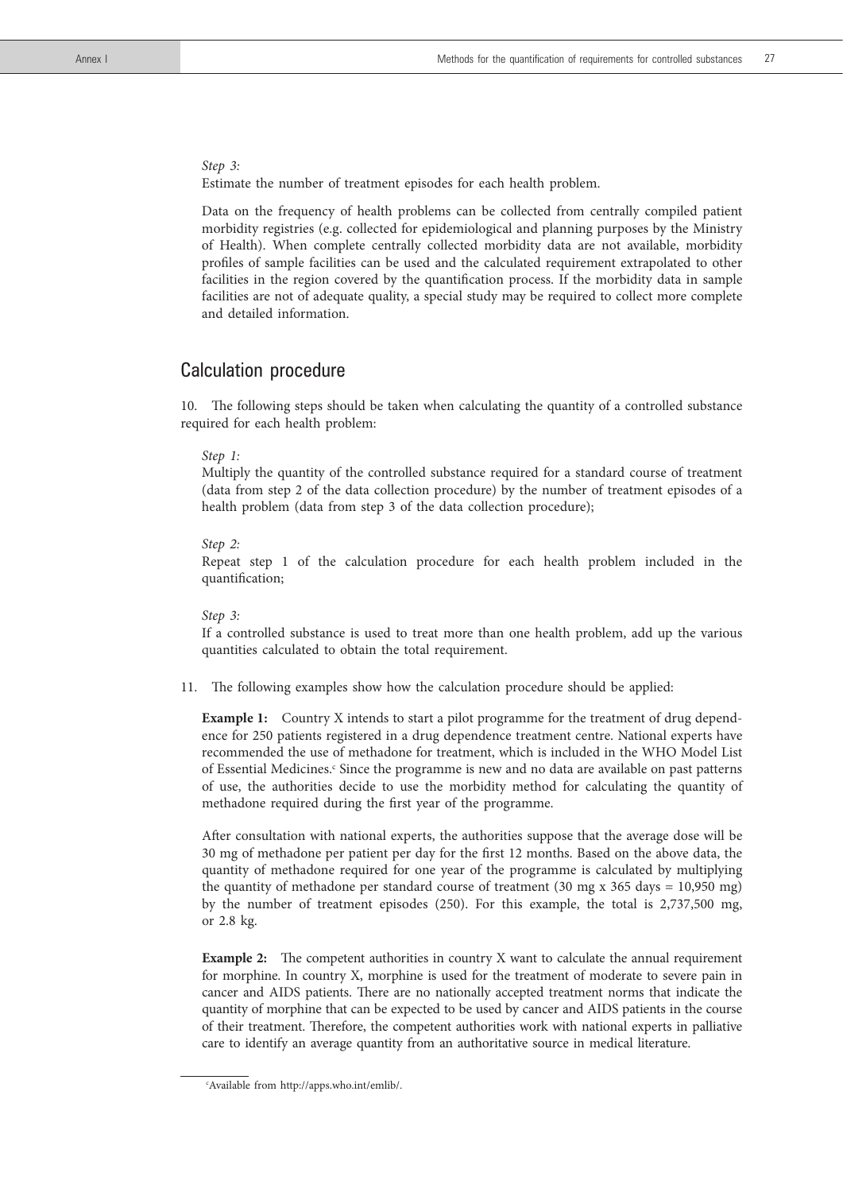*Step 3:*  Estimate the number of treatment episodes for each health problem.

 Data on the frequency of health problems can be collected from centrally compiled patient morbidity registries (e.g. collected for epidemiological and planning purposes by the Ministry of Health). When complete centrally collected morbidity data are not available, morbidity profiles of sample facilities can be used and the calculated requirement extrapolated to other facilities in the region covered by the quantification process. If the morbidity data in sample facilities are not of adequate quality, a special study may be required to collect more complete and detailed information.

## Calculation procedure

10. The following steps should be taken when calculating the quantity of a controlled substance required for each health problem:

#### *Step 1:*

 Multiply the quantity of the controlled substance required for a standard course of treatment (data from step 2 of the data collection procedure) by the number of treatment episodes of a health problem (data from step 3 of the data collection procedure);

#### *Step 2:*

 Repeat step 1 of the calculation procedure for each health problem included in the quantification;

#### *Step 3:*

 If a controlled substance is used to treat more than one health problem, add up the various quantities calculated to obtain the total requirement.

11. The following examples show how the calculation procedure should be applied:

**Example 1:** Country X intends to start a pilot programme for the treatment of drug dependence for 250 patients registered in a drug dependence treatment centre. National experts have recommended the use of methadone for treatment, which is included in the WHO Model List of Essential Medicines.<sup>c</sup> Since the programme is new and no data are available on past patterns of use, the authorities decide to use the morbidity method for calculating the quantity of methadone required during the first year of the programme.

 After consultation with national experts, the authorities suppose that the average dose will be 30 mg of methadone per patient per day for the first 12 months. Based on the above data, the quantity of methadone required for one year of the programme is calculated by multiplying the quantity of methadone per standard course of treatment (30 mg x 365 days = 10,950 mg) by the number of treatment episodes (250). For this example, the total is 2,737,500 mg, or 2.8 kg.

**Example 2:** The competent authorities in country X want to calculate the annual requirement for morphine. In country X, morphine is used for the treatment of moderate to severe pain in cancer and AIDS patients. There are no nationally accepted treatment norms that indicate the quantity of morphine that can be expected to be used by cancer and AIDS patients in the course of their treatment. Therefore, the competent authorities work with national experts in palliative care to identify an average quantity from an authoritative source in medical literature.

c Available from http://apps.who.int/emlib/.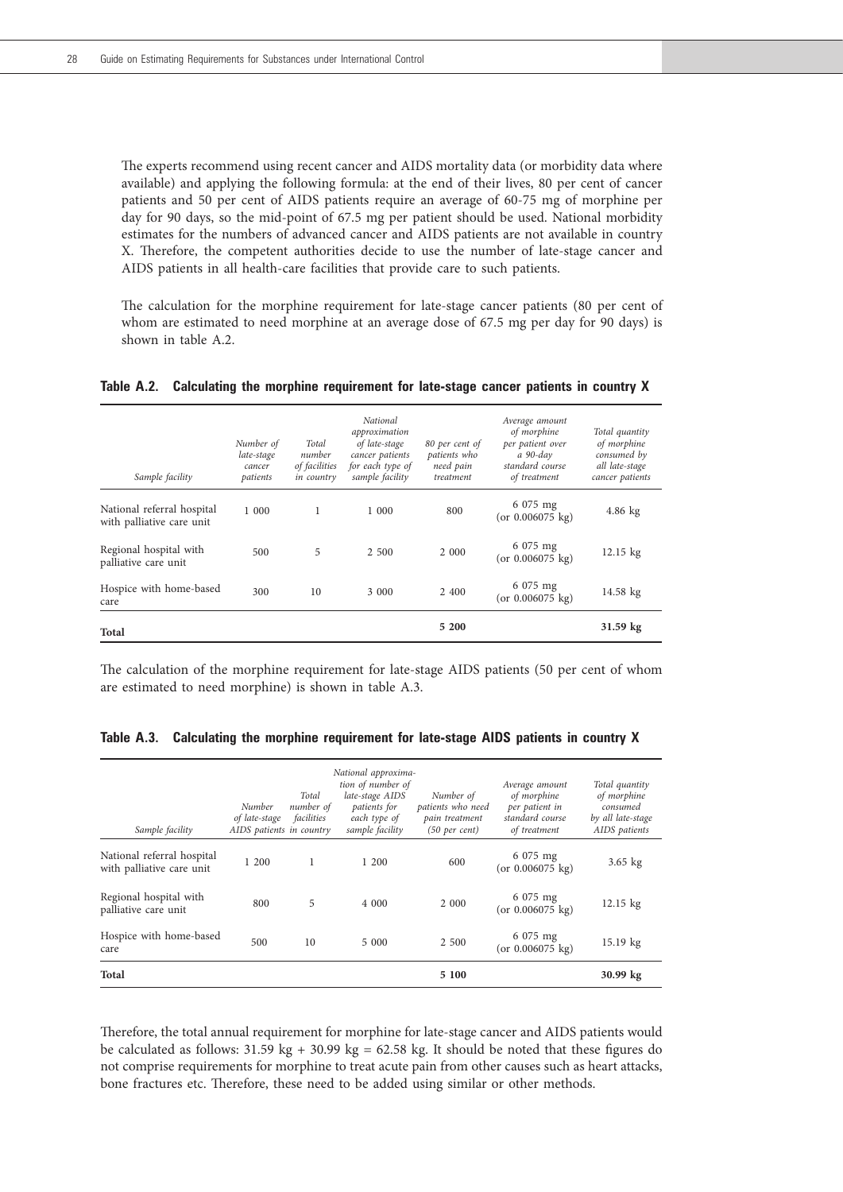The experts recommend using recent cancer and AIDS mortality data (or morbidity data where available) and applying the following formula: at the end of their lives, 80 per cent of cancer patients and 50 per cent of AIDS patients require an average of 60-75 mg of morphine per day for 90 days, so the mid-point of 67.5 mg per patient should be used. National morbidity estimates for the numbers of advanced cancer and AIDS patients are not available in country X. Therefore, the competent authorities decide to use the number of late-stage cancer and AIDS patients in all health-care facilities that provide care to such patients.

 The calculation for the morphine requirement for late-stage cancer patients (80 per cent of whom are estimated to need morphine at an average dose of 67.5 mg per day for 90 days) is shown in table A.2.

| Sample facility                                         | Number of<br>late-stage<br>cancer<br>patients | Total<br>number<br>of facilities<br>in country | <b>National</b><br>approximation<br>of late-stage<br>cancer patients<br>for each type of<br>sample facility | 80 per cent of<br>patients who<br>need pain<br>treatment | Average amount<br>of morphine<br>per patient over<br>a 90-day<br>standard course<br>of treatment | Total quantity<br>of morphine<br>consumed by<br>all late-stage<br>cancer patients |
|---------------------------------------------------------|-----------------------------------------------|------------------------------------------------|-------------------------------------------------------------------------------------------------------------|----------------------------------------------------------|--------------------------------------------------------------------------------------------------|-----------------------------------------------------------------------------------|
| National referral hospital<br>with palliative care unit | 1 000                                         | 1                                              | 1 000                                                                                                       | 800                                                      | 6 075 mg<br>(or $0.006075 \text{ kg}$ )                                                          | $4.86$ kg                                                                         |
| Regional hospital with<br>palliative care unit          | 500                                           | 5                                              | 2 500                                                                                                       | 2 0 0 0                                                  | 6 075 mg<br>(or $0.006075 \text{ kg}$ )                                                          | $12.15 \text{ kg}$                                                                |
| Hospice with home-based<br>care                         | 300                                           | 10                                             | 3 0 0 0                                                                                                     | 2 400                                                    | 6 075 mg<br>(or $0.006075 \text{ kg}$ )                                                          | $14.58 \text{ kg}$                                                                |
| Total                                                   |                                               |                                                |                                                                                                             | 5 200                                                    |                                                                                                  | 31.59 kg                                                                          |

**Table A.2. Calculating the morphine requirement for late-stage cancer patients in country X**

The calculation of the morphine requirement for late-stage AIDS patients (50 per cent of whom are estimated to need morphine) is shown in table A.3.

| Sample facility                                         | Number<br>of late-stage<br>AIDS patients in country | Total<br>number of<br>facilities | National approxima-<br>tion of number of<br>late-stage AIDS<br>patients for<br>each type of<br>sample facility | Number of<br>patients who need<br>pain treatment<br>$(50 \text{ per cent})$ | Average amount<br>of morphine<br>per patient in<br>standard course<br>of treatment | Total quantity<br>of morphine<br>consumed<br>by all late-stage<br>AIDS patients |
|---------------------------------------------------------|-----------------------------------------------------|----------------------------------|----------------------------------------------------------------------------------------------------------------|-----------------------------------------------------------------------------|------------------------------------------------------------------------------------|---------------------------------------------------------------------------------|
| National referral hospital<br>with palliative care unit | 1 200                                               | 1                                | 1200                                                                                                           | 600                                                                         | 6 075 mg<br>(or 0.006075 kg)                                                       | $3.65$ kg                                                                       |
| Regional hospital with<br>palliative care unit          | 800                                                 | 5                                | 4 000                                                                                                          | 2 000                                                                       | 6 075 mg<br>(or $0.006075$ kg)                                                     | $12.15 \text{ kg}$                                                              |
| Hospice with home-based<br>care                         | 500                                                 | 10                               | 5 000                                                                                                          | 2 500                                                                       | 6 075 mg<br>(or $0.006075 \text{ kg}$ )                                            | 15.19 kg                                                                        |
| <b>Total</b>                                            |                                                     |                                  |                                                                                                                | 5 100                                                                       |                                                                                    | $30.99 \text{ kg}$                                                              |

**Table A.3. Calculating the morphine requirement for late-stage AIDS patients in country X**

Therefore, the total annual requirement for morphine for late-stage cancer and AIDS patients would be calculated as follows:  $31.59 \text{ kg} + 30.99 \text{ kg} = 62.58 \text{ kg}$ . It should be noted that these figures do not comprise requirements for morphine to treat acute pain from other causes such as heart attacks, bone fractures etc. Therefore, these need to be added using similar or other methods.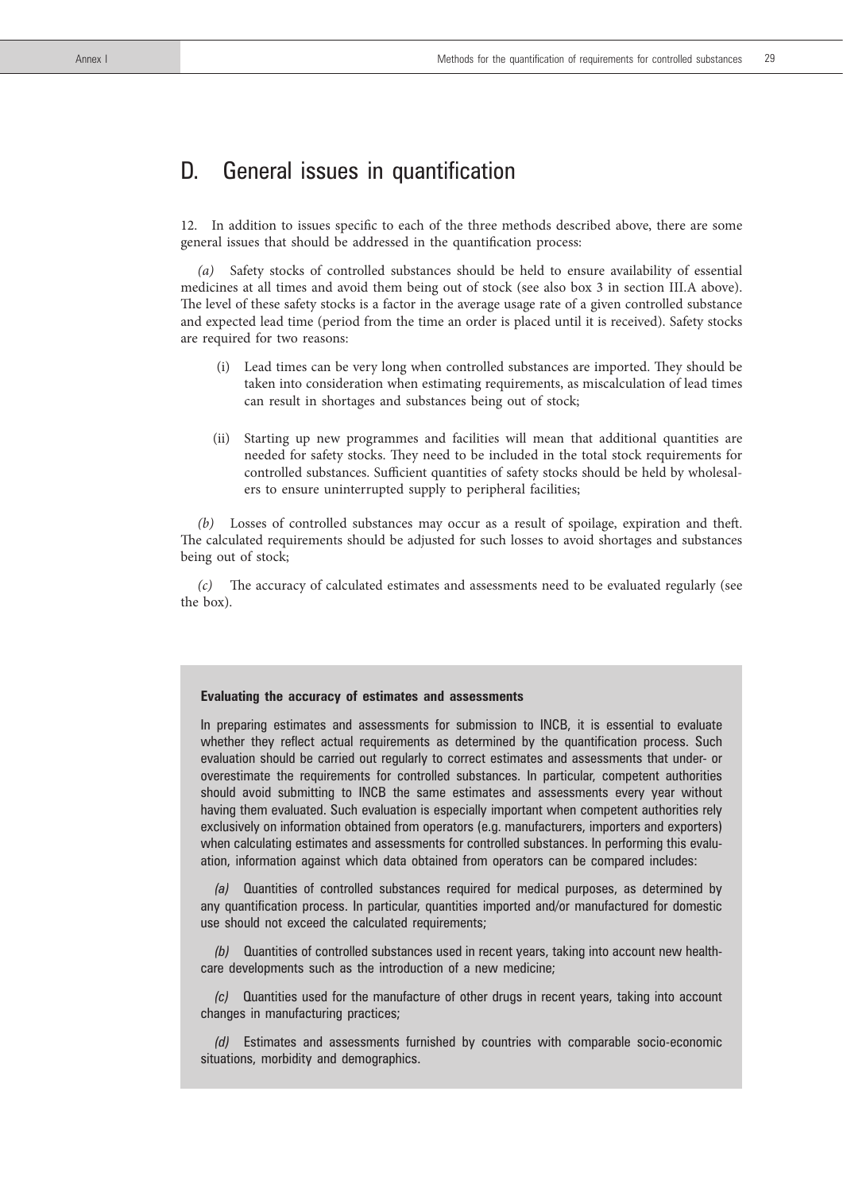# D. General issues in quantification

12. In addition to issues specific to each of the three methods described above, there are some general issues that should be addressed in the quantification process:

*(a)* Safety stocks of controlled substances should be held to ensure availability of essential medicines at all times and avoid them being out of stock (see also box 3 in section III.A above). The level of these safety stocks is a factor in the average usage rate of a given controlled substance and expected lead time (period from the time an order is placed until it is received). Safety stocks are required for two reasons:

- (i) Lead times can be very long when controlled substances are imported. They should be taken into consideration when estimating requirements, as miscalculation of lead times can result in shortages and substances being out of stock;
- (ii) Starting up new programmes and facilities will mean that additional quantities are needed for safety stocks. They need to be included in the total stock requirements for controlled substances. Sufficient quantities of safety stocks should be held by wholesalers to ensure uninterrupted supply to peripheral facilities;

*(b)* Losses of controlled substances may occur as a result of spoilage, expiration and theft. The calculated requirements should be adjusted for such losses to avoid shortages and substances being out of stock;

*(c)* The accuracy of calculated estimates and assessments need to be evaluated regularly (see the box).

#### **Evaluating the accuracy of estimates and assessments**

In preparing estimates and assessments for submission to INCB, it is essential to evaluate whether they reflect actual requirements as determined by the quantification process. Such evaluation should be carried out regularly to correct estimates and assessments that under- or overestimate the requirements for controlled substances. In particular, competent authorities should avoid submitting to INCB the same estimates and assessments every year without having them evaluated. Such evaluation is especially important when competent authorities rely exclusively on information obtained from operators (e.g. manufacturers, importers and exporters) when calculating estimates and assessments for controlled substances. In performing this evaluation, information against which data obtained from operators can be compared includes:

*(a)* Quantities of controlled substances required for medical purposes, as determined by any quantification process. In particular, quantities imported and/or manufactured for domestic use should not exceed the calculated requirements;

*(b)* Quantities of controlled substances used in recent years, taking into account new healthcare developments such as the introduction of a new medicine;

*(c)* Quantities used for the manufacture of other drugs in recent years, taking into account changes in manufacturing practices;

*(d)* Estimates and assessments furnished by countries with comparable socio-economic situations, morbidity and demographics.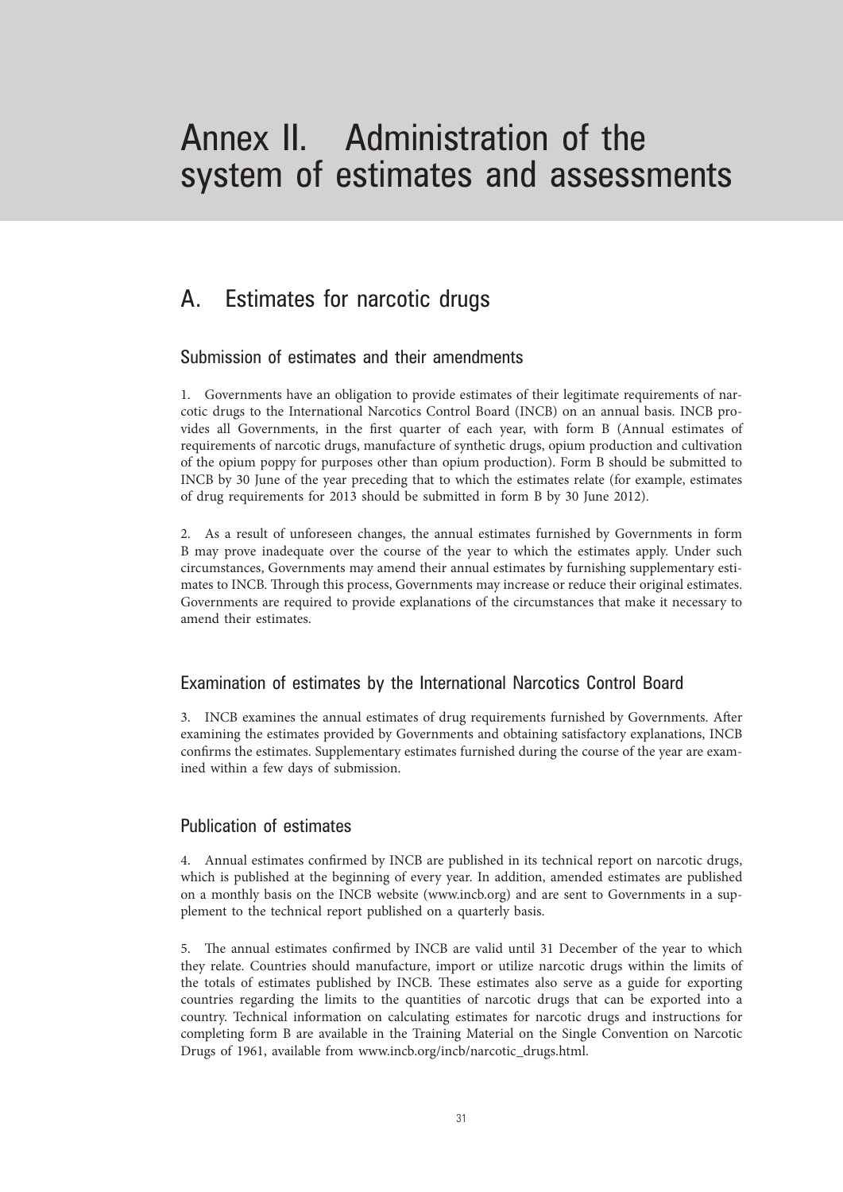# Annex II. Administration of the system of estimates and assessments

# A. Estimates for narcotic drugs

## Submission of estimates and their amendments

1. Governments have an obligation to provide estimates of their legitimate requirements of narcotic drugs to the International Narcotics Control Board (INCB) on an annual basis. INCB provides all Governments, in the first quarter of each year, with form B (Annual estimates of requirements of narcotic drugs, manufacture of synthetic drugs, opium production and cultivation of the opium poppy for purposes other than opium production). Form B should be submitted to INCB by 30 June of the year preceding that to which the estimates relate (for example, estimates of drug requirements for 2013 should be submitted in form B by 30 June 2012).

2. As a result of unforeseen changes, the annual estimates furnished by Governments in form B may prove inadequate over the course of the year to which the estimates apply. Under such circumstances, Governments may amend their annual estimates by furnishing supplementary estimates to INCB. Through this process, Governments may increase or reduce their original estimates. Governments are required to provide explanations of the circumstances that make it necessary to amend their estimates.

## Examination of estimates by the International Narcotics Control Board

3. INCB examines the annual estimates of drug requirements furnished by Governments. After examining the estimates provided by Governments and obtaining satisfactory explanations, INCB confirms the estimates. Supplementary estimates furnished during the course of the year are examined within a few days of submission.

## Publication of estimates

4. Annual estimates confirmed by INCB are published in its technical report on narcotic drugs, which is published at the beginning of every year. In addition, amended estimates are published on a monthly basis on the INCB website (www.incb.org) and are sent to Governments in a supplement to the technical report published on a quarterly basis.

5. The annual estimates confirmed by INCB are valid until 31 December of the year to which they relate. Countries should manufacture, import or utilize narcotic drugs within the limits of the totals of estimates published by INCB. These estimates also serve as a guide for exporting countries regarding the limits to the quantities of narcotic drugs that can be exported into a country. Technical information on calculating estimates for narcotic drugs and instructions for completing form B are available in the Training Material on the Single Convention on Narcotic Drugs of 1961, available from www.incb.org/incb/narcotic\_drugs.html.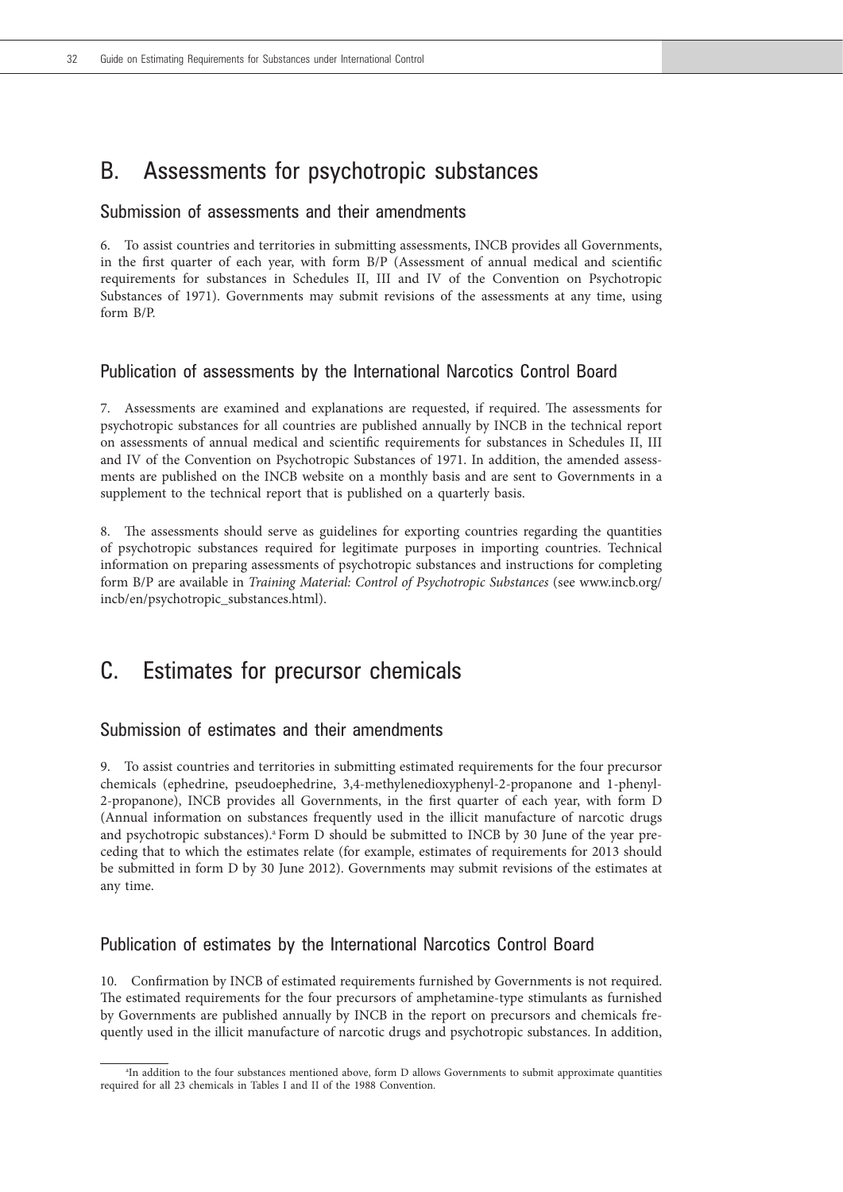# B. Assessments for psychotropic substances

#### Submission of assessments and their amendments

6. To assist countries and territories in submitting assessments, INCB provides all Governments, in the first quarter of each year, with form B/P (Assessment of annual medical and scientific requirements for substances in Schedules II, III and IV of the Convention on Psychotropic Substances of 1971). Governments may submit revisions of the assessments at any time, using form  $B/P$ 

#### Publication of assessments by the International Narcotics Control Board

7. Assessments are examined and explanations are requested, if required. The assessments for psychotropic substances for all countries are published annually by INCB in the technical report on assessments of annual medical and scientific requirements for substances in Schedules II, III and IV of the Convention on Psychotropic Substances of 1971. In addition, the amended assessments are published on the INCB website on a monthly basis and are sent to Governments in a supplement to the technical report that is published on a quarterly basis.

8. The assessments should serve as guidelines for exporting countries regarding the quantities of psychotropic substances required for legitimate purposes in importing countries. Technical information on preparing assessments of psychotropic substances and instructions for completing form B/P are available in *Training Material: Control of Psychotropic Substances* (see www.incb.org/ incb/en/psychotropic\_substances.html).

# C. Estimates for precursor chemicals

## Submission of estimates and their amendments

9. To assist countries and territories in submitting estimated requirements for the four precursor chemicals (ephedrine, pseudoephedrine, 3,4-methylenedioxyphenyl-2-propanone and 1-phenyl-2-propanone), INCB provides all Governments, in the first quarter of each year, with form D (Annual information on substances frequently used in the illicit manufacture of narcotic drugs and psychotropic substances).<sup>a</sup> Form D should be submitted to INCB by 30 June of the year preceding that to which the estimates relate (for example, estimates of requirements for 2013 should be submitted in form D by 30 June 2012). Governments may submit revisions of the estimates at any time.

### Publication of estimates by the International Narcotics Control Board

10. Confirmation by INCB of estimated requirements furnished by Governments is not required. The estimated requirements for the four precursors of amphetamine-type stimulants as furnished by Governments are published annually by INCB in the report on precursors and chemicals frequently used in the illicit manufacture of narcotic drugs and psychotropic substances. In addition,

a In addition to the four substances mentioned above, form D allows Governments to submit approximate quantities required for all 23 chemicals in Tables I and II of the 1988 Convention.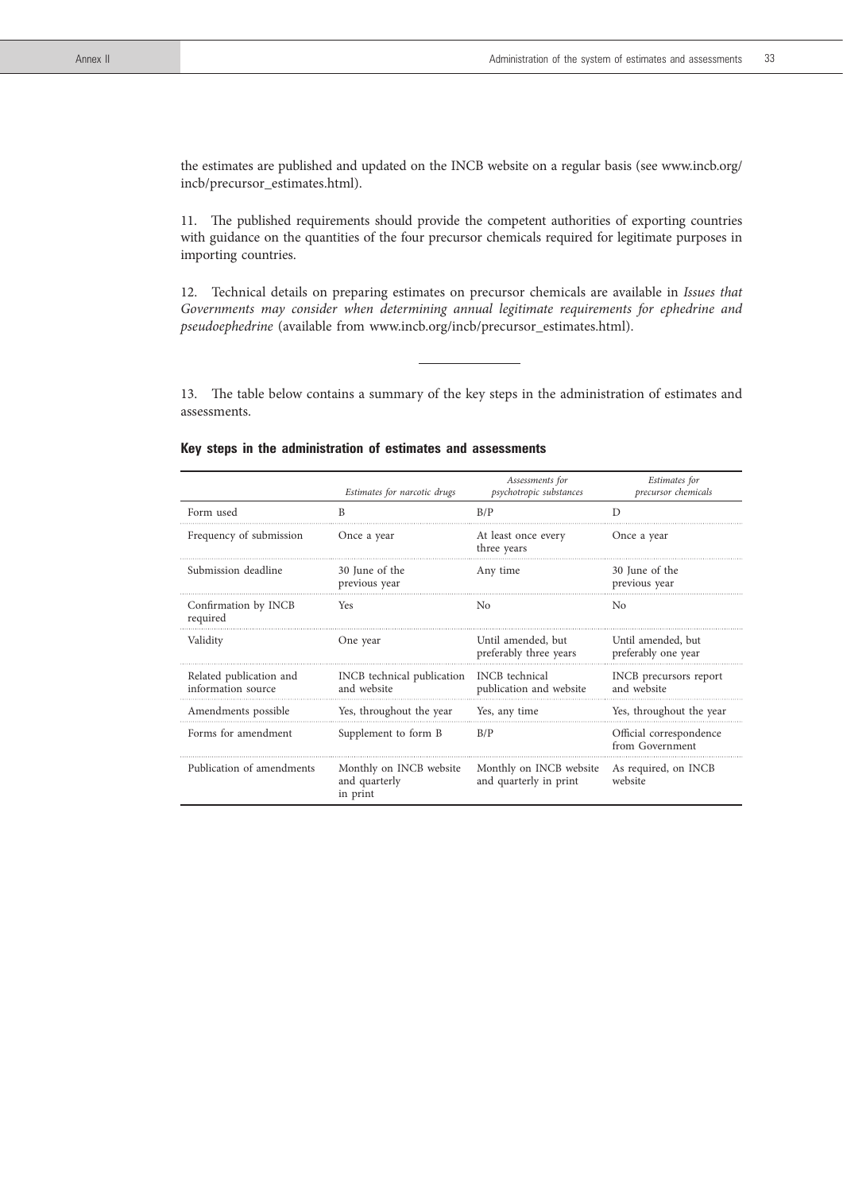the estimates are published and updated on the INCB website on a regular basis (see www.incb.org/ incb/precursor\_estimates.html).

11. The published requirements should provide the competent authorities of exporting countries with guidance on the quantities of the four precursor chemicals required for legitimate purposes in importing countries.

12. Technical details on preparing estimates on precursor chemicals are available in *Issues that Governments may consider when determining annual legitimate requirements for ephedrine and pseudoephedrine* (available from www.incb.org/incb/precursor\_estimates.html).

13. The table below contains a summary of the key steps in the administration of estimates and assessments.

|  |  |  |  | Key steps in the administration of estimates and assessments |  |  |  |  |
|--|--|--|--|--------------------------------------------------------------|--|--|--|--|
|--|--|--|--|--------------------------------------------------------------|--|--|--|--|

|                                               | Estimates for narcotic drugs                         | Assessments for<br>psychotropic substances        | Estimates for<br>precursor chemicals       |
|-----------------------------------------------|------------------------------------------------------|---------------------------------------------------|--------------------------------------------|
| Form used                                     | B                                                    | B/P                                               | D                                          |
| Frequency of submission                       | Once a year                                          | At least once every<br>three years                | Once a year                                |
| Submission deadline                           | 30 June of the<br>previous year                      | Any time                                          | 30 June of the<br>previous year            |
| Confirmation by INCB<br>required              | <b>Yes</b>                                           | No                                                | No                                         |
| Validity                                      | One year                                             | Until amended, but<br>preferably three years      | Until amended, but<br>preferably one year  |
| Related publication and<br>information source | INCB technical publication<br>and website            | INCB technical<br>publication and website         | INCB precursors report<br>and website      |
| Amendments possible                           | Yes, throughout the year                             | Yes, any time                                     | Yes, throughout the year                   |
| Forms for amendment                           | Supplement to form B                                 | B/P                                               | Official correspondence<br>from Government |
| Publication of amendments                     | Monthly on INCB website<br>and quarterly<br>in print | Monthly on INCB website<br>and quarterly in print | As required, on INCB<br>website            |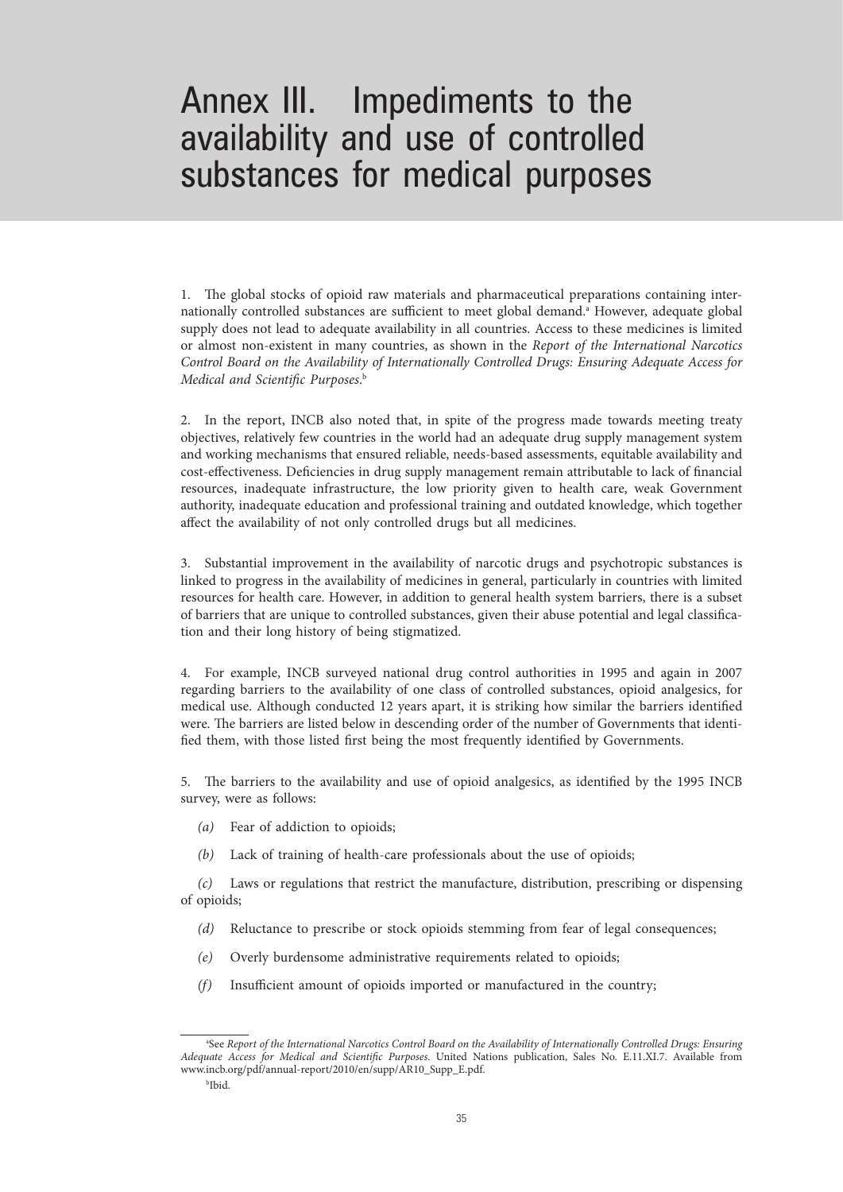# Annex III. Impediments to the availability and use of controlled substances for medical purposes

1. The global stocks of opioid raw materials and pharmaceutical preparations containing internationally controlled substances are sufficient to meet global demand.<sup>a</sup> However, adequate global supply does not lead to adequate availability in all countries. Access to these medicines is limited or almost non-existent in many countries, as shown in the *Report of the International Narcotics Control Board on the Availability of Internationally Controlled Drugs: Ensuring Adequate Access for Medical and Scientific Purposes*. b

2. In the report, INCB also noted that, in spite of the progress made towards meeting treaty objectives, relatively few countries in the world had an adequate drug supply management system and working mechanisms that ensured reliable, needs-based assessments, equitable availability and cost-effectiveness. Deficiencies in drug supply management remain attributable to lack of financial resources, inadequate infrastructure, the low priority given to health care, weak Government authority, inadequate education and professional training and outdated knowledge, which together affect the availability of not only controlled drugs but all medicines.

3. Substantial improvement in the availability of narcotic drugs and psychotropic substances is linked to progress in the availability of medicines in general, particularly in countries with limited resources for health care. However, in addition to general health system barriers, there is a subset of barriers that are unique to controlled substances, given their abuse potential and legal classification and their long history of being stigmatized.

4. For example, INCB surveyed national drug control authorities in 1995 and again in 2007 regarding barriers to the availability of one class of controlled substances, opioid analgesics, for medical use. Although conducted 12 years apart, it is striking how similar the barriers identified were. The barriers are listed below in descending order of the number of Governments that identified them, with those listed first being the most frequently identified by Governments.

5. The barriers to the availability and use of opioid analgesics, as identified by the 1995 INCB survey, were as follows:

- *(a)* Fear of addiction to opioids;
- *(b)* Lack of training of health-care professionals about the use of opioids;

*(c)* Laws or regulations that restrict the manufacture, distribution, prescribing or dispensing of opioids;

- *(d)* Reluctance to prescribe or stock opioids stemming from fear of legal consequences;
- *(e)* Overly burdensome administrative requirements related to opioids;
- *(f)* Insufficient amount of opioids imported or manufactured in the country;

<sup>&</sup>lt;sup>a</sup> See *Report of the International Narcotics Control Board on the Availability of Internationally Controlled Drugs: Ensuring Adequate Access for Medical and Scientific Purposes*. United Nations publication, Sales No. E.11.XI.7. Available from www.incb.org/pdf/annual-report/2010/en/supp/AR10\_Supp\_E.pdf.

b Ibid.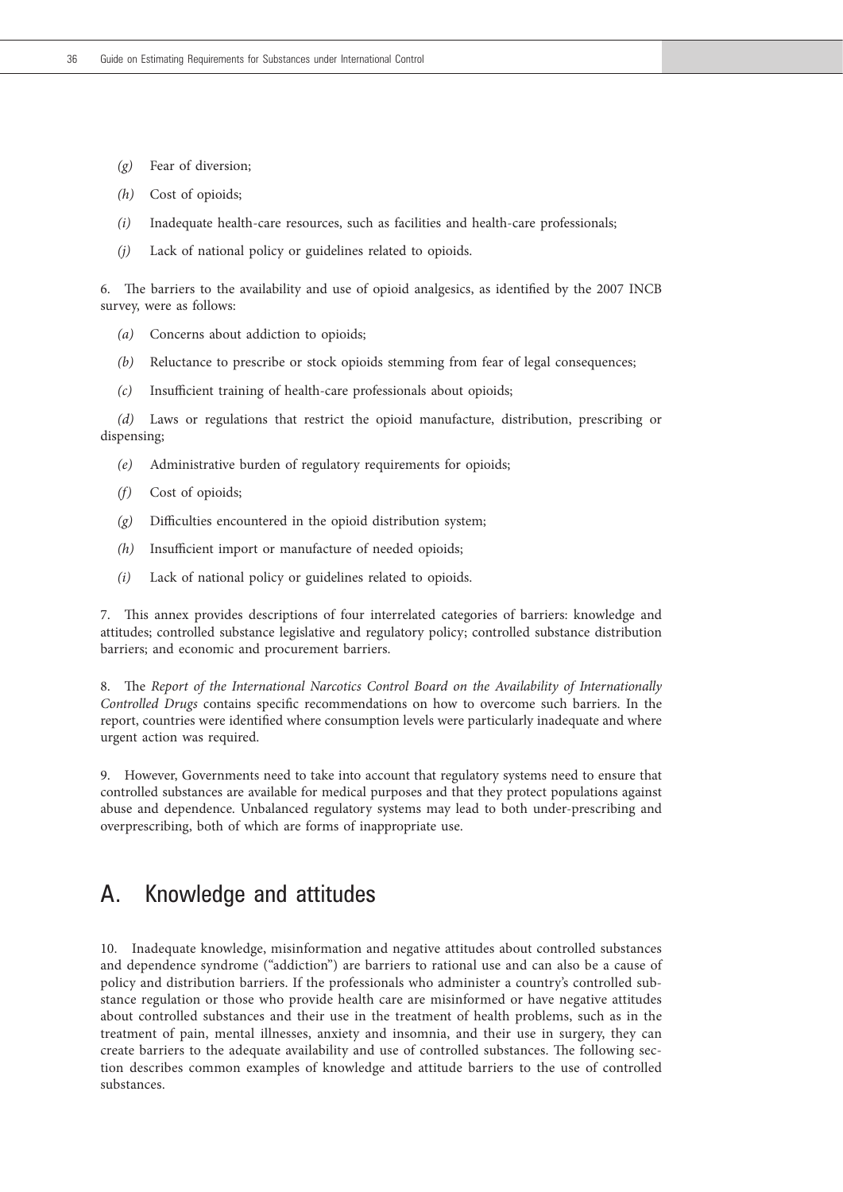- *(g)* Fear of diversion;
- *(h)* Cost of opioids;
- *(i)* Inadequate health-care resources, such as facilities and health-care professionals;
- *(j)* Lack of national policy or guidelines related to opioids.

6. The barriers to the availability and use of opioid analgesics, as identified by the 2007 INCB survey, were as follows:

- *(a)* Concerns about addiction to opioids;
- *(b)* Reluctance to prescribe or stock opioids stemming from fear of legal consequences;
- *(c)* Insufficient training of health-care professionals about opioids;

*(d)* Laws or regulations that restrict the opioid manufacture, distribution, prescribing or dispensing;

- *(e)* Administrative burden of regulatory requirements for opioids;
- *(f)* Cost of opioids;
- *(g)* Difficulties encountered in the opioid distribution system;
- *(h)* Insufficient import or manufacture of needed opioids;
- *(i)* Lack of national policy or guidelines related to opioids.

7. This annex provides descriptions of four interrelated categories of barriers: knowledge and attitudes; controlled substance legislative and regulatory policy; controlled substance distribution barriers; and economic and procurement barriers.

8. The *Report of the International Narcotics Control Board on the Availability of Internationally Controlled Drugs* contains specific recommendations on how to overcome such barriers. In the report, countries were identified where consumption levels were particularly inadequate and where urgent action was required.

9. However, Governments need to take into account that regulatory systems need to ensure that controlled substances are available for medical purposes and that they protect populations against abuse and dependence. Unbalanced regulatory systems may lead to both under-prescribing and overprescribing, both of which are forms of inappropriate use.

# A. Knowledge and attitudes

10. Inadequate knowledge, misinformation and negative attitudes about controlled substances and dependence syndrome ("addiction") are barriers to rational use and can also be a cause of policy and distribution barriers. If the professionals who administer a country's controlled substance regulation or those who provide health care are misinformed or have negative attitudes about controlled substances and their use in the treatment of health problems, such as in the treatment of pain, mental illnesses, anxiety and insomnia, and their use in surgery, they can create barriers to the adequate availability and use of controlled substances. The following section describes common examples of knowledge and attitude barriers to the use of controlled substances.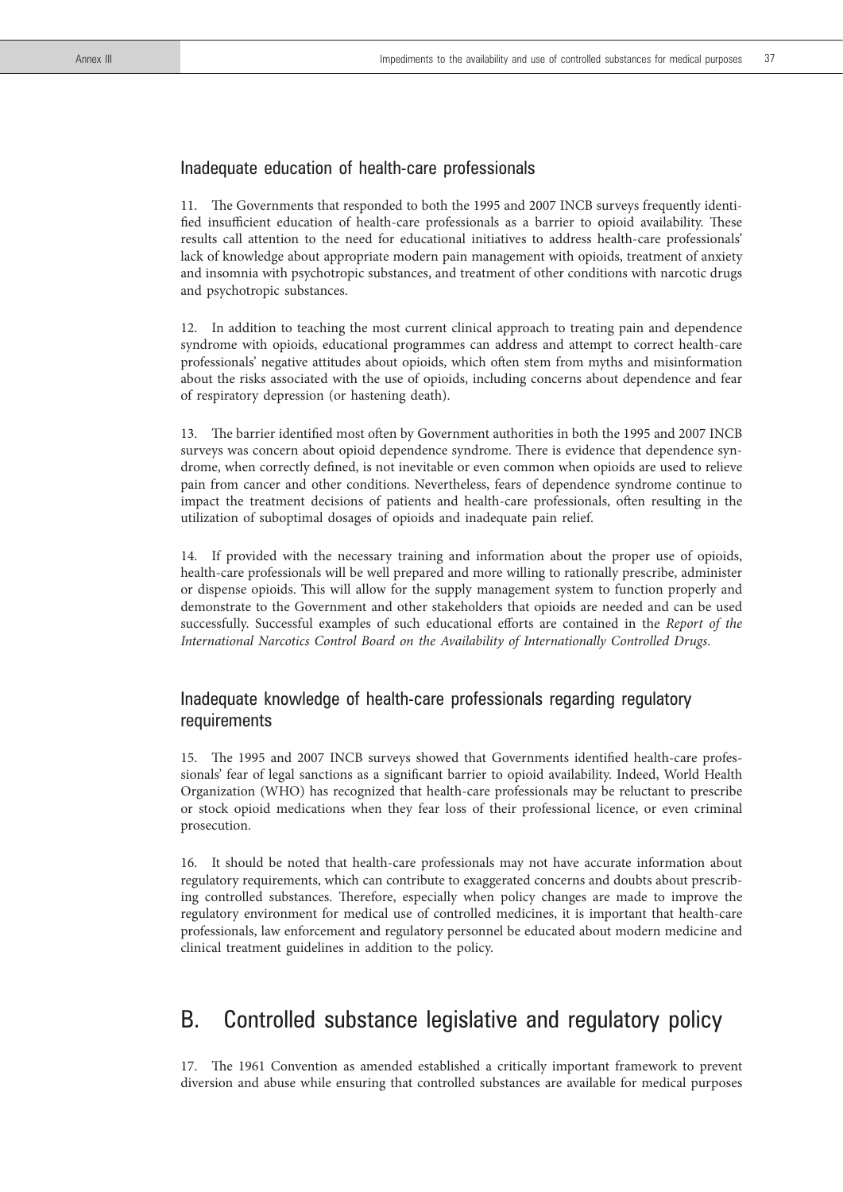### Inadequate education of health-care professionals

11. The Governments that responded to both the 1995 and 2007 INCB surveys frequently identified insufficient education of health-care professionals as a barrier to opioid availability. These results call attention to the need for educational initiatives to address health-care professionals' lack of knowledge about appropriate modern pain management with opioids, treatment of anxiety and insomnia with psychotropic substances, and treatment of other conditions with narcotic drugs and psychotropic substances.

12. In addition to teaching the most current clinical approach to treating pain and dependence syndrome with opioids, educational programmes can address and attempt to correct health-care professionals' negative attitudes about opioids, which often stem from myths and misinformation about the risks associated with the use of opioids, including concerns about dependence and fear of respiratory depression (or hastening death).

13. The barrier identified most often by Government authorities in both the 1995 and 2007 INCB surveys was concern about opioid dependence syndrome. There is evidence that dependence syndrome, when correctly defined, is not inevitable or even common when opioids are used to relieve pain from cancer and other conditions. Nevertheless, fears of dependence syndrome continue to impact the treatment decisions of patients and health-care professionals, often resulting in the utilization of suboptimal dosages of opioids and inadequate pain relief.

14. If provided with the necessary training and information about the proper use of opioids, health-care professionals will be well prepared and more willing to rationally prescribe, administer or dispense opioids. This will allow for the supply management system to function properly and demonstrate to the Government and other stakeholders that opioids are needed and can be used successfully. Successful examples of such educational efforts are contained in the *Report of the International Narcotics Control Board on the Availability of Internationally Controlled Drugs*.

## Inadequate knowledge of health-care professionals regarding regulatory requirements

15. The 1995 and 2007 INCB surveys showed that Governments identified health-care professionals' fear of legal sanctions as a significant barrier to opioid availability. Indeed, World Health Organization (WHO) has recognized that health-care professionals may be reluctant to prescribe or stock opioid medications when they fear loss of their professional licence, or even criminal prosecution.

16. It should be noted that health-care professionals may not have accurate information about regulatory requirements, which can contribute to exaggerated concerns and doubts about prescribing controlled substances. Therefore, especially when policy changes are made to improve the regulatory environment for medical use of controlled medicines, it is important that health-care professionals, law enforcement and regulatory personnel be educated about modern medicine and clinical treatment guidelines in addition to the policy.

# B. Controlled substance legislative and regulatory policy

17. The 1961 Convention as amended established a critically important framework to prevent diversion and abuse while ensuring that controlled substances are available for medical purposes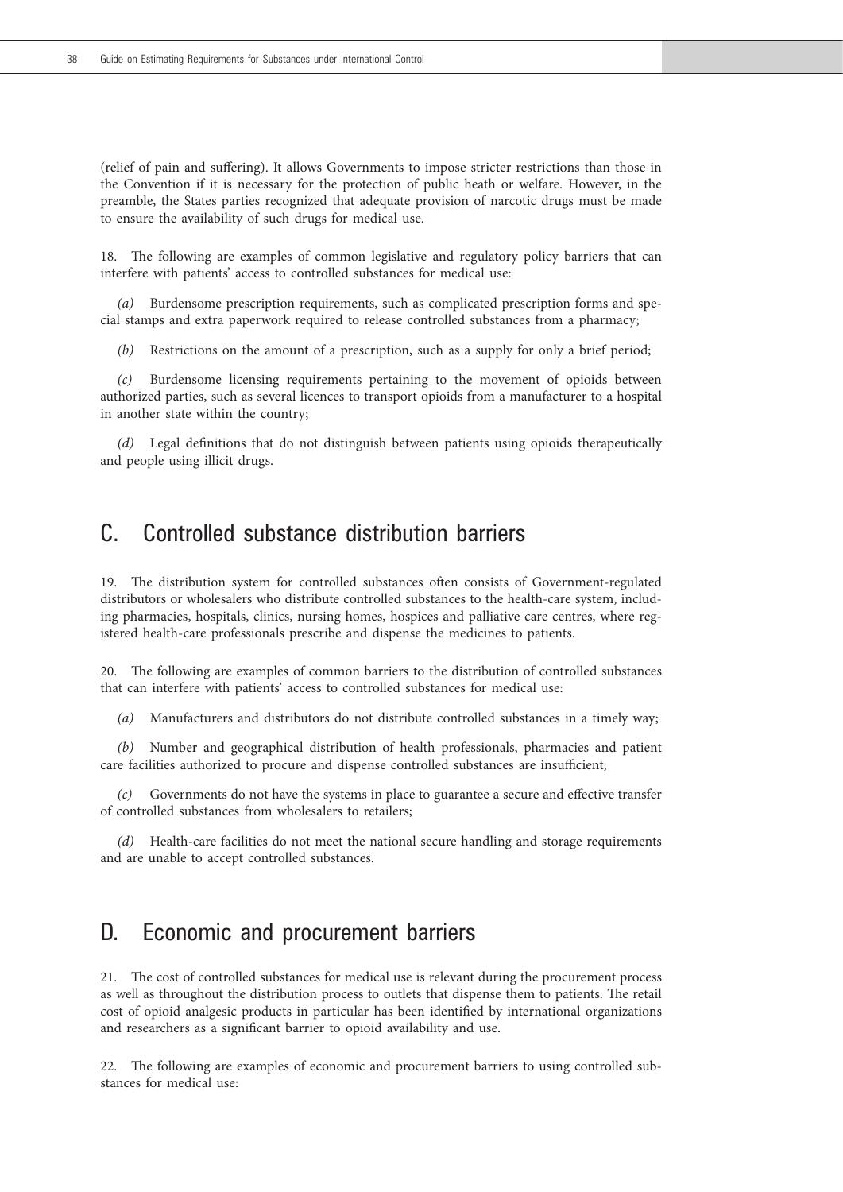(relief of pain and suffering). It allows Governments to impose stricter restrictions than those in the Convention if it is necessary for the protection of public heath or welfare. However, in the preamble, the States parties recognized that adequate provision of narcotic drugs must be made to ensure the availability of such drugs for medical use.

18. The following are examples of common legislative and regulatory policy barriers that can interfere with patients' access to controlled substances for medical use:

*(a)* Burdensome prescription requirements, such as complicated prescription forms and special stamps and extra paperwork required to release controlled substances from a pharmacy;

*(b)* Restrictions on the amount of a prescription, such as a supply for only a brief period;

*(c)* Burdensome licensing requirements pertaining to the movement of opioids between authorized parties, such as several licences to transport opioids from a manufacturer to a hospital in another state within the country;

*(d)* Legal definitions that do not distinguish between patients using opioids therapeutically and people using illicit drugs.

# C. Controlled substance distribution barriers

19. The distribution system for controlled substances often consists of Government-regulated distributors or wholesalers who distribute controlled substances to the health-care system, including pharmacies, hospitals, clinics, nursing homes, hospices and palliative care centres, where registered health-care professionals prescribe and dispense the medicines to patients.

20. The following are examples of common barriers to the distribution of controlled substances that can interfere with patients' access to controlled substances for medical use:

*(a)* Manufacturers and distributors do not distribute controlled substances in a timely way;

*(b)* Number and geographical distribution of health professionals, pharmacies and patient care facilities authorized to procure and dispense controlled substances are insufficient;

*(c)* Governments do not have the systems in place to guarantee a secure and effective transfer of controlled substances from wholesalers to retailers;

*(d)* Health-care facilities do not meet the national secure handling and storage requirements and are unable to accept controlled substances.

# D. Economic and procurement barriers

21. The cost of controlled substances for medical use is relevant during the procurement process as well as throughout the distribution process to outlets that dispense them to patients. The retail cost of opioid analgesic products in particular has been identified by international organizations and researchers as a significant barrier to opioid availability and use.

22. The following are examples of economic and procurement barriers to using controlled substances for medical use: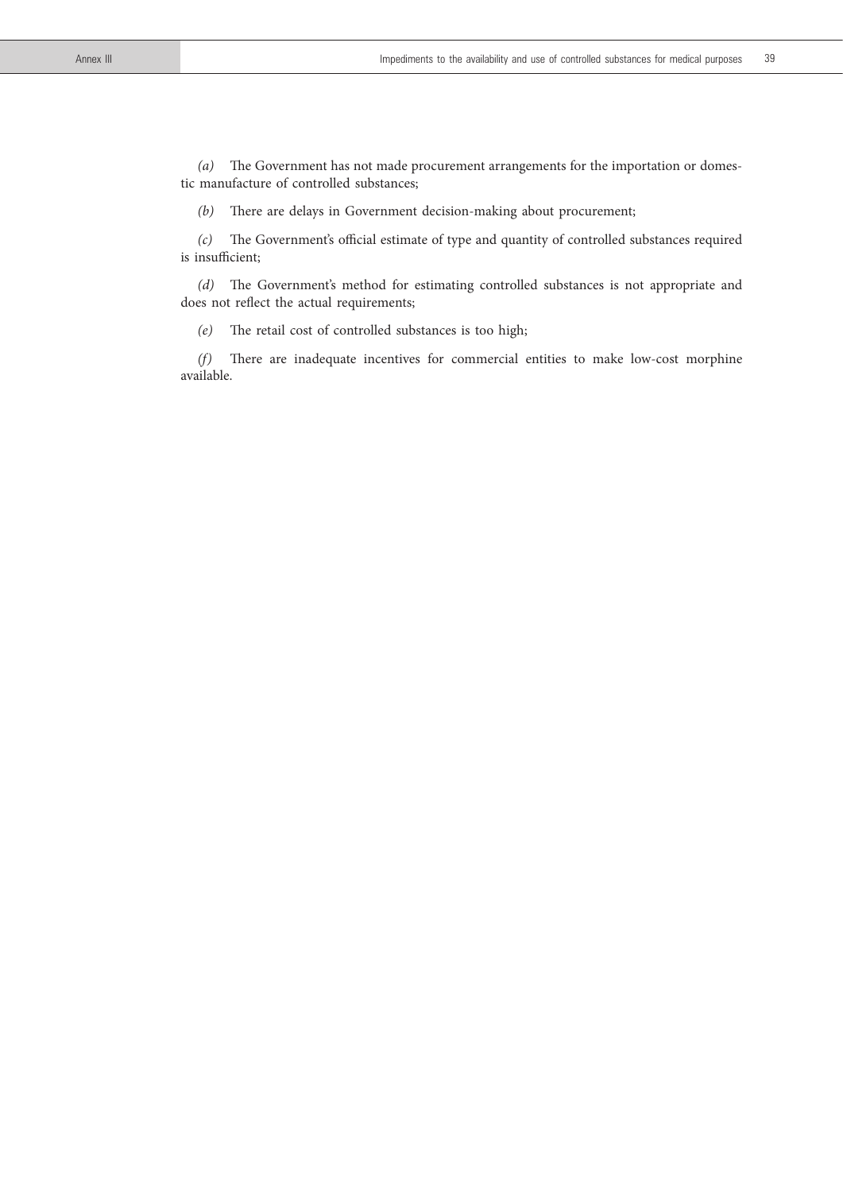*(a)* The Government has not made procurement arrangements for the importation or domestic manufacture of controlled substances;

*(b)* There are delays in Government decision-making about procurement;

*(c)* The Government's official estimate of type and quantity of controlled substances required is insufficient;

*(d)* The Government's method for estimating controlled substances is not appropriate and does not reflect the actual requirements;

*(e)* The retail cost of controlled substances is too high;

*(f)* There are inadequate incentives for commercial entities to make low-cost morphine available.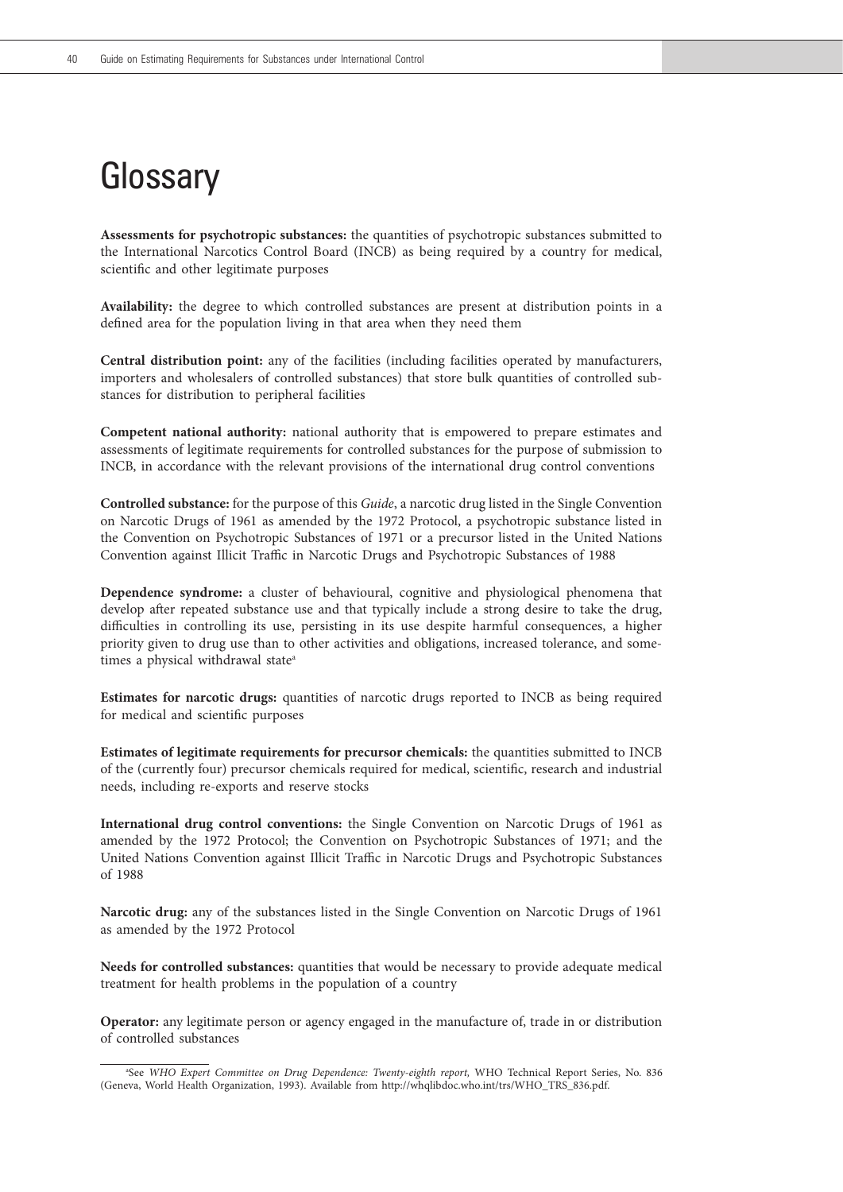# **Glossary**

**Assessments for psychotropic substances:** the quantities of psychotropic substances submitted to the International Narcotics Control Board (INCB) as being required by a country for medical, scientific and other legitimate purposes

**Availability:** the degree to which controlled substances are present at distribution points in a defined area for the population living in that area when they need them

**Central distribution point:** any of the facilities (including facilities operated by manufacturers, importers and wholesalers of controlled substances) that store bulk quantities of controlled substances for distribution to peripheral facilities

**Competent national authority:** national authority that is empowered to prepare estimates and assessments of legitimate requirements for controlled substances for the purpose of submission to INCB, in accordance with the relevant provisions of the international drug control conventions

**Controlled substance:** for the purpose of this *Guide*, a narcotic drug listed in the Single Convention on Narcotic Drugs of 1961 as amended by the 1972 Protocol, a psychotropic substance listed in the Convention on Psychotropic Substances of 1971 or a precursor listed in the United Nations Convention against Illicit Traffic in Narcotic Drugs and Psychotropic Substances of 1988

**Dependence syndrome:** a cluster of behavioural, cognitive and physiological phenomena that develop after repeated substance use and that typically include a strong desire to take the drug, difficulties in controlling its use, persisting in its use despite harmful consequences, a higher priority given to drug use than to other activities and obligations, increased tolerance, and sometimes a physical withdrawal state<sup>a</sup>

**Estimates for narcotic drugs:** quantities of narcotic drugs reported to INCB as being required for medical and scientific purposes

**Estimates of legitimate requirements for precursor chemicals:** the quantities submitted to INCB of the (currently four) precursor chemicals required for medical, scientific, research and industrial needs, including re-exports and reserve stocks

**International drug control conventions:** the Single Convention on Narcotic Drugs of 1961 as amended by the 1972 Protocol; the Convention on Psychotropic Substances of 1971; and the United Nations Convention against Illicit Traffic in Narcotic Drugs and Psychotropic Substances of 1988

**Narcotic drug:** any of the substances listed in the Single Convention on Narcotic Drugs of 1961 as amended by the 1972 Protocol

**Needs for controlled substances:** quantities that would be necessary to provide adequate medical treatment for health problems in the population of a country

**Operator:** any legitimate person or agency engaged in the manufacture of, trade in or distribution of controlled substances

a See *WHO Expert Committee on Drug Dependence: Twenty-eighth report,* WHO Technical Report Series, No. 836 (Geneva, World Health Organization, 1993). Available from http://whqlibdoc.who.int/trs/WHO\_TRS\_836.pdf.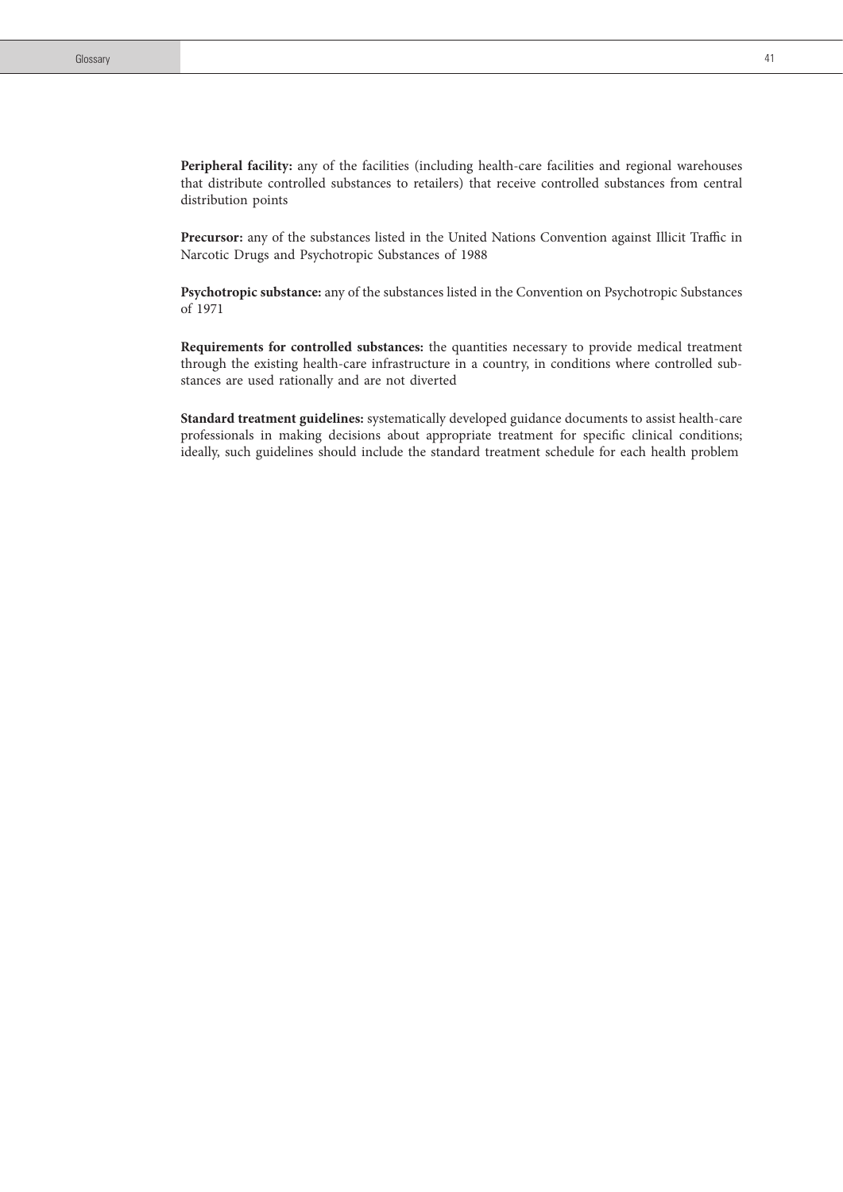**Precursor:** any of the substances listed in the United Nations Convention against Illicit Traffic in Narcotic Drugs and Psychotropic Substances of 1988

**Psychotropic substance:** any of the substances listed in the Convention on Psychotropic Substances of 1971

**Requirements for controlled substances:** the quantities necessary to provide medical treatment through the existing health-care infrastructure in a country, in conditions where controlled substances are used rationally and are not diverted

**Standard treatment guidelines:** systematically developed guidance documents to assist health-care professionals in making decisions about appropriate treatment for specific clinical conditions; ideally, such guidelines should include the standard treatment schedule for each health problem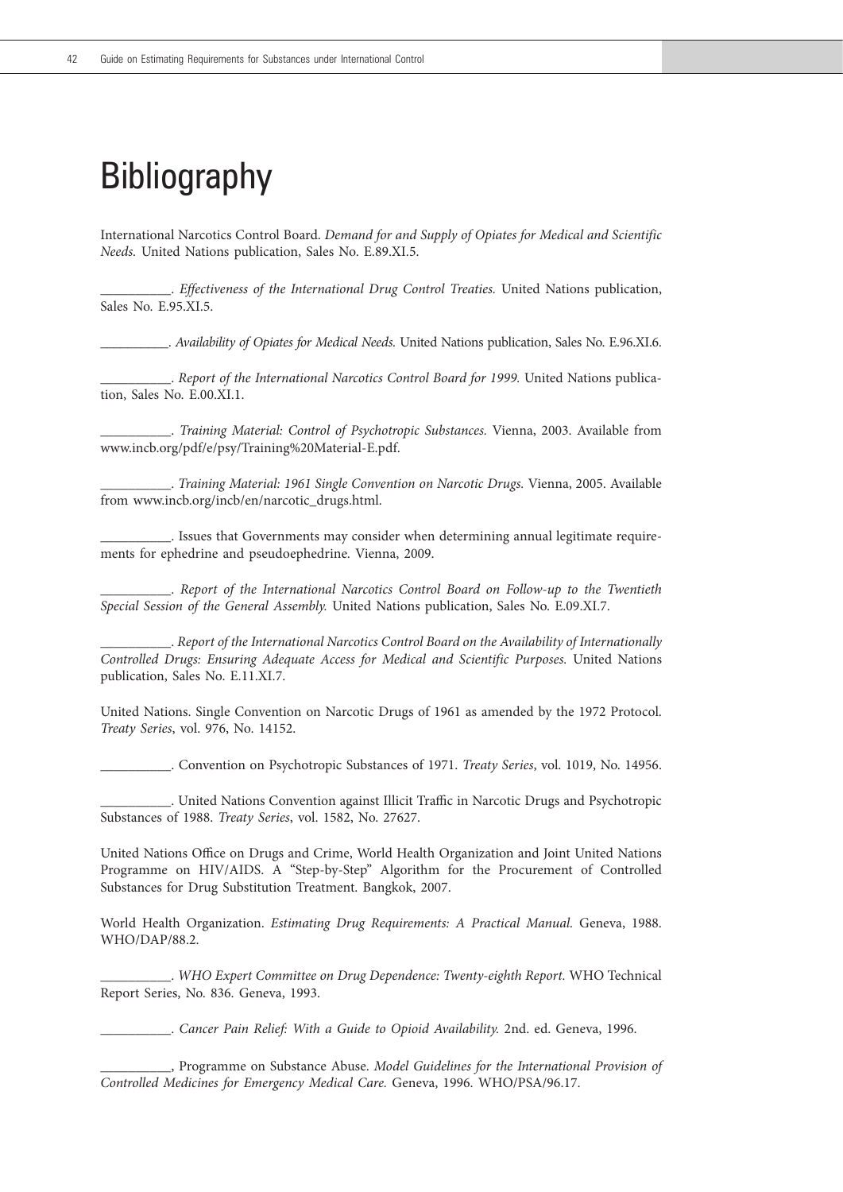# **Bibliography**

International Narcotics Control Board. *Demand for and Supply of Opiates for Medical and Scientific Needs.* United Nations publication, Sales No. E.89.XI.5.

\_\_\_\_\_\_\_\_\_\_. *Effectiveness of the International Drug Control Treaties.* United Nations publication, Sales No. E.95.XI.5.

\_\_\_\_\_\_\_\_\_\_. *Availability of Opiates for Medical Needs.* United Nations publication, Sales No. E.96.XI.6.

\_\_\_\_\_\_\_\_\_\_. *Report of the International Narcotics Control Board for 1999.* United Nations publication, Sales No. E.00.XI.1.

\_\_\_\_\_\_\_\_\_\_. *Training Material: Control of Psychotropic Substances.* Vienna, 2003. Available from www.incb.org/pdf/e/psy/Training%20Material-E.pdf.

\_\_\_\_\_\_\_\_\_\_. *Training Material: 1961 Single Convention on Narcotic Drugs.* Vienna, 2005. Available from www.incb.org/incb/en/narcotic\_drugs.html.

\_\_\_\_\_\_\_\_\_\_. Issues that Governments may consider when determining annual legitimate requirements for ephedrine and pseudoephedrine. Vienna, 2009.

\_\_\_\_\_\_\_\_\_\_. *Report of the International Narcotics Control Board on Follow-up to the Twentieth Special Session of the General Assembly.* United Nations publication, Sales No. E.09.XI.7.

\_\_\_\_\_\_\_\_\_\_. *Report of the International Narcotics Control Board on the Availability of Internationally Controlled Drugs: Ensuring Adequate Access for Medical and Scientific Purposes.* United Nations publication, Sales No. E.11.XI.7.

United Nations. Single Convention on Narcotic Drugs of 1961 as amended by the 1972 Protocol. *Treaty Series*, vol. 976, No. 14152.

\_\_\_\_\_\_\_\_\_\_. Convention on Psychotropic Substances of 1971. *Treaty Series*, vol. 1019, No. 14956.

\_\_\_\_\_\_\_\_\_\_. United Nations Convention against Illicit Traffic in Narcotic Drugs and Psychotropic Substances of 1988. *Treaty Series*, vol. 1582, No. 27627.

United Nations Office on Drugs and Crime, World Health Organization and Joint United Nations Programme on HIV/AIDS. A "Step-by-Step" Algorithm for the Procurement of Controlled Substances for Drug Substitution Treatment. Bangkok, 2007.

World Health Organization. *Estimating Drug Requirements: A Practical Manual.* Geneva, 1988. WHO/DAP/88.2.

\_\_\_\_\_\_\_\_\_\_. *WHO Expert Committee on Drug Dependence: Twenty-eighth Report.* WHO Technical Report Series, No. 836. Geneva, 1993.

\_\_\_\_\_\_\_\_\_\_. *Cancer Pain Relief: With a Guide to Opioid Availability.* 2nd. ed. Geneva, 1996.

\_\_\_\_\_\_\_\_\_\_, Programme on Substance Abuse. *Model Guidelines for the International Provision of Controlled Medicines for Emergency Medical Care.* Geneva, 1996. WHO/PSA/96.17.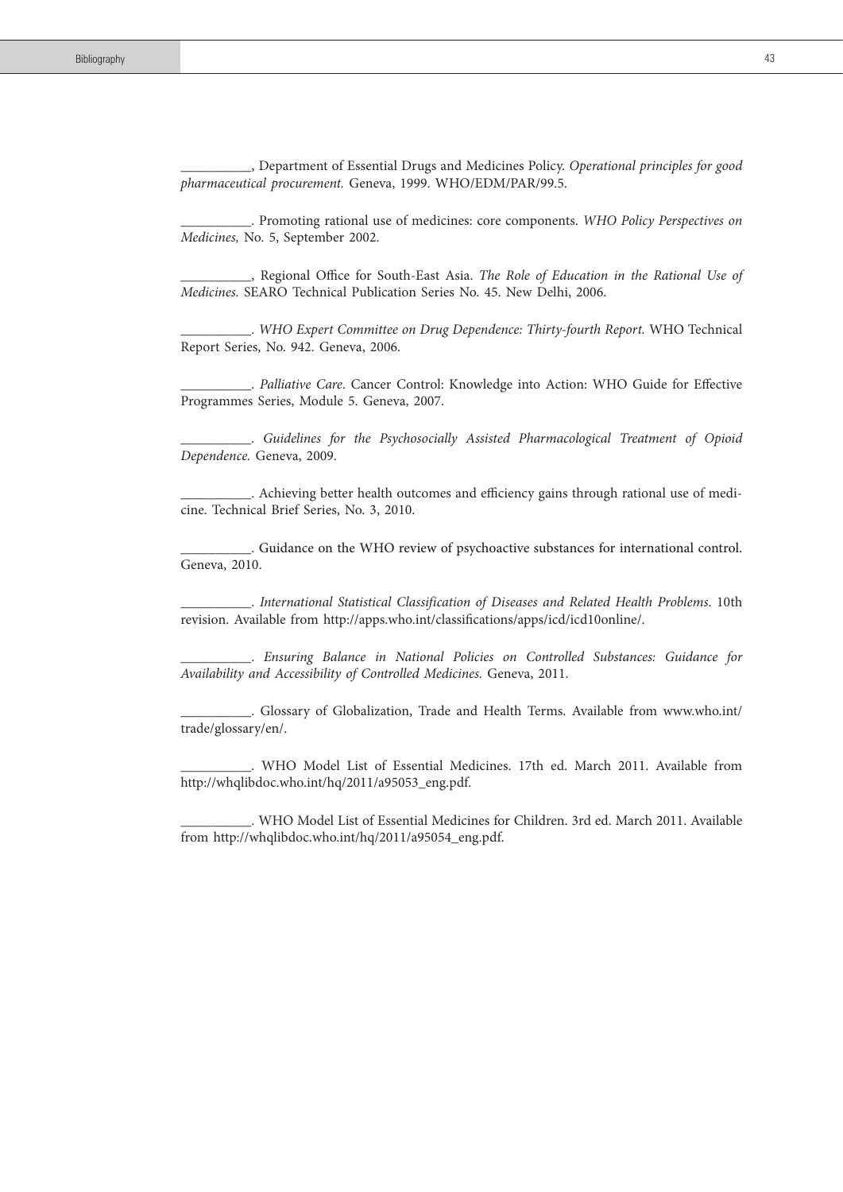\_\_\_\_\_\_\_\_\_\_, Department of Essential Drugs and Medicines Policy. *Operational principles for good pharmaceutical procurement.* Geneva, 1999. WHO/EDM/PAR/99.5.

\_\_\_\_\_\_\_\_\_\_. Promoting rational use of medicines: core components. *WHO Policy Perspectives on Medicines,* No. 5, September 2002.

\_\_\_\_\_\_\_\_\_\_, Regional Office for South-East Asia. *The Role of Education in the Rational Use of Medicines.* SEARO Technical Publication Series No. 45. New Delhi, 2006.

\_\_\_\_\_\_\_\_\_\_. *WHO Expert Committee on Drug Dependence: Thirty-fourth Report.* WHO Technical Report Series, No. 942. Geneva, 2006.

\_\_\_\_\_\_\_\_\_\_. *Palliative Care*. Cancer Control: Knowledge into Action: WHO Guide for Effective Programmes Series, Module 5. Geneva, 2007.

\_\_\_\_\_\_\_\_\_\_. *Guidelines for the Psychosocially Assisted Pharmacological Treatment of Opioid Dependence.* Geneva, 2009.

\_\_\_\_\_\_\_\_\_\_. Achieving better health outcomes and efficiency gains through rational use of medicine. Technical Brief Series, No. 3, 2010.

\_\_\_\_\_\_\_\_\_\_. Guidance on the WHO review of psychoactive substances for international control. Geneva, 2010.

\_\_\_\_\_\_\_\_\_\_. *International Statistical Classification of Diseases and Related Health Problems*. 10th revision. Available from http://apps.who.int/classifications/apps/icd/icd10online/.

\_\_\_\_\_\_\_\_\_\_. *Ensuring Balance in National Policies on Controlled Substances: Guidance for Availability and Accessibility of Controlled Medicines.* Geneva, 2011.

\_\_\_\_\_\_\_\_\_\_. Glossary of Globalization, Trade and Health Terms. Available from www.who.int/ trade/glossary/en/.

\_\_\_\_\_\_\_\_\_\_. WHO Model List of Essential Medicines. 17th ed. March 2011. Available from http://whqlibdoc.who.int/hq/2011/a95053\_eng.pdf.

\_\_\_\_\_\_\_\_\_\_. WHO Model List of Essential Medicines for Children. 3rd ed. March 2011. Available from http://whqlibdoc.who.int/hq/2011/a95054\_eng.pdf.